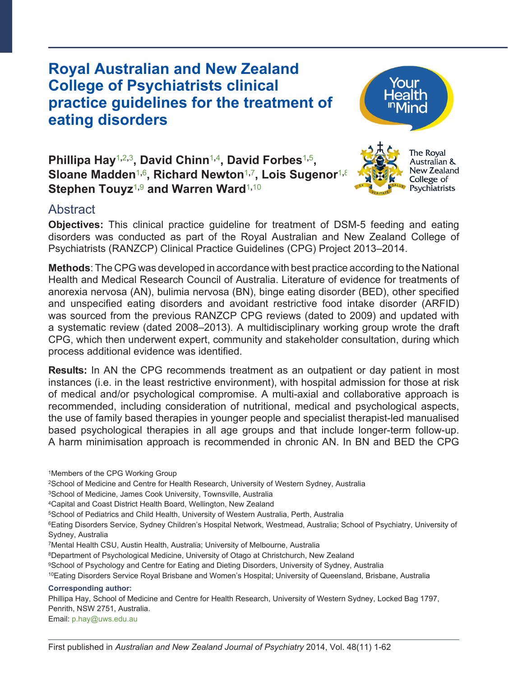# <span id="page-0-1"></span>**Royal Australian and New Zealand College of Psychiatrists clinical practice guidelines for the treatment of eating disorders**



The Royal Australian & New Zealand College of Psychiatrists

**Phillipa Hay**1**,**[2](#page-0-0)**,**[3](#page-0-1)**, David Chinn**1**,**[4](#page-0-2)**, David Forbes**1**,**[5](#page-0-3)**, Sloane Madden**1**,**[6](#page-0-4)**, Richard Newton**1**,**[7](#page-0-5)**, Lois Sugenor**1**,**[8](#page-0-6)**, Stephen Touyz**1**,**[9](#page-0-7) **and Warren Ward**1**,**10

# **Abstract**

**Objectives:** This clinical practice guideline for treatment of DSM-5 feeding and eating disorders was conducted as part of the Royal Australian and New Zealand College of Psychiatrists (RANZCP) Clinical Practice Guidelines (CPG) Project 2013–2014.

**Methods**: The CPG was developed in accordance with best practice according to the National Health and Medical Research Council of Australia. Literature of evidence for treatments of anorexia nervosa (AN), bulimia nervosa (BN), binge eating disorder (BED), other specified and unspecified eating disorders and avoidant restrictive food intake disorder (ARFID) was sourced from the previous RANZCP CPG reviews (dated to 2009) and updated with a systematic review (dated 2008–2013). A multidisciplinary working group wrote the draft CPG, which then underwent expert, community and stakeholder consultation, during which process additional evidence was identified.

**Results:** In AN the CPG recommends treatment as an outpatient or day patient in most instances (i.e. in the least restrictive environment), with hospital admission for those at risk of medical and/or psychological compromise. A multi-axial and collaborative approach is recommended, including consideration of nutritional, medical and psychological aspects, the use of family based therapies in younger people and specialist therapist-led manualised based psychological therapies in all age groups and that include longer-term follow-up. A harm minimisation approach is recommended in chronic AN. In BN and BED the CPG

- 3School of Medicine, James Cook University, Townsville, Australia
- <span id="page-0-2"></span>4Capital and Coast District Health Board, Wellington, New Zealand
- <span id="page-0-3"></span>5School of Pediatrics and Child Health, University of Western Australia, Perth, Australia

- <span id="page-0-5"></span>7Mental Health CSU, Austin Health, Australia; University of Melbourne, Australia
- <span id="page-0-6"></span>8Department of Psychological Medicine, University of Otago at Christchurch, New Zealand
- <span id="page-0-7"></span>9School of Psychology and Centre for Eating and Dieting Disorders, University of Sydney, Australia
- 10Eating Disorders Service Royal Brisbane and Women's Hospital; University of Queensland, Brisbane, Australia

**Corresponding author:**

Phillipa Hay, School of Medicine and Centre for Health Research, University of Western Sydney, Locked Bag 1797, Penrith, NSW 2751, Australia.

Email: [p.hay@uws.edu.au](mailto:p.hay@uws.edu.au)

<sup>1</sup>Members of the CPG Working Group

<span id="page-0-0"></span><sup>2</sup>School of Medicine and Centre for Health Research, University of Western Sydney, Australia

<span id="page-0-4"></span><sup>6</sup>Eating Disorders Service, Sydney Children's Hospital Network, Westmead, Australia; School of Psychiatry, University of Sydney, Australia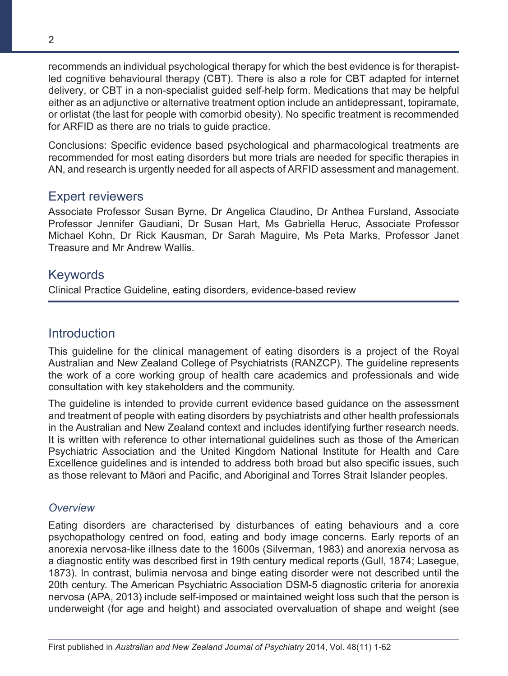recommends an individual psychological therapy for which the best evidence is for therapistled cognitive behavioural therapy (CBT). There is also a role for CBT adapted for internet delivery, or CBT in a non-specialist guided self-help form. Medications that may be helpful either as an adjunctive or alternative treatment option include an antidepressant, topiramate, or orlistat (the last for people with comorbid obesity). No specific treatment is recommended for ARFID as there are no trials to guide practice.

Conclusions: Specific evidence based psychological and pharmacological treatments are recommended for most eating disorders but more trials are needed for specific therapies in AN, and research is urgently needed for all aspects of ARFID assessment and management.

## Expert reviewers

Associate Professor Susan Byrne, Dr Angelica Claudino, Dr Anthea Fursland, Associate Professor Jennifer Gaudiani, Dr Susan Hart, Ms Gabriella Heruc, Associate Professor Michael Kohn, Dr Rick Kausman, Dr Sarah Maguire, Ms Peta Marks, Professor Janet Treasure and Mr Andrew Wallis.

## Keywords

Clinical Practice Guideline, eating disorders, evidence-based review

## **Introduction**

This guideline for the clinical management of eating disorders is a project of the Royal Australian and New Zealand College of Psychiatrists (RANZCP). The guideline represents the work of a core working group of health care academics and professionals and wide consultation with key stakeholders and the community.

The guideline is intended to provide current evidence based guidance on the assessment and treatment of people with eating disorders by psychiatrists and other health professionals in the Australian and New Zealand context and includes identifying further research needs. It is written with reference to other international guidelines such as those of the American Psychiatric Association and the United Kingdom National Institute for Health and Care Excellence guidelines and is intended to address both broad but also specific issues, such as those relevant to Māori and Pacific, and Aboriginal and Torres Strait Islander peoples.

#### *Overview*

Eating disorders are characterised by disturbances of eating behaviours and a core psychopathology centred on food, eating and body image concerns. Early reports of an anorexia nervosa-like illness date to the 1600s (Silverman, 1983) and anorexia nervosa as a diagnostic entity was described first in 19th century medical reports (Gull, 1874; Lasegue, 1873). In contrast, bulimia nervosa and binge eating disorder were not described until the 20th century. The American Psychiatric Association DSM-5 diagnostic criteria for anorexia nervosa (APA, 2013) include self-imposed or maintained weight loss such that the person is underweight (for age and height) and associated overvaluation of shape and weight (see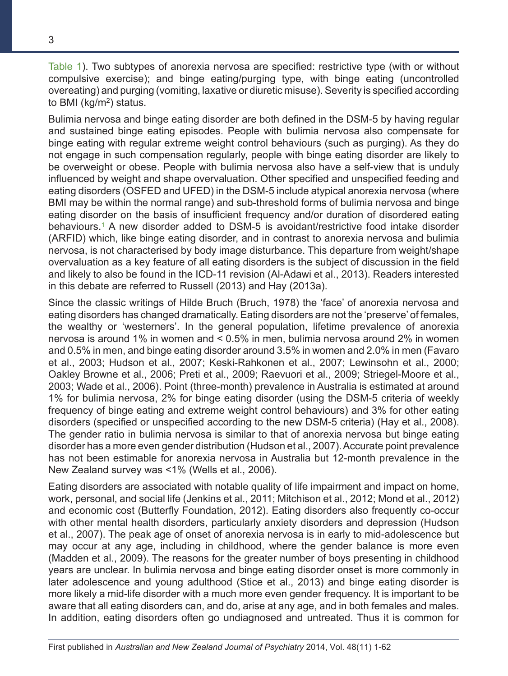[Table 1](#page-49-0)). Two subtypes of anorexia nervosa are specified: restrictive type (with or without compulsive exercise); and binge eating/purging type, with binge eating (uncontrolled overeating) and purging (vomiting, laxative or diuretic misuse). Severity is specified according to BMI (kg/m2) status.

Bulimia nervosa and binge eating disorder are both defined in the DSM-5 by having regular and sustained binge eating episodes. People with bulimia nervosa also compensate for binge eating with regular extreme weight control behaviours (such as purging). As they do not engage in such compensation regularly, people with binge eating disorder are likely to be overweight or obese. People with bulimia nervosa also have a self-view that is unduly influenced by weight and shape overvaluation. Other specified and unspecified feeding and eating disorders (OSFED and UFED) in the DSM-5 include atypical anorexia nervosa (where BMI may be within the normal range) and sub-threshold forms of bulimia nervosa and binge eating disorder on the basis of insufficient frequency and/or duration of disordered eating behaviours.[1](#page-33-0) A new disorder added to DSM-5 is avoidant/restrictive food intake disorder (ARFID) which, like binge eating disorder, and in contrast to anorexia nervosa and bulimia nervosa, is not characterised by body image disturbance. This departure from weight/shape overvaluation as a key feature of all eating disorders is the subject of discussion in the field and likely to also be found in the ICD-11 revision (Al-Adawi et al., 2013). Readers interested in this debate are referred to Russell (2013) and Hay (2013a).

Since the classic writings of Hilde Bruch (Bruch, 1978) the 'face' of anorexia nervosa and eating disorders has changed dramatically. Eating disorders are not the 'preserve' of females, the wealthy or 'westerners'. In the general population, lifetime prevalence of anorexia nervosa is around 1% in women and < 0.5% in men, bulimia nervosa around 2% in women and 0.5% in men, and binge eating disorder around 3.5% in women and 2.0% in men (Favaro et al., 2003; Hudson et al., 2007; Keski-Rahkonen et al., 2007; Lewinsohn et al., 2000; Oakley Browne et al., 2006; Preti et al., 2009; Raevuori et al., 2009; Striegel-Moore et al., 2003; Wade et al., 2006). Point (three-month) prevalence in Australia is estimated at around 1% for bulimia nervosa, 2% for binge eating disorder (using the DSM-5 criteria of weekly frequency of binge eating and extreme weight control behaviours) and 3% for other eating disorders (specified or unspecified according to the new DSM-5 criteria) (Hay et al., 2008). The gender ratio in bulimia nervosa is similar to that of anorexia nervosa but binge eating disorder has a more even gender distribution (Hudson et al., 2007). Accurate point prevalence has not been estimable for anorexia nervosa in Australia but 12-month prevalence in the New Zealand survey was <1% (Wells et al., 2006).

Eating disorders are associated with notable quality of life impairment and impact on home, work, personal, and social life (Jenkins et al., 2011; Mitchison et al., 2012; Mond et al., 2012) and economic cost (Butterfly Foundation, 2012). Eating disorders also frequently co-occur with other mental health disorders, particularly anxiety disorders and depression (Hudson et al., 2007). The peak age of onset of anorexia nervosa is in early to mid-adolescence but may occur at any age, including in childhood, where the gender balance is more even (Madden et al., 2009). The reasons for the greater number of boys presenting in childhood years are unclear. In bulimia nervosa and binge eating disorder onset is more commonly in later adolescence and young adulthood (Stice et al., 2013) and binge eating disorder is more likely a mid-life disorder with a much more even gender frequency. It is important to be aware that all eating disorders can, and do, arise at any age, and in both females and males. In addition, eating disorders often go undiagnosed and untreated. Thus it is common for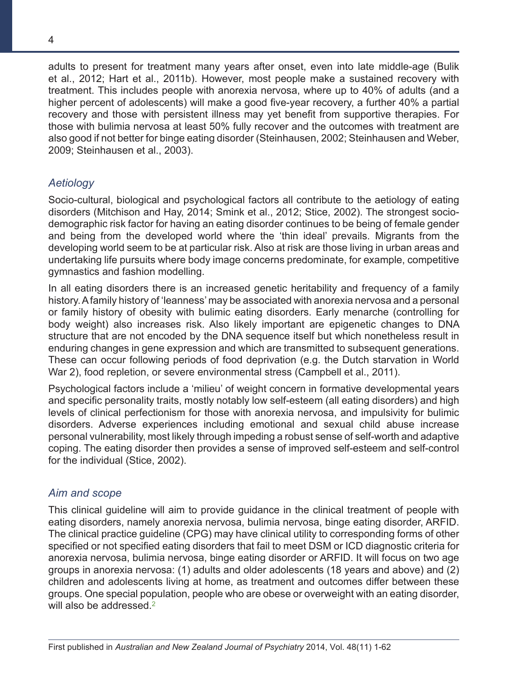adults to present for treatment many years after onset, even into late middle-age (Bulik et al., 2012; Hart et al., 2011b). However, most people make a sustained recovery with treatment. This includes people with anorexia nervosa, where up to 40% of adults (and a higher percent of adolescents) will make a good five-year recovery, a further 40% a partial recovery and those with persistent illness may yet benefit from supportive therapies. For those with bulimia nervosa at least 50% fully recover and the outcomes with treatment are also good if not better for binge eating disorder (Steinhausen, 2002; Steinhausen and Weber, 2009; Steinhausen et al., 2003).

#### *Aetiology*

Socio-cultural, biological and psychological factors all contribute to the aetiology of eating disorders (Mitchison and Hay, 2014; Smink et al., 2012; Stice, 2002). The strongest sociodemographic risk factor for having an eating disorder continues to be being of female gender and being from the developed world where the 'thin ideal' prevails. Migrants from the developing world seem to be at particular risk. Also at risk are those living in urban areas and undertaking life pursuits where body image concerns predominate, for example, competitive gymnastics and fashion modelling.

In all eating disorders there is an increased genetic heritability and frequency of a family history. A family history of 'leanness' may be associated with anorexia nervosa and a personal or family history of obesity with bulimic eating disorders. Early menarche (controlling for body weight) also increases risk. Also likely important are epigenetic changes to DNA structure that are not encoded by the DNA sequence itself but which nonetheless result in enduring changes in gene expression and which are transmitted to subsequent generations. These can occur following periods of food deprivation (e.g. the Dutch starvation in World War 2), food repletion, or severe environmental stress (Campbell et al., 2011).

Psychological factors include a 'milieu' of weight concern in formative developmental years and specific personality traits, mostly notably low self-esteem (all eating disorders) and high levels of clinical perfectionism for those with anorexia nervosa, and impulsivity for bulimic disorders. Adverse experiences including emotional and sexual child abuse increase personal vulnerability, most likely through impeding a robust sense of self-worth and adaptive coping. The eating disorder then provides a sense of improved self-esteem and self-control for the individual (Stice, 2002).

#### *Aim and scope*

This clinical guideline will aim to provide guidance in the clinical treatment of people with eating disorders, namely anorexia nervosa, bulimia nervosa, binge eating disorder, ARFID. The clinical practice guideline (CPG) may have clinical utility to corresponding forms of other specified or not specified eating disorders that fail to meet DSM or ICD diagnostic criteria for anorexia nervosa, bulimia nervosa, binge eating disorder or ARFID. It will focus on two age groups in anorexia nervosa: (1) adults and older adolescents (18 years and above) and (2) children and adolescents living at home, as treatment and outcomes differ between these groups. One special population, people who are obese or overweight with an eating disorder, will also be addressed.<sup>2</sup>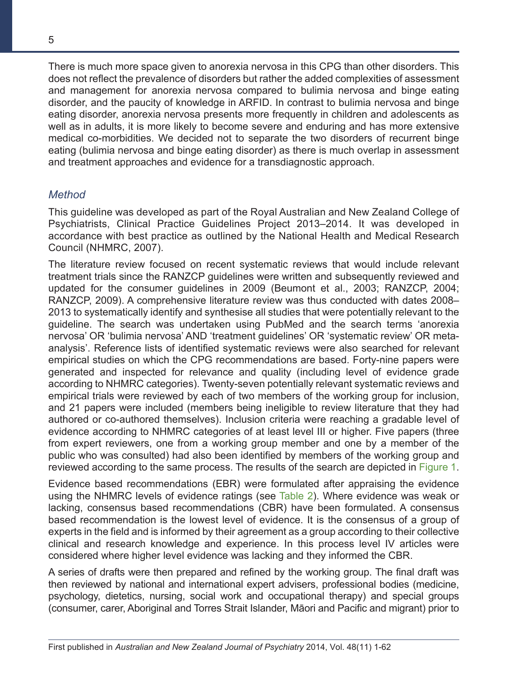There is much more space given to anorexia nervosa in this CPG than other disorders. This does not reflect the prevalence of disorders but rather the added complexities of assessment and management for anorexia nervosa compared to bulimia nervosa and binge eating disorder, and the paucity of knowledge in ARFID. In contrast to bulimia nervosa and binge eating disorder, anorexia nervosa presents more frequently in children and adolescents as well as in adults, it is more likely to become severe and enduring and has more extensive medical co-morbidities. We decided not to separate the two disorders of recurrent binge eating (bulimia nervosa and binge eating disorder) as there is much overlap in assessment and treatment approaches and evidence for a transdiagnostic approach.

## *Method*

This guideline was developed as part of the Royal Australian and New Zealand College of Psychiatrists, Clinical Practice Guidelines Project 2013–2014. It was developed in accordance with best practice as outlined by the National Health and Medical Research Council (NHMRC, 2007).

The literature review focused on recent systematic reviews that would include relevant treatment trials since the RANZCP guidelines were written and subsequently reviewed and updated for the consumer guidelines in 2009 (Beumont et al., 2003; RANZCP, 2004; RANZCP, 2009). A comprehensive literature review was thus conducted with dates 2008– 2013 to systematically identify and synthesise all studies that were potentially relevant to the guideline. The search was undertaken using PubMed and the search terms 'anorexia nervosa' OR 'bulimia nervosa' AND 'treatment guidelines' OR 'systematic review' OR metaanalysis'. Reference lists of identified systematic reviews were also searched for relevant empirical studies on which the CPG recommendations are based. Forty-nine papers were generated and inspected for relevance and quality (including level of evidence grade according to NHMRC categories). Twenty-seven potentially relevant systematic reviews and empirical trials were reviewed by each of two members of the working group for inclusion, and 21 papers were included (members being ineligible to review literature that they had authored or co-authored themselves). Inclusion criteria were reaching a gradable level of evidence according to NHMRC categories of at least level III or higher. Five papers (three from expert reviewers, one from a working group member and one by a member of the public who was consulted) had also been identified by members of the working group and reviewed according to the same process. The results of the search are depicted in Figure 1.

Evidence based recommendations (EBR) were formulated after appraising the evidence using the NHMRC levels of evidence ratings (see [Table 2](#page-51-0)). Where evidence was weak or lacking, consensus based recommendations (CBR) have been formulated. A consensus based recommendation is the lowest level of evidence. It is the consensus of a group of experts in the field and is informed by their agreement as a group according to their collective clinical and research knowledge and experience. In this process level IV articles were considered where higher level evidence was lacking and they informed the CBR.

A series of drafts were then prepared and refined by the working group. The final draft was then reviewed by national and international expert advisers, professional bodies (medicine, psychology, dietetics, nursing, social work and occupational therapy) and special groups (consumer, carer, Aboriginal and Torres Strait Islander, Māori and Pacific and migrant) prior to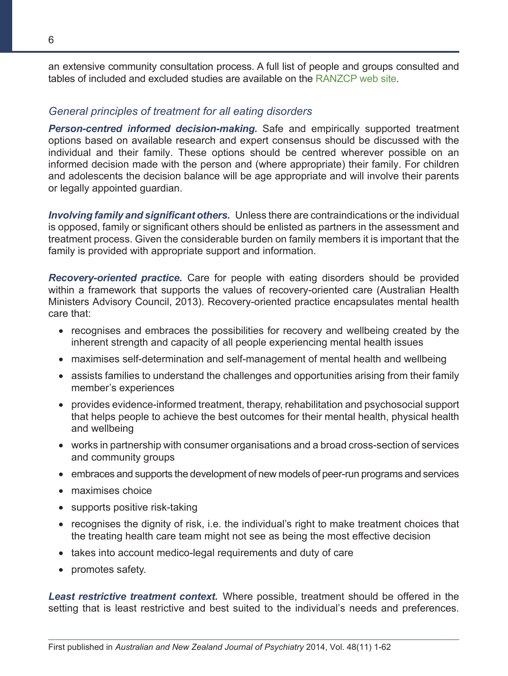an extensive community consultation process. A full list of people and groups consulted and tables of included and excluded studies are available on the [RANZCP web site.](https://www.ranzcp.org)

#### *General principles of treatment for all eating disorders*

*Person-centred informed decision-making.* Safe and empirically supported treatment options based on available research and expert consensus should be discussed with the individual and their family. These options should be centred wherever possible on an informed decision made with the person and (where appropriate) their family. For children and adolescents the decision balance will be age appropriate and will involve their parents or legally appointed guardian.

*Involving family and significant others.* Unless there are contraindications or the individual is opposed, family or significant others should be enlisted as partners in the assessment and treatment process. Given the considerable burden on family members it is important that the family is provided with appropriate support and information.

*Recovery-oriented practice.* Care for people with eating disorders should be provided within a framework that supports the values of recovery-oriented care (Australian Health Ministers Advisory Council, 2013). Recovery-oriented practice encapsulates mental health care that:

- recognises and embraces the possibilities for recovery and wellbeing created by the inherent strength and capacity of all people experiencing mental health issues
- maximises self-determination and self-management of mental health and wellbeing
- assists families to understand the challenges and opportunities arising from their family member's experiences
- provides evidence-informed treatment, therapy, rehabilitation and psychosocial support that helps people to achieve the best outcomes for their mental health, physical health and wellbeing
- works in partnership with consumer organisations and a broad cross-section of services and community groups
- embraces and supports the development of new models of peer-run programs and services
- maximises choice
- supports positive risk-taking
- recognises the dignity of risk, i.e. the individual's right to make treatment choices that the treating health care team might not see as being the most effective decision
- takes into account medico-legal requirements and duty of care
- promotes safety.

*Least restrictive treatment context.* Where possible, treatment should be offered in the setting that is least restrictive and best suited to the individual's needs and preferences.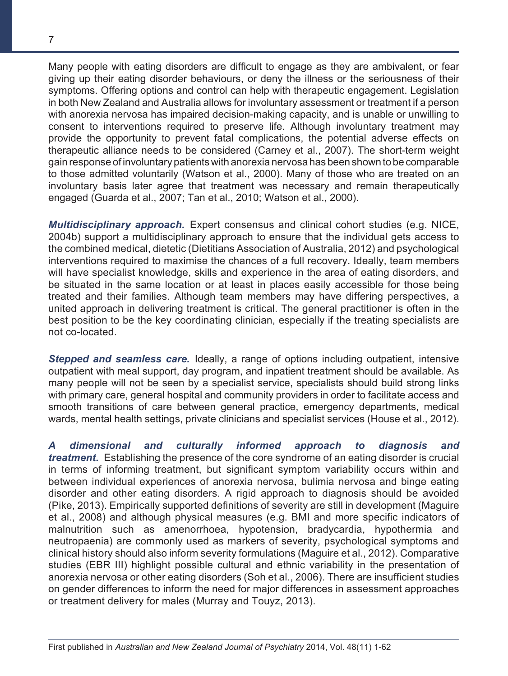Many people with eating disorders are difficult to engage as they are ambivalent, or fear giving up their eating disorder behaviours, or deny the illness or the seriousness of their symptoms. Offering options and control can help with therapeutic engagement. Legislation in both New Zealand and Australia allows for involuntary assessment or treatment if a person with anorexia nervosa has impaired decision-making capacity, and is unable or unwilling to consent to interventions required to preserve life. Although involuntary treatment may provide the opportunity to prevent fatal complications, the potential adverse effects on therapeutic alliance needs to be considered (Carney et al., 2007). The short-term weight gain response of involuntary patients with anorexia nervosa has been shown to be comparable to those admitted voluntarily (Watson et al., 2000). Many of those who are treated on an involuntary basis later agree that treatment was necessary and remain therapeutically engaged (Guarda et al., 2007; Tan et al., 2010; Watson et al., 2000).

*Multidisciplinary approach.* Expert consensus and clinical cohort studies (e.g. NICE, 2004b) support a multidisciplinary approach to ensure that the individual gets access to the combined medical, dietetic (Dietitians Association of Australia, 2012) and psychological interventions required to maximise the chances of a full recovery. Ideally, team members will have specialist knowledge, skills and experience in the area of eating disorders, and be situated in the same location or at least in places easily accessible for those being treated and their families. Although team members may have differing perspectives, a united approach in delivering treatment is critical. The general practitioner is often in the best position to be the key coordinating clinician, especially if the treating specialists are not co-located.

*Stepped and seamless care.* Ideally, a range of options including outpatient, intensive outpatient with meal support, day program, and inpatient treatment should be available. As many people will not be seen by a specialist service, specialists should build strong links with primary care, general hospital and community providers in order to facilitate access and smooth transitions of care between general practice, emergency departments, medical wards, mental health settings, private clinicians and specialist services (House et al., 2012).

*A dimensional and culturally informed approach to diagnosis and treatment.* Establishing the presence of the core syndrome of an eating disorder is crucial in terms of informing treatment, but significant symptom variability occurs within and between individual experiences of anorexia nervosa, bulimia nervosa and binge eating disorder and other eating disorders. A rigid approach to diagnosis should be avoided (Pike, 2013). Empirically supported definitions of severity are still in development (Maguire et al., 2008) and although physical measures (e.g. BMI and more specific indicators of malnutrition such as amenorrhoea, hypotension, bradycardia, hypothermia and neutropaenia) are commonly used as markers of severity, psychological symptoms and clinical history should also inform severity formulations (Maguire et al., 2012). Comparative studies (EBR III) highlight possible cultural and ethnic variability in the presentation of anorexia nervosa or other eating disorders (Soh et al., 2006). There are insufficient studies on gender differences to inform the need for major differences in assessment approaches or treatment delivery for males (Murray and Touyz, 2013).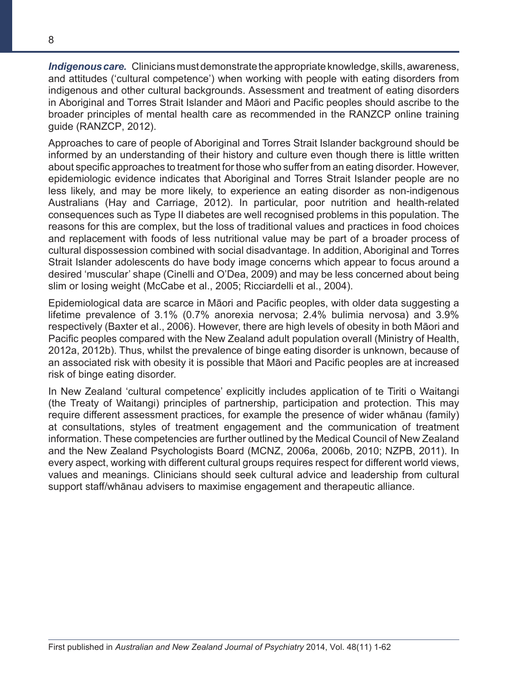*Indigenous care.* Clinicians must demonstrate the appropriate knowledge, skills, awareness, and attitudes ('cultural competence') when working with people with eating disorders from indigenous and other cultural backgrounds. Assessment and treatment of eating disorders in Aboriginal and Torres Strait Islander and Māori and Pacific peoples should ascribe to the broader principles of mental health care as recommended in the RANZCP online training guide (RANZCP, 2012).

Approaches to care of people of Aboriginal and Torres Strait Islander background should be informed by an understanding of their history and culture even though there is little written about specific approaches to treatment for those who suffer from an eating disorder. However, epidemiologic evidence indicates that Aboriginal and Torres Strait Islander people are no less likely, and may be more likely, to experience an eating disorder as non-indigenous Australians (Hay and Carriage, 2012). In particular, poor nutrition and health-related consequences such as Type II diabetes are well recognised problems in this population. The reasons for this are complex, but the loss of traditional values and practices in food choices and replacement with foods of less nutritional value may be part of a broader process of cultural dispossession combined with social disadvantage. In addition, Aboriginal and Torres Strait Islander adolescents do have body image concerns which appear to focus around a desired 'muscular' shape (Cinelli and O'Dea, 2009) and may be less concerned about being slim or losing weight (McCabe et al., 2005; Ricciardelli et al., 2004).

Epidemiological data are scarce in Māori and Pacific peoples, with older data suggesting a lifetime prevalence of 3.1% (0.7% anorexia nervosa; 2.4% bulimia nervosa) and 3.9% respectively (Baxter et al., 2006). However, there are high levels of obesity in both Māori and Pacific peoples compared with the New Zealand adult population overall (Ministry of Health, 2012a, 2012b). Thus, whilst the prevalence of binge eating disorder is unknown, because of an associated risk with obesity it is possible that Māori and Pacific peoples are at increased risk of binge eating disorder.

In New Zealand 'cultural competence' explicitly includes application of te Tiriti o Waitangi (the Treaty of Waitangi) principles of partnership, participation and protection. This may require different assessment practices, for example the presence of wider whānau (family) at consultations, styles of treatment engagement and the communication of treatment information. These competencies are further outlined by the Medical Council of New Zealand and the New Zealand Psychologists Board (MCNZ, 2006a, 2006b, 2010; NZPB, 2011). In every aspect, working with different cultural groups requires respect for different world views, values and meanings. Clinicians should seek cultural advice and leadership from cultural support staff/whānau advisers to maximise engagement and therapeutic alliance.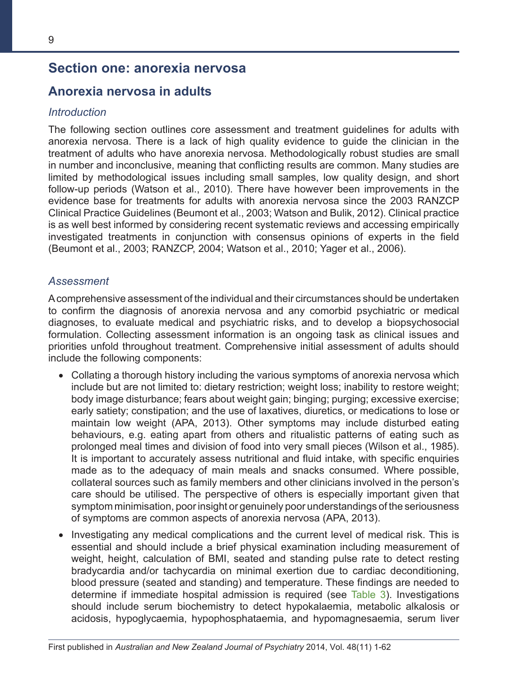## **Section one: anorexia nervosa**

### **Anorexia nervosa in adults**

#### *Introduction*

The following section outlines core assessment and treatment guidelines for adults with anorexia nervosa. There is a lack of high quality evidence to guide the clinician in the treatment of adults who have anorexia nervosa. Methodologically robust studies are small in number and inconclusive, meaning that conflicting results are common. Many studies are limited by methodological issues including small samples, low quality design, and short follow-up periods (Watson et al., 2010). There have however been improvements in the evidence base for treatments for adults with anorexia nervosa since the 2003 RANZCP Clinical Practice Guidelines (Beumont et al., 2003; Watson and Bulik, 2012). Clinical practice is as well best informed by considering recent systematic reviews and accessing empirically investigated treatments in conjunction with consensus opinions of experts in the field (Beumont et al., 2003; RANZCP, 2004; Watson et al., 2010; Yager et al., 2006).

#### *Assessment*

A comprehensive assessment of the individual and their circumstances should be undertaken to confirm the diagnosis of anorexia nervosa and any comorbid psychiatric or medical diagnoses, to evaluate medical and psychiatric risks, and to develop a biopsychosocial formulation. Collecting assessment information is an ongoing task as clinical issues and priorities unfold throughout treatment. Comprehensive initial assessment of adults should include the following components:

- Collating a thorough history including the various symptoms of anorexia nervosa which include but are not limited to: dietary restriction; weight loss; inability to restore weight; body image disturbance; fears about weight gain; binging; purging; excessive exercise; early satiety; constipation; and the use of laxatives, diuretics, or medications to lose or maintain low weight (APA, 2013). Other symptoms may include disturbed eating behaviours, e.g. eating apart from others and ritualistic patterns of eating such as prolonged meal times and division of food into very small pieces (Wilson et al., 1985). It is important to accurately assess nutritional and fluid intake, with specific enquiries made as to the adequacy of main meals and snacks consumed. Where possible, collateral sources such as family members and other clinicians involved in the person's care should be utilised. The perspective of others is especially important given that symptom minimisation, poor insight or genuinely poor understandings of the seriousness of symptoms are common aspects of anorexia nervosa (APA, 2013).
- Investigating any medical complications and the current level of medical risk. This is essential and should include a brief physical examination including measurement of weight, height, calculation of BMI, seated and standing pulse rate to detect resting bradycardia and/or tachycardia on minimal exertion due to cardiac deconditioning, blood pressure (seated and standing) and temperature. These findings are needed to determine if immediate hospital admission is required (see [Table 3\)](#page-52-0). Investigations should include serum biochemistry to detect hypokalaemia, metabolic alkalosis or acidosis, hypoglycaemia, hypophosphataemia, and hypomagnesaemia, serum liver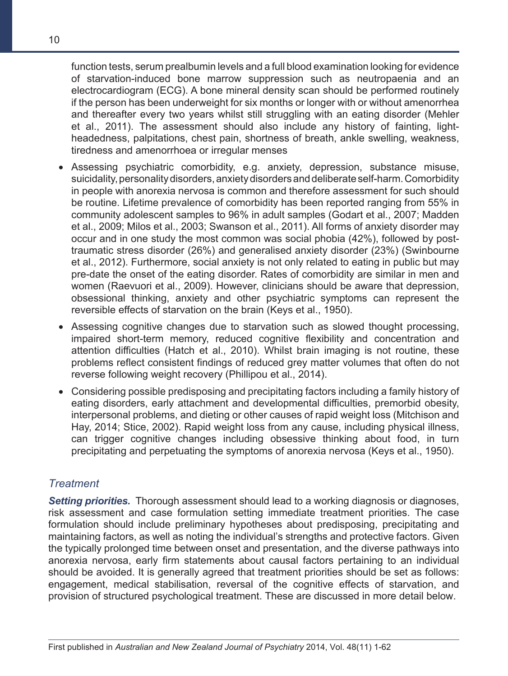function tests, serum prealbumin levels and a full blood examination looking for evidence of starvation-induced bone marrow suppression such as neutropaenia and an electrocardiogram (ECG). A bone mineral density scan should be performed routinely if the person has been underweight for six months or longer with or without amenorrhea and thereafter every two years whilst still struggling with an eating disorder (Mehler et al., 2011). The assessment should also include any history of fainting, lightheadedness, palpitations, chest pain, shortness of breath, ankle swelling, weakness, tiredness and amenorrhoea or irregular menses

- Assessing psychiatric comorbidity, e.g. anxiety, depression, substance misuse, suicidality, personality disorders, anxiety disorders and deliberate self-harm. Comorbidity in people with anorexia nervosa is common and therefore assessment for such should be routine. Lifetime prevalence of comorbidity has been reported ranging from 55% in community adolescent samples to 96% in adult samples (Godart et al., 2007; Madden et al., 2009; Milos et al., 2003; Swanson et al., 2011). All forms of anxiety disorder may occur and in one study the most common was social phobia (42%), followed by posttraumatic stress disorder (26%) and generalised anxiety disorder (23%) (Swinbourne et al., 2012). Furthermore, social anxiety is not only related to eating in public but may pre-date the onset of the eating disorder. Rates of comorbidity are similar in men and women (Raevuori et al., 2009). However, clinicians should be aware that depression, obsessional thinking, anxiety and other psychiatric symptoms can represent the reversible effects of starvation on the brain (Keys et al., 1950).
- Assessing cognitive changes due to starvation such as slowed thought processing, impaired short-term memory, reduced cognitive flexibility and concentration and attention difficulties (Hatch et al., 2010). Whilst brain imaging is not routine, these problems reflect consistent findings of reduced grey matter volumes that often do not reverse following weight recovery (Phillipou et al., 2014).
- Considering possible predisposing and precipitating factors including a family history of eating disorders, early attachment and developmental difficulties, premorbid obesity, interpersonal problems, and dieting or other causes of rapid weight loss (Mitchison and Hay, 2014; Stice, 2002). Rapid weight loss from any cause, including physical illness, can trigger cognitive changes including obsessive thinking about food, in turn precipitating and perpetuating the symptoms of anorexia nervosa (Keys et al., 1950).

#### *Treatment*

**Setting priorities.** Thorough assessment should lead to a working diagnosis or diagnoses, risk assessment and case formulation setting immediate treatment priorities. The case formulation should include preliminary hypotheses about predisposing, precipitating and maintaining factors, as well as noting the individual's strengths and protective factors. Given the typically prolonged time between onset and presentation, and the diverse pathways into anorexia nervosa, early firm statements about causal factors pertaining to an individual should be avoided. It is generally agreed that treatment priorities should be set as follows: engagement, medical stabilisation, reversal of the cognitive effects of starvation, and provision of structured psychological treatment. These are discussed in more detail below.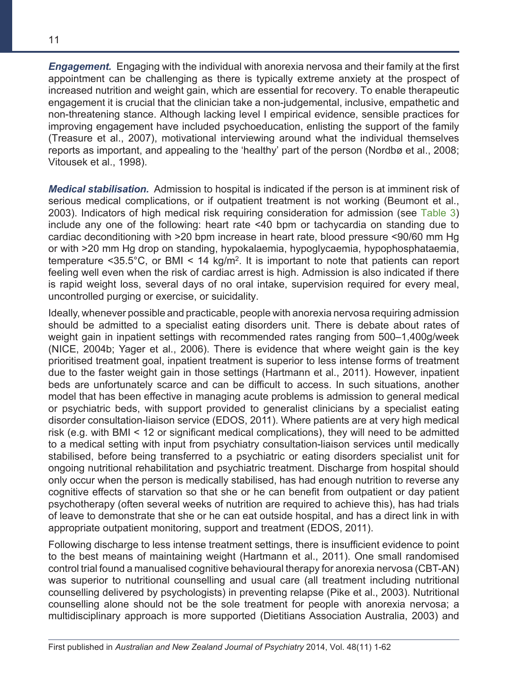*Engagement.* Engaging with the individual with anorexia nervosa and their family at the first appointment can be challenging as there is typically extreme anxiety at the prospect of increased nutrition and weight gain, which are essential for recovery. To enable therapeutic engagement it is crucial that the clinician take a non-judgemental, inclusive, empathetic and non-threatening stance. Although lacking level I empirical evidence, sensible practices for improving engagement have included psychoeducation, enlisting the support of the family (Treasure et al., 2007), motivational interviewing around what the individual themselves reports as important, and appealing to the 'healthy' part of the person (Nordbø et al., 2008; Vitousek et al., 1998).

*Medical stabilisation.* Admission to hospital is indicated if the person is at imminent risk of serious medical complications, or if outpatient treatment is not working (Beumont et al., 2003). Indicators of high medical risk requiring consideration for admission (see [Table 3\)](#page-52-0) include any one of the following: heart rate <40 bpm or tachycardia on standing due to cardiac deconditioning with >20 bpm increase in heart rate, blood pressure <90/60 mm Hg or with >20 mm Hg drop on standing, hypokalaemia, hypoglycaemia, hypophosphataemia, temperature <35.5°C, or BMI < 14 kg/m2. It is important to note that patients can report feeling well even when the risk of cardiac arrest is high. Admission is also indicated if there is rapid weight loss, several days of no oral intake, supervision required for every meal, uncontrolled purging or exercise, or suicidality.

Ideally, whenever possible and practicable, people with anorexia nervosa requiring admission should be admitted to a specialist eating disorders unit. There is debate about rates of weight gain in inpatient settings with recommended rates ranging from 500–1,400g/week (NICE, 2004b; Yager et al., 2006). There is evidence that where weight gain is the key prioritised treatment goal, inpatient treatment is superior to less intense forms of treatment due to the faster weight gain in those settings (Hartmann et al., 2011). However, inpatient beds are unfortunately scarce and can be difficult to access. In such situations, another model that has been effective in managing acute problems is admission to general medical or psychiatric beds, with support provided to generalist clinicians by a specialist eating disorder consultation-liaison service (EDOS, 2011). Where patients are at very high medical risk (e.g. with BMI < 12 or significant medical complications), they will need to be admitted to a medical setting with input from psychiatry consultation-liaison services until medically stabilised, before being transferred to a psychiatric or eating disorders specialist unit for ongoing nutritional rehabilitation and psychiatric treatment. Discharge from hospital should only occur when the person is medically stabilised, has had enough nutrition to reverse any cognitive effects of starvation so that she or he can benefit from outpatient or day patient psychotherapy (often several weeks of nutrition are required to achieve this), has had trials of leave to demonstrate that she or he can eat outside hospital, and has a direct link in with appropriate outpatient monitoring, support and treatment (EDOS, 2011).

Following discharge to less intense treatment settings, there is insufficient evidence to point to the best means of maintaining weight (Hartmann et al., 2011). One small randomised control trial found a manualised cognitive behavioural therapy for anorexia nervosa (CBT-AN) was superior to nutritional counselling and usual care (all treatment including nutritional counselling delivered by psychologists) in preventing relapse (Pike et al., 2003). Nutritional counselling alone should not be the sole treatment for people with anorexia nervosa; a multidisciplinary approach is more supported (Dietitians Association Australia, 2003) and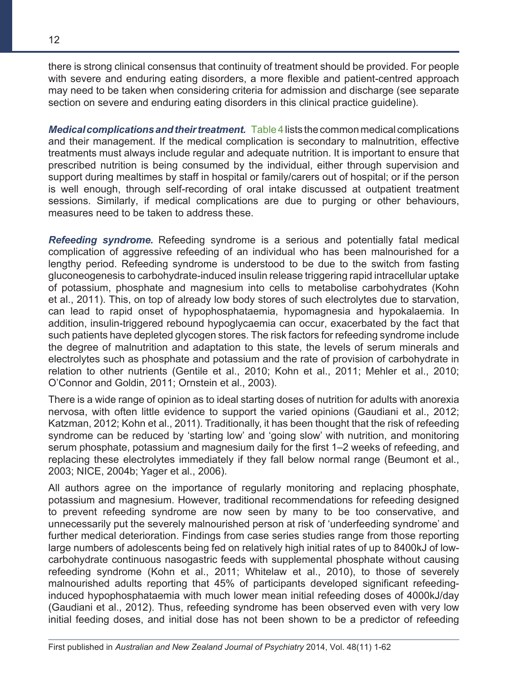there is strong clinical consensus that continuity of treatment should be provided. For people with severe and enduring eating disorders, a more flexible and patient-centred approach may need to be taken when considering criteria for admission and discharge (see separate section on severe and enduring eating disorders in this clinical practice guideline).

*Medical complications and their treatment.* [Table 4](#page-54-0) lists the common medical complications and their management. If the medical complication is secondary to malnutrition, effective treatments must always include regular and adequate nutrition. It is important to ensure that prescribed nutrition is being consumed by the individual, either through supervision and support during mealtimes by staff in hospital or family/carers out of hospital; or if the person is well enough, through self-recording of oral intake discussed at outpatient treatment sessions. Similarly, if medical complications are due to purging or other behaviours, measures need to be taken to address these.

*Refeeding syndrome.* Refeeding syndrome is a serious and potentially fatal medical complication of aggressive refeeding of an individual who has been malnourished for a lengthy period. Refeeding syndrome is understood to be due to the switch from fasting gluconeogenesis to carbohydrate-induced insulin release triggering rapid intracellular uptake of potassium, phosphate and magnesium into cells to metabolise carbohydrates (Kohn et al., 2011). This, on top of already low body stores of such electrolytes due to starvation, can lead to rapid onset of hypophosphataemia, hypomagnesia and hypokalaemia. In addition, insulin-triggered rebound hypoglycaemia can occur, exacerbated by the fact that such patients have depleted glycogen stores. The risk factors for refeeding syndrome include the degree of malnutrition and adaptation to this state, the levels of serum minerals and electrolytes such as phosphate and potassium and the rate of provision of carbohydrate in relation to other nutrients (Gentile et al., 2010; Kohn et al., 2011; Mehler et al., 2010; O'Connor and Goldin, 2011; Ornstein et al., 2003).

There is a wide range of opinion as to ideal starting doses of nutrition for adults with anorexia nervosa, with often little evidence to support the varied opinions (Gaudiani et al., 2012; Katzman, 2012; Kohn et al., 2011). Traditionally, it has been thought that the risk of refeeding syndrome can be reduced by 'starting low' and 'going slow' with nutrition, and monitoring serum phosphate, potassium and magnesium daily for the first 1–2 weeks of refeeding, and replacing these electrolytes immediately if they fall below normal range (Beumont et al., 2003; NICE, 2004b; Yager et al., 2006).

All authors agree on the importance of regularly monitoring and replacing phosphate, potassium and magnesium. However, traditional recommendations for refeeding designed to prevent refeeding syndrome are now seen by many to be too conservative, and unnecessarily put the severely malnourished person at risk of 'underfeeding syndrome' and further medical deterioration. Findings from case series studies range from those reporting large numbers of adolescents being fed on relatively high initial rates of up to 8400kJ of lowcarbohydrate continuous nasogastric feeds with supplemental phosphate without causing refeeding syndrome (Kohn et al., 2011; Whitelaw et al., 2010), to those of severely malnourished adults reporting that 45% of participants developed significant refeedinginduced hypophosphataemia with much lower mean initial refeeding doses of 4000kJ/day (Gaudiani et al., 2012). Thus, refeeding syndrome has been observed even with very low initial feeding doses, and initial dose has not been shown to be a predictor of refeeding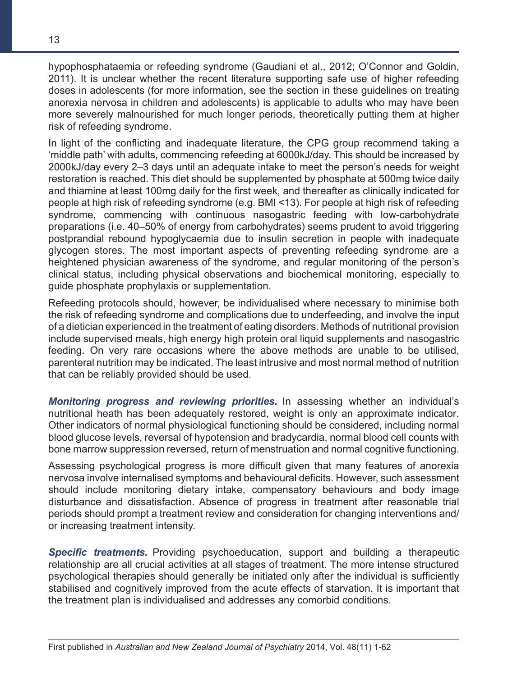hypophosphataemia or refeeding syndrome (Gaudiani et al., 2012; O'Connor and Goldin, 2011). It is unclear whether the recent literature supporting safe use of higher refeeding doses in adolescents (for more information, see the section in these guidelines on treating anorexia nervosa in children and adolescents) is applicable to adults who may have been more severely malnourished for much longer periods, theoretically putting them at higher risk of refeeding syndrome.

In light of the conflicting and inadequate literature, the CPG group recommend taking a 'middle path' with adults, commencing refeeding at 6000kJ/day. This should be increased by 2000kJ/day every 2–3 days until an adequate intake to meet the person's needs for weight restoration is reached. This diet should be supplemented by phosphate at 500mg twice daily and thiamine at least 100mg daily for the first week, and thereafter as clinically indicated for people at high risk of refeeding syndrome (e.g. BMI <13). For people at high risk of refeeding syndrome, commencing with continuous nasogastric feeding with low-carbohydrate preparations (i.e. 40–50% of energy from carbohydrates) seems prudent to avoid triggering postprandial rebound hypoglycaemia due to insulin secretion in people with inadequate glycogen stores. The most important aspects of preventing refeeding syndrome are a heightened physician awareness of the syndrome, and regular monitoring of the person's clinical status, including physical observations and biochemical monitoring, especially to guide phosphate prophylaxis or supplementation.

Refeeding protocols should, however, be individualised where necessary to minimise both the risk of refeeding syndrome and complications due to underfeeding, and involve the input of a dietician experienced in the treatment of eating disorders. Methods of nutritional provision include supervised meals, high energy high protein oral liquid supplements and nasogastric feeding. On very rare occasions where the above methods are unable to be utilised, parenteral nutrition may be indicated. The least intrusive and most normal method of nutrition that can be reliably provided should be used.

*Monitoring progress and reviewing priorities.* In assessing whether an individual's nutritional heath has been adequately restored, weight is only an approximate indicator. Other indicators of normal physiological functioning should be considered, including normal blood glucose levels, reversal of hypotension and bradycardia, normal blood cell counts with bone marrow suppression reversed, return of menstruation and normal cognitive functioning.

Assessing psychological progress is more difficult given that many features of anorexia nervosa involve internalised symptoms and behavioural deficits. However, such assessment should include monitoring dietary intake, compensatory behaviours and body image disturbance and dissatisfaction. Absence of progress in treatment after reasonable trial periods should prompt a treatment review and consideration for changing interventions and/ or increasing treatment intensity.

*Specific treatments.* Providing psychoeducation, support and building a therapeutic relationship are all crucial activities at all stages of treatment. The more intense structured psychological therapies should generally be initiated only after the individual is sufficiently stabilised and cognitively improved from the acute effects of starvation. It is important that the treatment plan is individualised and addresses any comorbid conditions.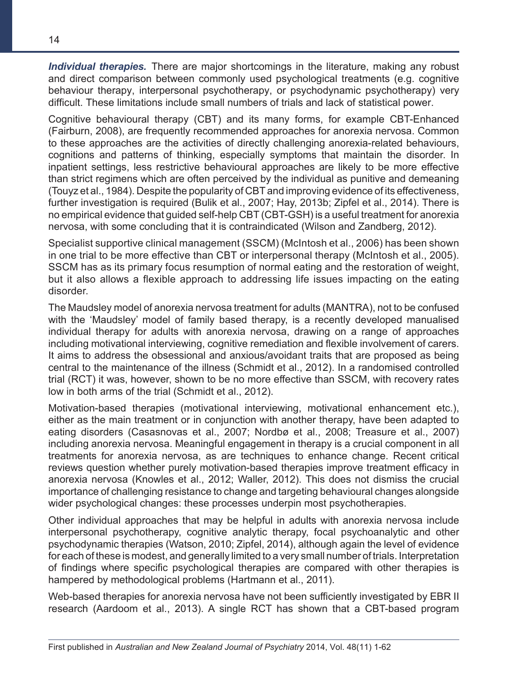*Individual therapies.* There are major shortcomings in the literature, making any robust and direct comparison between commonly used psychological treatments (e.g. cognitive behaviour therapy, interpersonal psychotherapy, or psychodynamic psychotherapy) very difficult. These limitations include small numbers of trials and lack of statistical power.

Cognitive behavioural therapy (CBT) and its many forms, for example CBT-Enhanced (Fairburn, 2008), are frequently recommended approaches for anorexia nervosa. Common to these approaches are the activities of directly challenging anorexia-related behaviours, cognitions and patterns of thinking, especially symptoms that maintain the disorder. In inpatient settings, less restrictive behavioural approaches are likely to be more effective than strict regimens which are often perceived by the individual as punitive and demeaning (Touyz et al., 1984). Despite the popularity of CBT and improving evidence of its effectiveness, further investigation is required (Bulik et al., 2007; Hay, 2013b; Zipfel et al., 2014). There is no empirical evidence that guided self-help CBT (CBT-GSH) is a useful treatment for anorexia nervosa, with some concluding that it is contraindicated (Wilson and Zandberg, 2012).

Specialist supportive clinical management (SSCM) (McIntosh et al., 2006) has been shown in one trial to be more effective than CBT or interpersonal therapy (McIntosh et al., 2005). SSCM has as its primary focus resumption of normal eating and the restoration of weight, but it also allows a flexible approach to addressing life issues impacting on the eating disorder.

The Maudsley model of anorexia nervosa treatment for adults (MANTRA), not to be confused with the 'Maudsley' model of family based therapy, is a recently developed manualised individual therapy for adults with anorexia nervosa, drawing on a range of approaches including motivational interviewing, cognitive remediation and flexible involvement of carers. It aims to address the obsessional and anxious/avoidant traits that are proposed as being central to the maintenance of the illness (Schmidt et al., 2012). In a randomised controlled trial (RCT) it was, however, shown to be no more effective than SSCM, with recovery rates low in both arms of the trial (Schmidt et al., 2012).

Motivation-based therapies (motivational interviewing, motivational enhancement etc.), either as the main treatment or in conjunction with another therapy, have been adapted to eating disorders (Casasnovas et al., 2007; Nordbø et al., 2008; Treasure et al., 2007) including anorexia nervosa. Meaningful engagement in therapy is a crucial component in all treatments for anorexia nervosa, as are techniques to enhance change. Recent critical reviews question whether purely motivation-based therapies improve treatment efficacy in anorexia nervosa (Knowles et al., 2012; Waller, 2012). This does not dismiss the crucial importance of challenging resistance to change and targeting behavioural changes alongside wider psychological changes: these processes underpin most psychotherapies.

Other individual approaches that may be helpful in adults with anorexia nervosa include interpersonal psychotherapy, cognitive analytic therapy, focal psychoanalytic and other psychodynamic therapies (Watson, 2010; Zipfel, 2014), although again the level of evidence for each of these is modest, and generally limited to a very small number of trials. Interpretation of findings where specific psychological therapies are compared with other therapies is hampered by methodological problems (Hartmann et al., 2011).

Web-based therapies for anorexia nervosa have not been sufficiently investigated by EBR II research (Aardoom et al., 2013). A single RCT has shown that a CBT-based program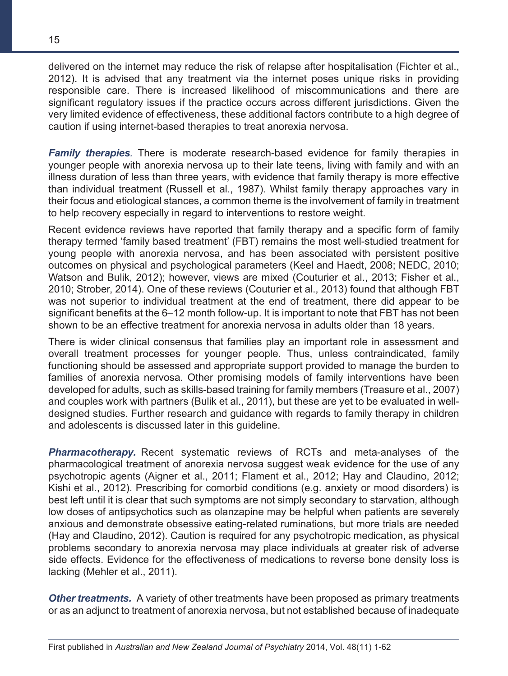delivered on the internet may reduce the risk of relapse after hospitalisation (Fichter et al., 2012). It is advised that any treatment via the internet poses unique risks in providing responsible care. There is increased likelihood of miscommunications and there are significant regulatory issues if the practice occurs across different jurisdictions. Given the very limited evidence of effectiveness, these additional factors contribute to a high degree of caution if using internet-based therapies to treat anorexia nervosa.

*Family therapies.* There is moderate research-based evidence for family therapies in younger people with anorexia nervosa up to their late teens, living with family and with an illness duration of less than three years, with evidence that family therapy is more effective than individual treatment (Russell et al., 1987). Whilst family therapy approaches vary in their focus and etiological stances, a common theme is the involvement of family in treatment to help recovery especially in regard to interventions to restore weight.

Recent evidence reviews have reported that family therapy and a specific form of family therapy termed 'family based treatment' (FBT) remains the most well-studied treatment for young people with anorexia nervosa, and has been associated with persistent positive outcomes on physical and psychological parameters (Keel and Haedt, 2008; NEDC, 2010; Watson and Bulik, 2012); however, views are mixed (Couturier et al., 2013; Fisher et al., 2010; Strober, 2014). One of these reviews (Couturier et al., 2013) found that although FBT was not superior to individual treatment at the end of treatment, there did appear to be significant benefits at the 6–12 month follow-up. It is important to note that FBT has not been shown to be an effective treatment for anorexia nervosa in adults older than 18 years.

There is wider clinical consensus that families play an important role in assessment and overall treatment processes for younger people. Thus, unless contraindicated, family functioning should be assessed and appropriate support provided to manage the burden to families of anorexia nervosa. Other promising models of family interventions have been developed for adults, such as skills-based training for family members (Treasure et al., 2007) and couples work with partners (Bulik et al., 2011), but these are yet to be evaluated in welldesigned studies. Further research and guidance with regards to family therapy in children and adolescents is discussed later in this guideline.

*Pharmacotherapy.* Recent systematic reviews of RCTs and meta-analyses of the pharmacological treatment of anorexia nervosa suggest weak evidence for the use of any psychotropic agents (Aigner et al., 2011; Flament et al., 2012; Hay and Claudino, 2012; Kishi et al., 2012). Prescribing for comorbid conditions (e.g. anxiety or mood disorders) is best left until it is clear that such symptoms are not simply secondary to starvation, although low doses of antipsychotics such as olanzapine may be helpful when patients are severely anxious and demonstrate obsessive eating-related ruminations, but more trials are needed (Hay and Claudino, 2012). Caution is required for any psychotropic medication, as physical problems secondary to anorexia nervosa may place individuals at greater risk of adverse side effects. Evidence for the effectiveness of medications to reverse bone density loss is lacking (Mehler et al., 2011).

**Other treatments.** A variety of other treatments have been proposed as primary treatments or as an adjunct to treatment of anorexia nervosa, but not established because of inadequate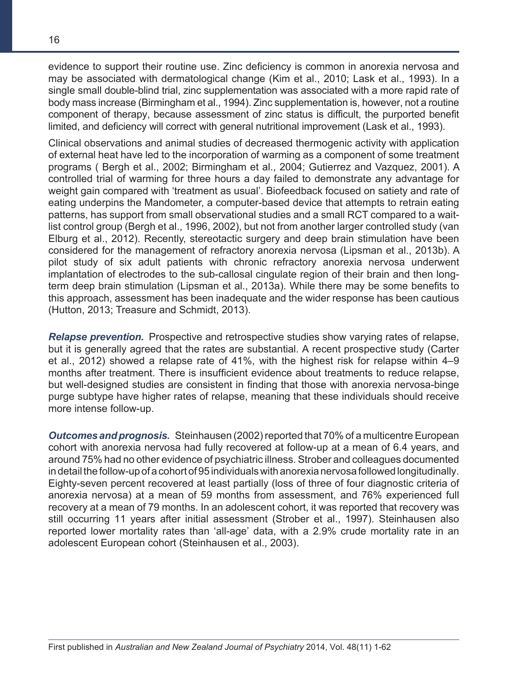evidence to support their routine use. Zinc deficiency is common in anorexia nervosa and may be associated with dermatological change (Kim et al., 2010; Lask et al., 1993). In a single small double-blind trial, zinc supplementation was associated with a more rapid rate of body mass increase (Birmingham et al., 1994). Zinc supplementation is, however, not a routine component of therapy, because assessment of zinc status is difficult, the purported benefit limited, and deficiency will correct with general nutritional improvement (Lask et al., 1993).

Clinical observations and animal studies of decreased thermogenic activity with application of external heat have led to the incorporation of warming as a component of some treatment programs ( Bergh et al., 2002; Birmingham et al., 2004; Gutierrez and Vazquez, 2001). A controlled trial of warming for three hours a day failed to demonstrate any advantage for weight gain compared with 'treatment as usual'. Biofeedback focused on satiety and rate of eating underpins the Mandometer, a computer-based device that attempts to retrain eating patterns, has support from small observational studies and a small RCT compared to a waitlist control group (Bergh et al., 1996, 2002), but not from another larger controlled study (van Elburg et al., 2012). Recently, stereotactic surgery and deep brain stimulation have been considered for the management of refractory anorexia nervosa (Lipsman et al., 2013b). A pilot study of six adult patients with chronic refractory anorexia nervosa underwent implantation of electrodes to the sub-callosal cingulate region of their brain and then longterm deep brain stimulation (Lipsman et al., 2013a). While there may be some benefits to this approach, assessment has been inadequate and the wider response has been cautious (Hutton, 2013; Treasure and Schmidt, 2013).

*Relapse prevention.* Prospective and retrospective studies show varying rates of relapse, but it is generally agreed that the rates are substantial. A recent prospective study (Carter et al., 2012) showed a relapse rate of 41%, with the highest risk for relapse within 4–9 months after treatment. There is insufficient evidence about treatments to reduce relapse, but well-designed studies are consistent in finding that those with anorexia nervosa-binge purge subtype have higher rates of relapse, meaning that these individuals should receive more intense follow-up.

*Outcomes and prognosis.* Steinhausen (2002) reported that 70% of a multicentre European cohort with anorexia nervosa had fully recovered at follow-up at a mean of 6.4 years, and around 75% had no other evidence of psychiatric illness. Strober and colleagues documented in detail the follow-up of a cohort of 95 individuals with anorexia nervosa followed longitudinally. Eighty-seven percent recovered at least partially (loss of three of four diagnostic criteria of anorexia nervosa) at a mean of 59 months from assessment, and 76% experienced full recovery at a mean of 79 months. In an adolescent cohort, it was reported that recovery was still occurring 11 years after initial assessment (Strober et al., 1997). Steinhausen also reported lower mortality rates than 'all-age' data, with a 2.9% crude mortality rate in an adolescent European cohort (Steinhausen et al., 2003).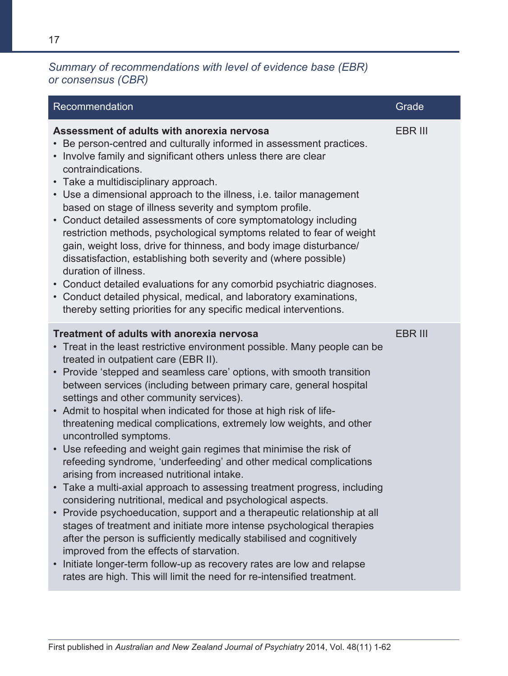## *Summary of recommendations with level of evidence base (EBR) or consensus (CBR)*

| Recommendation                                                                                                                                                                                                                                                                                                                                                                                                                                                                                                                                                                                                                                                                                                                                                                                                                                                                                                                                                                                                                                                                                                                                                                                                                                                                                          | Grade          |
|---------------------------------------------------------------------------------------------------------------------------------------------------------------------------------------------------------------------------------------------------------------------------------------------------------------------------------------------------------------------------------------------------------------------------------------------------------------------------------------------------------------------------------------------------------------------------------------------------------------------------------------------------------------------------------------------------------------------------------------------------------------------------------------------------------------------------------------------------------------------------------------------------------------------------------------------------------------------------------------------------------------------------------------------------------------------------------------------------------------------------------------------------------------------------------------------------------------------------------------------------------------------------------------------------------|----------------|
| Assessment of adults with anorexia nervosa<br>• Be person-centred and culturally informed in assessment practices.<br>• Involve family and significant others unless there are clear<br>contraindications.<br>• Take a multidisciplinary approach.<br>• Use a dimensional approach to the illness, i.e. tailor management<br>based on stage of illness severity and symptom profile.<br>• Conduct detailed assessments of core symptomatology including<br>restriction methods, psychological symptoms related to fear of weight<br>gain, weight loss, drive for thinness, and body image disturbance/<br>dissatisfaction, establishing both severity and (where possible)<br>duration of illness.<br>• Conduct detailed evaluations for any comorbid psychiatric diagnoses.<br>• Conduct detailed physical, medical, and laboratory examinations,<br>thereby setting priorities for any specific medical interventions.                                                                                                                                                                                                                                                                                                                                                                                | EBR III        |
| <b>Treatment of adults with anorexia nervosa</b><br>• Treat in the least restrictive environment possible. Many people can be<br>treated in outpatient care (EBR II).<br>• Provide 'stepped and seamless care' options, with smooth transition<br>between services (including between primary care, general hospital<br>settings and other community services).<br>• Admit to hospital when indicated for those at high risk of life-<br>threatening medical complications, extremely low weights, and other<br>uncontrolled symptoms.<br>• Use refeeding and weight gain regimes that minimise the risk of<br>refeeding syndrome, 'underfeeding' and other medical complications<br>arising from increased nutritional intake<br>• Take a multi-axial approach to assessing treatment progress, including<br>considering nutritional, medical and psychological aspects.<br>• Provide psychoeducation, support and a therapeutic relationship at all<br>stages of treatment and initiate more intense psychological therapies<br>after the person is sufficiently medically stabilised and cognitively<br>improved from the effects of starvation.<br>• Initiate longer-term follow-up as recovery rates are low and relapse<br>rates are high. This will limit the need for re-intensified treatment. | <b>EBR III</b> |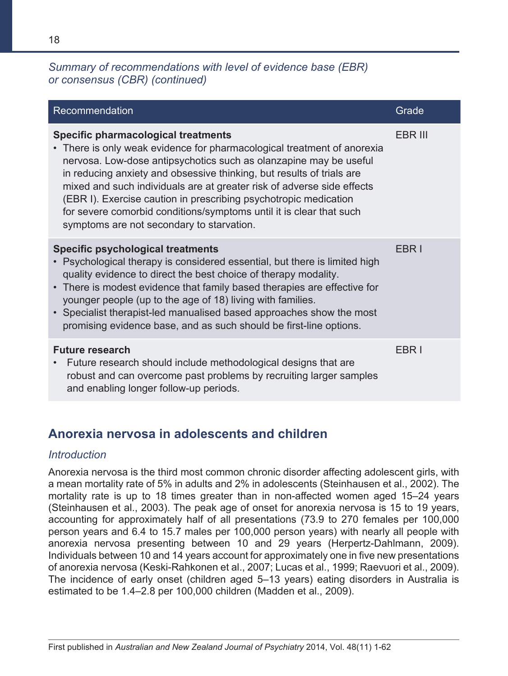## *Summary of recommendations with level of evidence base (EBR) or consensus (CBR) (continued)*

| Recommendation                                                                                                                                                                                                                                                                                                                                                                                                                                                                                                                        | Grade   |
|---------------------------------------------------------------------------------------------------------------------------------------------------------------------------------------------------------------------------------------------------------------------------------------------------------------------------------------------------------------------------------------------------------------------------------------------------------------------------------------------------------------------------------------|---------|
| <b>Specific pharmacological treatments</b><br>• There is only weak evidence for pharmacological treatment of anorexia<br>nervosa. Low-dose antipsychotics such as olanzapine may be useful<br>in reducing anxiety and obsessive thinking, but results of trials are<br>mixed and such individuals are at greater risk of adverse side effects<br>(EBR I). Exercise caution in prescribing psychotropic medication<br>for severe comorbid conditions/symptoms until it is clear that such<br>symptoms are not secondary to starvation. | EBR III |
| <b>Specific psychological treatments</b><br>• Psychological therapy is considered essential, but there is limited high<br>quality evidence to direct the best choice of therapy modality.<br>• There is modest evidence that family based therapies are effective for<br>younger people (up to the age of 18) living with families.<br>• Specialist therapist-led manualised based approaches show the most<br>promising evidence base, and as such should be first-line options.                                                     | EBR I   |
| <b>Future research</b><br>Future research should include methodological designs that are<br>robust and can overcome past problems by recruiting larger samples<br>and enabling longer follow-up periods.                                                                                                                                                                                                                                                                                                                              | EBR I   |

# **Anorexia nervosa in adolescents and children**

#### *Introduction*

Anorexia nervosa is the third most common chronic disorder affecting adolescent girls, with a mean mortality rate of 5% in adults and 2% in adolescents (Steinhausen et al., 2002). The mortality rate is up to 18 times greater than in non-affected women aged 15–24 years (Steinhausen et al., 2003). The peak age of onset for anorexia nervosa is 15 to 19 years, accounting for approximately half of all presentations (73.9 to 270 females per 100,000 person years and 6.4 to 15.7 males per 100,000 person years) with nearly all people with anorexia nervosa presenting between 10 and 29 years (Herpertz-Dahlmann, 2009). Individuals between 10 and 14 years account for approximately one in five new presentations of anorexia nervosa (Keski-Rahkonen et al., 2007; Lucas et al., 1999; Raevuori et al., 2009). The incidence of early onset (children aged 5–13 years) eating disorders in Australia is estimated to be 1.4–2.8 per 100,000 children (Madden et al., 2009).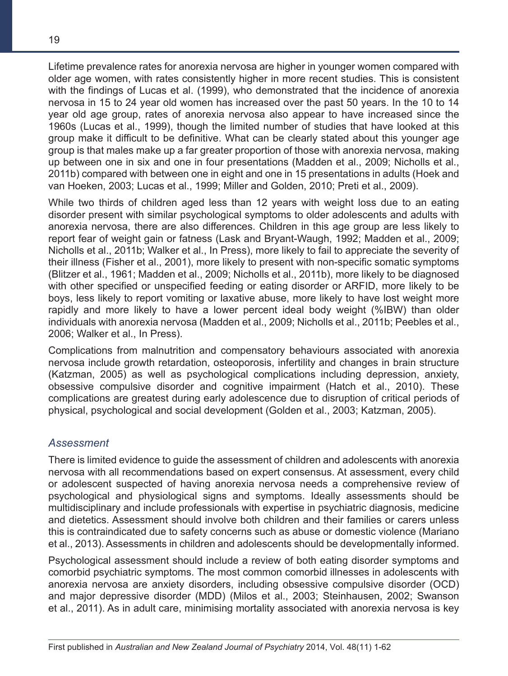Lifetime prevalence rates for anorexia nervosa are higher in younger women compared with older age women, with rates consistently higher in more recent studies. This is consistent with the findings of Lucas et al. (1999), who demonstrated that the incidence of anorexia nervosa in 15 to 24 year old women has increased over the past 50 years. In the 10 to 14 year old age group, rates of anorexia nervosa also appear to have increased since the 1960s (Lucas et al., 1999), though the limited number of studies that have looked at this group make it difficult to be definitive. What can be clearly stated about this younger age group is that males make up a far greater proportion of those with anorexia nervosa, making up between one in six and one in four presentations (Madden et al., 2009; Nicholls et al., 2011b) compared with between one in eight and one in 15 presentations in adults (Hoek and van Hoeken, 2003; Lucas et al., 1999; Miller and Golden, 2010; Preti et al., 2009).

While two thirds of children aged less than 12 years with weight loss due to an eating disorder present with similar psychological symptoms to older adolescents and adults with anorexia nervosa, there are also differences. Children in this age group are less likely to report fear of weight gain or fatness (Lask and Bryant-Waugh, 1992; Madden et al., 2009; Nicholls et al., 2011b; Walker et al., In Press), more likely to fail to appreciate the severity of their illness (Fisher et al., 2001), more likely to present with non-specific somatic symptoms (Blitzer et al., 1961; Madden et al., 2009; Nicholls et al., 2011b), more likely to be diagnosed with other specified or unspecified feeding or eating disorder or ARFID, more likely to be boys, less likely to report vomiting or laxative abuse, more likely to have lost weight more rapidly and more likely to have a lower percent ideal body weight (%IBW) than older individuals with anorexia nervosa (Madden et al., 2009; Nicholls et al., 2011b; Peebles et al., 2006; Walker et al., In Press).

Complications from malnutrition and compensatory behaviours associated with anorexia nervosa include growth retardation, osteoporosis, infertility and changes in brain structure (Katzman, 2005) as well as psychological complications including depression, anxiety, obsessive compulsive disorder and cognitive impairment (Hatch et al., 2010). These complications are greatest during early adolescence due to disruption of critical periods of physical, psychological and social development (Golden et al., 2003; Katzman, 2005).

## *Assessment*

There is limited evidence to guide the assessment of children and adolescents with anorexia nervosa with all recommendations based on expert consensus. At assessment, every child or adolescent suspected of having anorexia nervosa needs a comprehensive review of psychological and physiological signs and symptoms. Ideally assessments should be multidisciplinary and include professionals with expertise in psychiatric diagnosis, medicine and dietetics. Assessment should involve both children and their families or carers unless this is contraindicated due to safety concerns such as abuse or domestic violence (Mariano et al., 2013). Assessments in children and adolescents should be developmentally informed.

Psychological assessment should include a review of both eating disorder symptoms and comorbid psychiatric symptoms. The most common comorbid illnesses in adolescents with anorexia nervosa are anxiety disorders, including obsessive compulsive disorder (OCD) and major depressive disorder (MDD) (Milos et al., 2003; Steinhausen, 2002; Swanson et al., 2011). As in adult care, minimising mortality associated with anorexia nervosa is key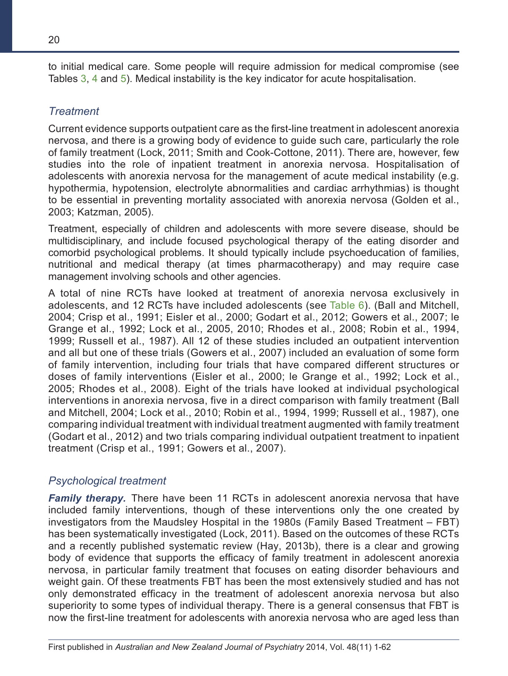to initial medical care. Some people will require admission for medical compromise (see Tables [3](#page-52-0), [4](#page-54-0) and [5](#page-56-0)). Medical instability is the key indicator for acute hospitalisation.

## *Treatment*

Current evidence supports outpatient care as the first-line treatment in adolescent anorexia nervosa, and there is a growing body of evidence to guide such care, particularly the role of family treatment (Lock, 2011; Smith and Cook-Cottone, 2011). There are, however, few studies into the role of inpatient treatment in anorexia nervosa. Hospitalisation of adolescents with anorexia nervosa for the management of acute medical instability (e.g. hypothermia, hypotension, electrolyte abnormalities and cardiac arrhythmias) is thought to be essential in preventing mortality associated with anorexia nervosa (Golden et al., 2003; Katzman, 2005).

Treatment, especially of children and adolescents with more severe disease, should be multidisciplinary, and include focused psychological therapy of the eating disorder and comorbid psychological problems. It should typically include psychoeducation of families, nutritional and medical therapy (at times pharmacotherapy) and may require case management involving schools and other agencies.

A total of nine RCTs have looked at treatment of anorexia nervosa exclusively in adolescents, and 12 RCTs have included adolescents (see [Table 6](#page-57-0)). (Ball and Mitchell, 2004; Crisp et al., 1991; Eisler et al., 2000; Godart et al., 2012; Gowers et al., 2007; le Grange et al., 1992; Lock et al., 2005, 2010; Rhodes et al., 2008; Robin et al., 1994, 1999; Russell et al., 1987). All 12 of these studies included an outpatient intervention and all but one of these trials (Gowers et al., 2007) included an evaluation of some form of family intervention, including four trials that have compared different structures or doses of family interventions (Eisler et al., 2000; le Grange et al., 1992; Lock et al., 2005; Rhodes et al., 2008). Eight of the trials have looked at individual psychological interventions in anorexia nervosa, five in a direct comparison with family treatment (Ball and Mitchell, 2004; Lock et al., 2010; Robin et al., 1994, 1999; Russell et al., 1987), one comparing individual treatment with individual treatment augmented with family treatment (Godart et al., 2012) and two trials comparing individual outpatient treatment to inpatient treatment (Crisp et al., 1991; Gowers et al., 2007).

## *Psychological treatment*

*Family therapy.* There have been 11 RCTs in adolescent anorexia nervosa that have included family interventions, though of these interventions only the one created by investigators from the Maudsley Hospital in the 1980s (Family Based Treatment – FBT) has been systematically investigated (Lock, 2011). Based on the outcomes of these RCTs and a recently published systematic review (Hay, 2013b), there is a clear and growing body of evidence that supports the efficacy of family treatment in adolescent anorexia nervosa, in particular family treatment that focuses on eating disorder behaviours and weight gain. Of these treatments FBT has been the most extensively studied and has not only demonstrated efficacy in the treatment of adolescent anorexia nervosa but also superiority to some types of individual therapy. There is a general consensus that FBT is now the first-line treatment for adolescents with anorexia nervosa who are aged less than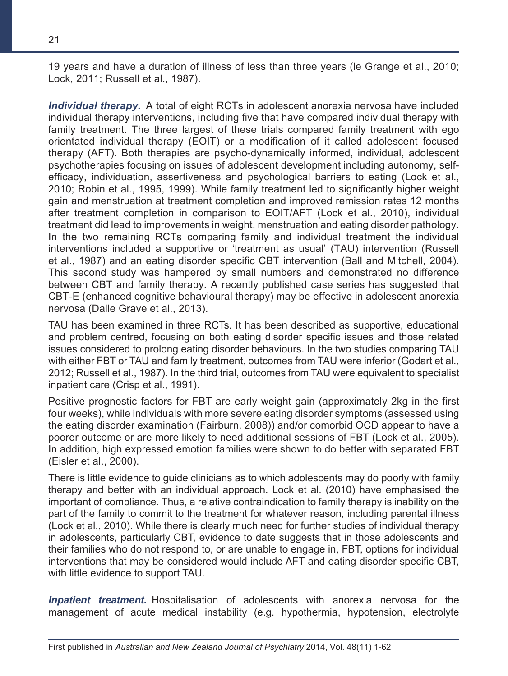19 years and have a duration of illness of less than three years (le Grange et al., 2010; Lock, 2011; Russell et al., 1987).

*Individual therapy.* A total of eight RCTs in adolescent anorexia nervosa have included individual therapy interventions, including five that have compared individual therapy with family treatment. The three largest of these trials compared family treatment with ego orientated individual therapy (EOIT) or a modification of it called adolescent focused therapy (AFT). Both therapies are psycho-dynamically informed, individual, adolescent psychotherapies focusing on issues of adolescent development including autonomy, selfefficacy, individuation, assertiveness and psychological barriers to eating (Lock et al., 2010; Robin et al., 1995, 1999). While family treatment led to significantly higher weight gain and menstruation at treatment completion and improved remission rates 12 months after treatment completion in comparison to EOIT/AFT (Lock et al., 2010), individual treatment did lead to improvements in weight, menstruation and eating disorder pathology. In the two remaining RCTs comparing family and individual treatment the individual interventions included a supportive or 'treatment as usual' (TAU) intervention (Russell et al., 1987) and an eating disorder specific CBT intervention (Ball and Mitchell, 2004). This second study was hampered by small numbers and demonstrated no difference between CBT and family therapy. A recently published case series has suggested that CBT-E (enhanced cognitive behavioural therapy) may be effective in adolescent anorexia nervosa (Dalle Grave et al., 2013).

TAU has been examined in three RCTs. It has been described as supportive, educational and problem centred, focusing on both eating disorder specific issues and those related issues considered to prolong eating disorder behaviours. In the two studies comparing TAU with either FBT or TAU and family treatment, outcomes from TAU were inferior (Godart et al., 2012; Russell et al., 1987). In the third trial, outcomes from TAU were equivalent to specialist inpatient care (Crisp et al., 1991).

Positive prognostic factors for FBT are early weight gain (approximately 2kg in the first four weeks), while individuals with more severe eating disorder symptoms (assessed using the eating disorder examination (Fairburn, 2008)) and/or comorbid OCD appear to have a poorer outcome or are more likely to need additional sessions of FBT (Lock et al., 2005). In addition, high expressed emotion families were shown to do better with separated FBT (Eisler et al., 2000).

There is little evidence to guide clinicians as to which adolescents may do poorly with family therapy and better with an individual approach. Lock et al. (2010) have emphasised the important of compliance. Thus, a relative contraindication to family therapy is inability on the part of the family to commit to the treatment for whatever reason, including parental illness (Lock et al., 2010). While there is clearly much need for further studies of individual therapy in adolescents, particularly CBT, evidence to date suggests that in those adolescents and their families who do not respond to, or are unable to engage in, FBT, options for individual interventions that may be considered would include AFT and eating disorder specific CBT, with little evidence to support TAU.

*Inpatient treatment.* Hospitalisation of adolescents with anorexia nervosa for the management of acute medical instability (e.g. hypothermia, hypotension, electrolyte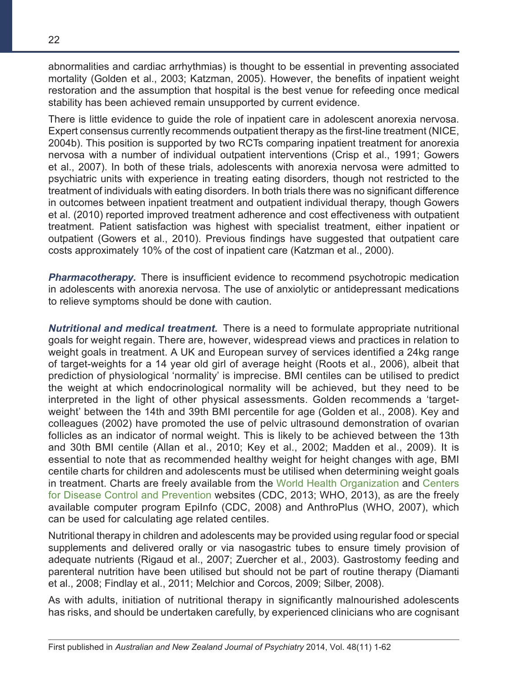abnormalities and cardiac arrhythmias) is thought to be essential in preventing associated mortality (Golden et al., 2003; Katzman, 2005). However, the benefits of inpatient weight restoration and the assumption that hospital is the best venue for refeeding once medical stability has been achieved remain unsupported by current evidence.

There is little evidence to guide the role of inpatient care in adolescent anorexia nervosa. Expert consensus currently recommends outpatient therapy as the first-line treatment (NICE, 2004b). This position is supported by two RCTs comparing inpatient treatment for anorexia nervosa with a number of individual outpatient interventions (Crisp et al., 1991; Gowers et al., 2007). In both of these trials, adolescents with anorexia nervosa were admitted to psychiatric units with experience in treating eating disorders, though not restricted to the treatment of individuals with eating disorders. In both trials there was no significant difference in outcomes between inpatient treatment and outpatient individual therapy, though Gowers et al. (2010) reported improved treatment adherence and cost effectiveness with outpatient treatment. Patient satisfaction was highest with specialist treatment, either inpatient or outpatient (Gowers et al., 2010). Previous findings have suggested that outpatient care costs approximately 10% of the cost of inpatient care (Katzman et al., 2000).

**Pharmacotherapy.** There is insufficient evidence to recommend psychotropic medication in adolescents with anorexia nervosa. The use of anxiolytic or antidepressant medications to relieve symptoms should be done with caution.

*Nutritional and medical treatment.* There is a need to formulate appropriate nutritional goals for weight regain. There are, however, widespread views and practices in relation to weight goals in treatment. A UK and European survey of services identified a 24kg range of target-weights for a 14 year old girl of average height (Roots et al., 2006), albeit that prediction of physiological 'normality' is imprecise. BMI centiles can be utilised to predict the weight at which endocrinological normality will be achieved, but they need to be interpreted in the light of other physical assessments. Golden recommends a 'targetweight' between the 14th and 39th BMI percentile for age (Golden et al., 2008). Key and colleagues (2002) have promoted the use of pelvic ultrasound demonstration of ovarian follicles as an indicator of normal weight. This is likely to be achieved between the 13th and 30th BMI centile (Allan et al., 2010; Key et al., 2002; Madden et al., 2009). It is essential to note that as recommended healthy weight for height changes with age, BMI centile charts for children and adolescents must be utilised when determining weight goals in treatment. Charts are freely available from the [World Health Organization](http://www.who.int/en/) and [Centers](http://www.cdc.gov)  [for Disease Control and Prevention](http://www.cdc.gov) websites (CDC, 2013; WHO, 2013), as are the freely available computer program EpiInfo (CDC, 2008) and AnthroPlus (WHO, 2007), which can be used for calculating age related centiles.

Nutritional therapy in children and adolescents may be provided using regular food or special supplements and delivered orally or via nasogastric tubes to ensure timely provision of adequate nutrients (Rigaud et al., 2007; Zuercher et al., 2003). Gastrostomy feeding and parenteral nutrition have been utilised but should not be part of routine therapy (Diamanti et al., 2008; Findlay et al., 2011; Melchior and Corcos, 2009; Silber, 2008).

As with adults, initiation of nutritional therapy in significantly malnourished adolescents has risks, and should be undertaken carefully, by experienced clinicians who are cognisant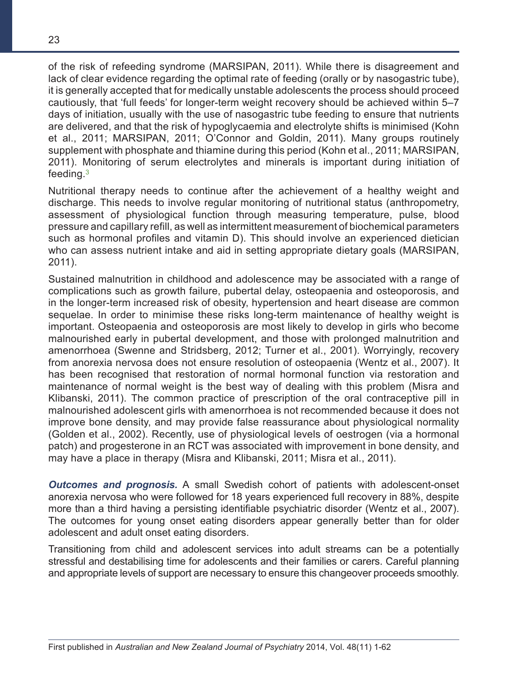of the risk of refeeding syndrome (MARSIPAN, 2011). While there is disagreement and lack of clear evidence regarding the optimal rate of feeding (orally or by nasogastric tube), it is generally accepted that for medically unstable adolescents the process should proceed cautiously, that 'full feeds' for longer-term weight recovery should be achieved within 5–7 days of initiation, usually with the use of nasogastric tube feeding to ensure that nutrients are delivered, and that the risk of hypoglycaemia and electrolyte shifts is minimised (Kohn et al., 2011; MARSIPAN, 2011; O'Connor and Goldin, 2011). Many groups routinely supplement with phosphate and thiamine during this period (Kohn et al., 2011; MARSIPAN, 2011). Monitoring of serum electrolytes and minerals is important during initiation of feeding[.3](#page-34-1)

Nutritional therapy needs to continue after the achievement of a healthy weight and discharge. This needs to involve regular monitoring of nutritional status (anthropometry, assessment of physiological function through measuring temperature, pulse, blood pressure and capillary refill, as well as intermittent measurement of biochemical parameters such as hormonal profiles and vitamin D). This should involve an experienced dietician who can assess nutrient intake and aid in setting appropriate dietary goals (MARSIPAN, 2011).

Sustained malnutrition in childhood and adolescence may be associated with a range of complications such as growth failure, pubertal delay, osteopaenia and osteoporosis, and in the longer-term increased risk of obesity, hypertension and heart disease are common sequelae. In order to minimise these risks long-term maintenance of healthy weight is important. Osteopaenia and osteoporosis are most likely to develop in girls who become malnourished early in pubertal development, and those with prolonged malnutrition and amenorrhoea (Swenne and Stridsberg, 2012; Turner et al., 2001). Worryingly, recovery from anorexia nervosa does not ensure resolution of osteopaenia (Wentz et al., 2007). It has been recognised that restoration of normal hormonal function via restoration and maintenance of normal weight is the best way of dealing with this problem (Misra and Klibanski, 2011). The common practice of prescription of the oral contraceptive pill in malnourished adolescent girls with amenorrhoea is not recommended because it does not improve bone density, and may provide false reassurance about physiological normality (Golden et al., 2002). Recently, use of physiological levels of oestrogen (via a hormonal patch) and progesterone in an RCT was associated with improvement in bone density, and may have a place in therapy (Misra and Klibanski, 2011; Misra et al., 2011).

*Outcomes and prognosis.* A small Swedish cohort of patients with adolescent-onset anorexia nervosa who were followed for 18 years experienced full recovery in 88%, despite more than a third having a persisting identifiable psychiatric disorder (Wentz et al., 2007). The outcomes for young onset eating disorders appear generally better than for older adolescent and adult onset eating disorders.

Transitioning from child and adolescent services into adult streams can be a potentially stressful and destabilising time for adolescents and their families or carers. Careful planning and appropriate levels of support are necessary to ensure this changeover proceeds smoothly.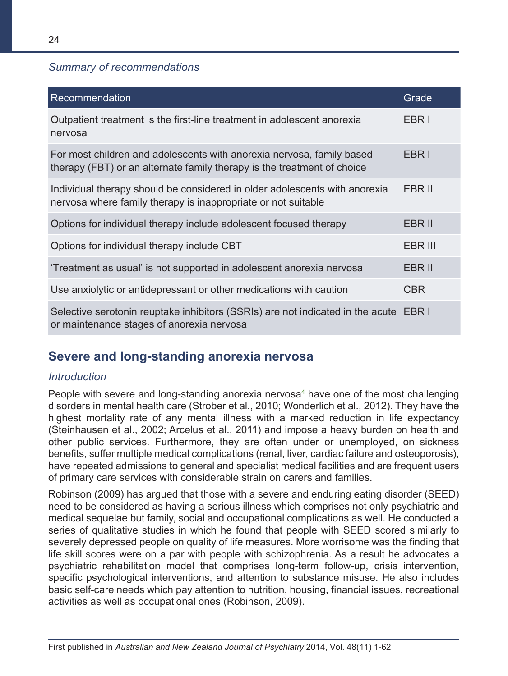#### *Summary of recommendations*

| Recommendation                                                                                                                                   | Grade   |
|--------------------------------------------------------------------------------------------------------------------------------------------------|---------|
| Outpatient treatment is the first-line treatment in adolescent anorexia<br>nervosa                                                               | EBR I   |
| For most children and adolescents with anorexia nervosa, family based<br>therapy (FBT) or an alternate family therapy is the treatment of choice | EBR I   |
| Individual therapy should be considered in older adolescents with anorexia<br>nervosa where family therapy is inappropriate or not suitable      | EBR II  |
| Options for individual therapy include adolescent focused therapy                                                                                | EBR II  |
| Options for individual therapy include CBT                                                                                                       | EBR III |
| 'Treatment as usual' is not supported in adolescent anorexia nervosa                                                                             | EBR II  |
| Use anxiolytic or antidepressant or other medications with caution                                                                               | CBR     |
| Selective serotonin reuptake inhibitors (SSRIs) are not indicated in the acute EBR I<br>or maintenance stages of anorexia nervosa                |         |

# **Severe and long-standing anorexia nervosa**

#### *Introduction*

People with severe and long-standing anorexia nervosa<sup>4</sup> have one of the most challenging disorders in mental health care (Strober et al., 2010; Wonderlich et al., 2012). They have the highest mortality rate of any mental illness with a marked reduction in life expectancy (Steinhausen et al., 2002; Arcelus et al., 2011) and impose a heavy burden on health and other public services. Furthermore, they are often under or unemployed, on sickness benefits, suffer multiple medical complications (renal, liver, cardiac failure and osteoporosis), have repeated admissions to general and specialist medical facilities and are frequent users of primary care services with considerable strain on carers and families.

Robinson (2009) has argued that those with a severe and enduring eating disorder (SEED) need to be considered as having a serious illness which comprises not only psychiatric and medical sequelae but family, social and occupational complications as well. He conducted a series of qualitative studies in which he found that people with SEED scored similarly to severely depressed people on quality of life measures. More worrisome was the finding that life skill scores were on a par with people with schizophrenia. As a result he advocates a psychiatric rehabilitation model that comprises long-term follow-up, crisis intervention, specific psychological interventions, and attention to substance misuse. He also includes basic self-care needs which pay attention to nutrition, housing, financial issues, recreational activities as well as occupational ones (Robinson, 2009).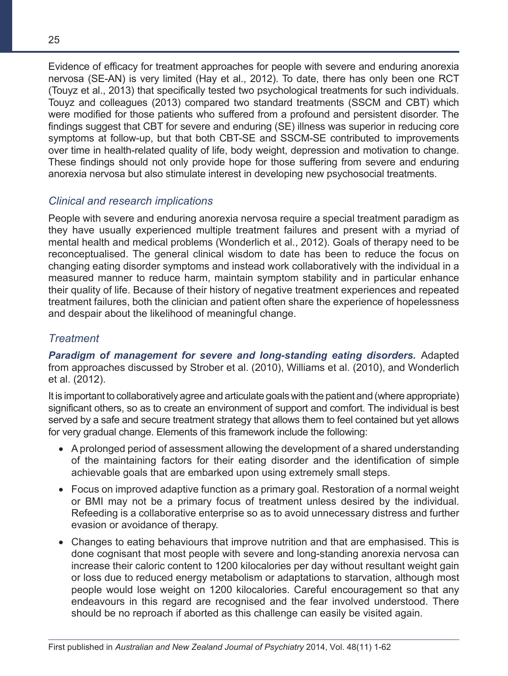Evidence of efficacy for treatment approaches for people with severe and enduring anorexia nervosa (SE-AN) is very limited (Hay et al., 2012). To date, there has only been one RCT (Touyz et al., 2013) that specifically tested two psychological treatments for such individuals. Touyz and colleagues (2013) compared two standard treatments (SSCM and CBT) which were modified for those patients who suffered from a profound and persistent disorder. The findings suggest that CBT for severe and enduring (SE) illness was superior in reducing core symptoms at follow-up, but that both CBT-SE and SSCM-SE contributed to improvements over time in health-related quality of life, body weight, depression and motivation to change. These findings should not only provide hope for those suffering from severe and enduring anorexia nervosa but also stimulate interest in developing new psychosocial treatments.

## *Clinical and research implications*

People with severe and enduring anorexia nervosa require a special treatment paradigm as they have usually experienced multiple treatment failures and present with a myriad of mental health and medical problems (Wonderlich et al., 2012). Goals of therapy need to be reconceptualised. The general clinical wisdom to date has been to reduce the focus on changing eating disorder symptoms and instead work collaboratively with the individual in a measured manner to reduce harm, maintain symptom stability and in particular enhance their quality of life. Because of their history of negative treatment experiences and repeated treatment failures, both the clinician and patient often share the experience of hopelessness and despair about the likelihood of meaningful change.

## *Treatment*

*Paradigm of management for severe and long-standing eating disorders.* Adapted from approaches discussed by Strober et al. (2010), Williams et al. (2010), and Wonderlich et al. (2012).

It is important to collaboratively agree and articulate goals with the patient and (where appropriate) significant others, so as to create an environment of support and comfort. The individual is best served by a safe and secure treatment strategy that allows them to feel contained but yet allows for very gradual change. Elements of this framework include the following:

- A prolonged period of assessment allowing the development of a shared understanding of the maintaining factors for their eating disorder and the identification of simple achievable goals that are embarked upon using extremely small steps.
- Focus on improved adaptive function as a primary goal. Restoration of a normal weight or BMI may not be a primary focus of treatment unless desired by the individual. Refeeding is a collaborative enterprise so as to avoid unnecessary distress and further evasion or avoidance of therapy.
- Changes to eating behaviours that improve nutrition and that are emphasised. This is done cognisant that most people with severe and long-standing anorexia nervosa can increase their caloric content to 1200 kilocalories per day without resultant weight gain or loss due to reduced energy metabolism or adaptations to starvation, although most people would lose weight on 1200 kilocalories. Careful encouragement so that any endeavours in this regard are recognised and the fear involved understood. There should be no reproach if aborted as this challenge can easily be visited again.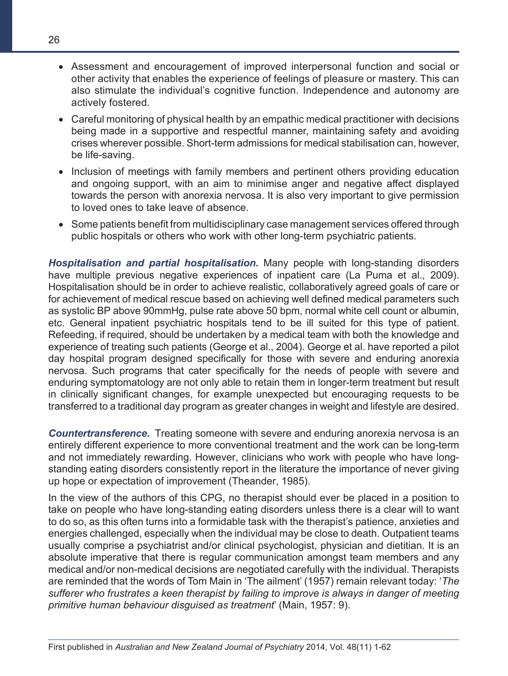- Assessment and encouragement of improved interpersonal function and social or other activity that enables the experience of feelings of pleasure or mastery. This can also stimulate the individual's cognitive function. Independence and autonomy are actively fostered.
- Careful monitoring of physical health by an empathic medical practitioner with decisions being made in a supportive and respectful manner, maintaining safety and avoiding crises wherever possible. Short-term admissions for medical stabilisation can, however, be life-saving.
- Inclusion of meetings with family members and pertinent others providing education and ongoing support, with an aim to minimise anger and negative affect displayed towards the person with anorexia nervosa. It is also very important to give permission to loved ones to take leave of absence.
- Some patients benefit from multidisciplinary case management services offered through public hospitals or others who work with other long-term psychiatric patients.

*Hospitalisation and partial hospitalisation.* Many people with long-standing disorders have multiple previous negative experiences of inpatient care (La Puma et al., 2009). Hospitalisation should be in order to achieve realistic, collaboratively agreed goals of care or for achievement of medical rescue based on achieving well defined medical parameters such as systolic BP above 90mmHg, pulse rate above 50 bpm, normal white cell count or albumin, etc. General inpatient psychiatric hospitals tend to be ill suited for this type of patient. Refeeding, if required, should be undertaken by a medical team with both the knowledge and experience of treating such patients (George et al., 2004). George et al. have reported a pilot day hospital program designed specifically for those with severe and enduring anorexia nervosa. Such programs that cater specifically for the needs of people with severe and enduring symptomatology are not only able to retain them in longer-term treatment but result in clinically significant changes, for example unexpected but encouraging requests to be transferred to a traditional day program as greater changes in weight and lifestyle are desired.

*Countertransference.* Treating someone with severe and enduring anorexia nervosa is an entirely different experience to more conventional treatment and the work can be long-term and not immediately rewarding. However, clinicians who work with people who have longstanding eating disorders consistently report in the literature the importance of never giving up hope or expectation of improvement (Theander, 1985).

In the view of the authors of this CPG, no therapist should ever be placed in a position to take on people who have long-standing eating disorders unless there is a clear will to want to do so, as this often turns into a formidable task with the therapist's patience, anxieties and energies challenged, especially when the individual may be close to death. Outpatient teams usually comprise a psychiatrist and/or clinical psychologist, physician and dietitian. It is an absolute imperative that there is regular communication amongst team members and any medical and/or non-medical decisions are negotiated carefully with the individual. Therapists are reminded that the words of Tom Main in 'The ailment' (1957) remain relevant today: '*The sufferer who frustrates a keen therapist by failing to improve is always in danger of meeting primitive human behaviour disguised as treatment*' (Main, 1957: 9).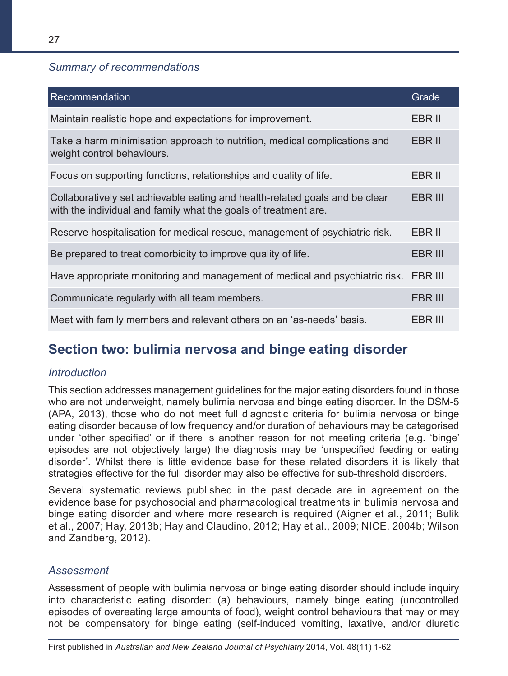### *Summary of recommendations*

| Recommendation                                                                                                                                 | Grade          |
|------------------------------------------------------------------------------------------------------------------------------------------------|----------------|
| Maintain realistic hope and expectations for improvement.                                                                                      | EBR II         |
| Take a harm minimisation approach to nutrition, medical complications and<br>weight control behaviours.                                        | EBR II         |
| Focus on supporting functions, relationships and quality of life.                                                                              | EBR II         |
| Collaboratively set achievable eating and health-related goals and be clear<br>with the individual and family what the goals of treatment are. | <b>EBR III</b> |
| Reserve hospitalisation for medical rescue, management of psychiatric risk.                                                                    | EBR II         |
| Be prepared to treat comorbidity to improve quality of life.                                                                                   | <b>EBR III</b> |
| Have appropriate monitoring and management of medical and psychiatric risk.                                                                    | EBR III        |
| Communicate regularly with all team members.                                                                                                   | <b>EBR III</b> |
| Meet with family members and relevant others on an 'as-needs' basis.                                                                           | EBR III        |

# **Section two: bulimia nervosa and binge eating disorder**

#### *Introduction*

This section addresses management guidelines for the major eating disorders found in those who are not underweight, namely bulimia nervosa and binge eating disorder. In the DSM-5 (APA, 2013), those who do not meet full diagnostic criteria for bulimia nervosa or binge eating disorder because of low frequency and/or duration of behaviours may be categorised under 'other specified' or if there is another reason for not meeting criteria (e.g. 'binge' episodes are not objectively large) the diagnosis may be 'unspecified feeding or eating disorder'. Whilst there is little evidence base for these related disorders it is likely that strategies effective for the full disorder may also be effective for sub-threshold disorders.

Several systematic reviews published in the past decade are in agreement on the evidence base for psychosocial and pharmacological treatments in bulimia nervosa and binge eating disorder and where more research is required (Aigner et al., 2011; Bulik et al., 2007; Hay, 2013b; Hay and Claudino, 2012; Hay et al., 2009; NICE, 2004b; Wilson and Zandberg, 2012).

#### *Assessment*

Assessment of people with bulimia nervosa or binge eating disorder should include inquiry into characteristic eating disorder: (a) behaviours, namely binge eating (uncontrolled episodes of overeating large amounts of food), weight control behaviours that may or may not be compensatory for binge eating (self-induced vomiting, laxative, and/or diuretic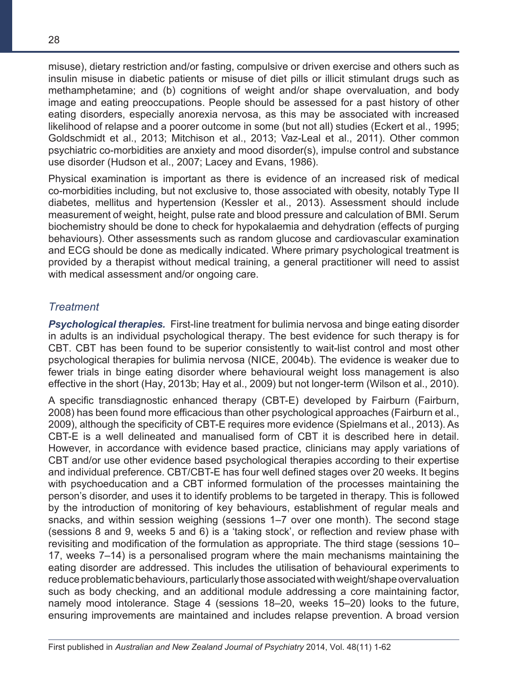misuse), dietary restriction and/or fasting, compulsive or driven exercise and others such as insulin misuse in diabetic patients or misuse of diet pills or illicit stimulant drugs such as methamphetamine; and (b) cognitions of weight and/or shape overvaluation, and body image and eating preoccupations. People should be assessed for a past history of other eating disorders, especially anorexia nervosa, as this may be associated with increased likelihood of relapse and a poorer outcome in some (but not all) studies (Eckert et al., 1995; Goldschmidt et al., 2013; Mitchison et al., 2013; Vaz-Leal et al., 2011). Other common psychiatric co-morbidities are anxiety and mood disorder(s), impulse control and substance use disorder (Hudson et al., 2007; Lacey and Evans, 1986).

Physical examination is important as there is evidence of an increased risk of medical co-morbidities including, but not exclusive to, those associated with obesity, notably Type II diabetes, mellitus and hypertension (Kessler et al., 2013). Assessment should include measurement of weight, height, pulse rate and blood pressure and calculation of BMI. Serum biochemistry should be done to check for hypokalaemia and dehydration (effects of purging behaviours). Other assessments such as random glucose and cardiovascular examination and ECG should be done as medically indicated. Where primary psychological treatment is provided by a therapist without medical training, a general practitioner will need to assist with medical assessment and/or ongoing care.

## *Treatment*

*Psychological therapies.* First-line treatment for bulimia nervosa and binge eating disorder in adults is an individual psychological therapy. The best evidence for such therapy is for CBT. CBT has been found to be superior consistently to wait-list control and most other psychological therapies for bulimia nervosa (NICE, 2004b). The evidence is weaker due to fewer trials in binge eating disorder where behavioural weight loss management is also effective in the short (Hay, 2013b; Hay et al., 2009) but not longer-term (Wilson et al., 2010).

A specific transdiagnostic enhanced therapy (CBT-E) developed by Fairburn (Fairburn, 2008) has been found more efficacious than other psychological approaches (Fairburn et al., 2009), although the specificity of CBT-E requires more evidence (Spielmans et al., 2013). As CBT-E is a well delineated and manualised form of CBT it is described here in detail. However, in accordance with evidence based practice, clinicians may apply variations of CBT and/or use other evidence based psychological therapies according to their expertise and individual preference. CBT/CBT-E has four well defined stages over 20 weeks. It begins with psychoeducation and a CBT informed formulation of the processes maintaining the person's disorder, and uses it to identify problems to be targeted in therapy. This is followed by the introduction of monitoring of key behaviours, establishment of regular meals and snacks, and within session weighing (sessions 1–7 over one month). The second stage (sessions 8 and 9, weeks 5 and 6) is a 'taking stock', or reflection and review phase with revisiting and modification of the formulation as appropriate. The third stage (sessions 10– 17, weeks 7–14) is a personalised program where the main mechanisms maintaining the eating disorder are addressed. This includes the utilisation of behavioural experiments to reduce problematic behaviours, particularly those associated with weight/shape overvaluation such as body checking, and an additional module addressing a core maintaining factor, namely mood intolerance. Stage 4 (sessions 18–20, weeks 15–20) looks to the future, ensuring improvements are maintained and includes relapse prevention. A broad version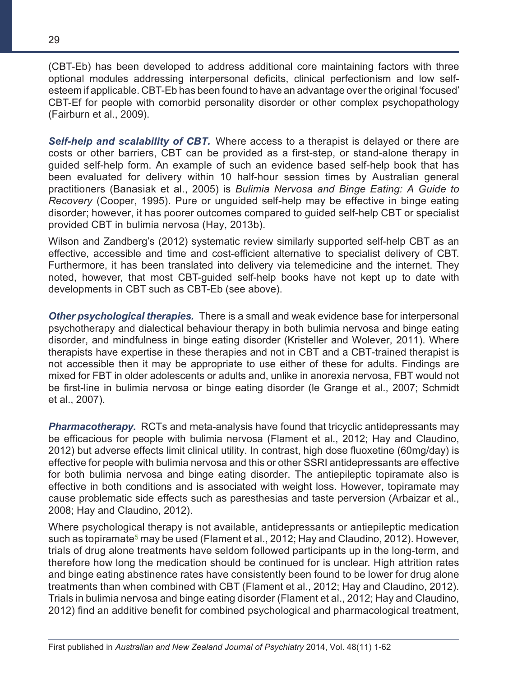(CBT-Eb) has been developed to address additional core maintaining factors with three optional modules addressing interpersonal deficits, clinical perfectionism and low selfesteem if applicable. CBT-Eb has been found to have an advantage over the original 'focused' CBT-Ef for people with comorbid personality disorder or other complex psychopathology (Fairburn et al., 2009).

*Self-help and scalability of CBT.* Where access to a therapist is delayed or there are costs or other barriers, CBT can be provided as a first-step, or stand-alone therapy in guided self-help form. An example of such an evidence based self-help book that has been evaluated for delivery within 10 half-hour session times by Australian general practitioners (Banasiak et al., 2005) is *Bulimia Nervosa and Binge Eating: A Guide to Recovery* (Cooper, 1995). Pure or unguided self-help may be effective in binge eating disorder; however, it has poorer outcomes compared to guided self-help CBT or specialist provided CBT in bulimia nervosa (Hay, 2013b).

Wilson and Zandberg's (2012) systematic review similarly supported self-help CBT as an effective, accessible and time and cost-efficient alternative to specialist delivery of CBT. Furthermore, it has been translated into delivery via telemedicine and the internet. They noted, however, that most CBT-guided self-help books have not kept up to date with developments in CBT such as CBT-Eb (see above).

*Other psychological therapies.* There is a small and weak evidence base for interpersonal psychotherapy and dialectical behaviour therapy in both bulimia nervosa and binge eating disorder, and mindfulness in binge eating disorder (Kristeller and Wolever, 2011). Where therapists have expertise in these therapies and not in CBT and a CBT-trained therapist is not accessible then it may be appropriate to use either of these for adults. Findings are mixed for FBT in older adolescents or adults and, unlike in anorexia nervosa, FBT would not be first-line in bulimia nervosa or binge eating disorder (le Grange et al., 2007; Schmidt et al., 2007).

**Pharmacotherapy.** RCTs and meta-analysis have found that tricyclic antidepressants may be efficacious for people with bulimia nervosa (Flament et al., 2012; Hay and Claudino, 2012) but adverse effects limit clinical utility. In contrast, high dose fluoxetine (60mg/day) is effective for people with bulimia nervosa and this or other SSRI antidepressants are effective for both bulimia nervosa and binge eating disorder. The antiepileptic topiramate also is effective in both conditions and is associated with weight loss. However, topiramate may cause problematic side effects such as paresthesias and taste perversion (Arbaizar et al., 2008; Hay and Claudino, 2012).

Where psychological therapy is not available, antidepressants or antiepileptic medication such as topiramate<sup>[5](#page-34-3)</sup> may be used (Flament et al., 2012; Hay and Claudino, 2012). However, trials of drug alone treatments have seldom followed participants up in the long-term, and therefore how long the medication should be continued for is unclear. High attrition rates and binge eating abstinence rates have consistently been found to be lower for drug alone treatments than when combined with CBT (Flament et al., 2012; Hay and Claudino, 2012). Trials in bulimia nervosa and binge eating disorder (Flament et al., 2012; Hay and Claudino, 2012) find an additive benefit for combined psychological and pharmacological treatment,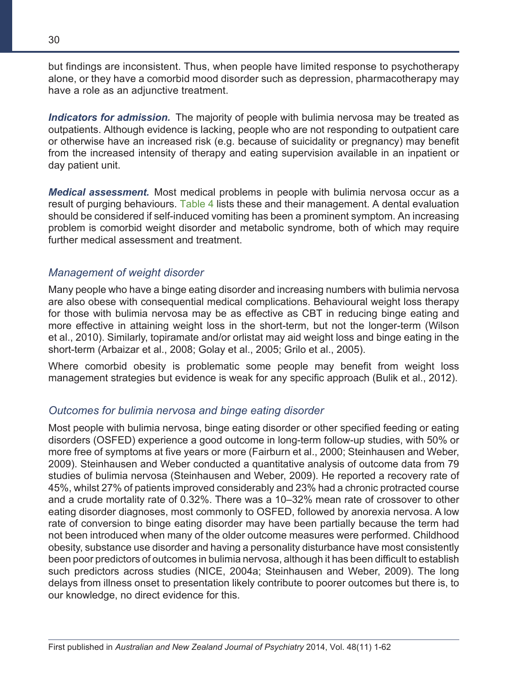but findings are inconsistent. Thus, when people have limited response to psychotherapy alone, or they have a comorbid mood disorder such as depression, pharmacotherapy may have a role as an adjunctive treatment.

*Indicators for admission.* The majority of people with bulimia nervosa may be treated as outpatients. Although evidence is lacking, people who are not responding to outpatient care or otherwise have an increased risk (e.g. because of suicidality or pregnancy) may benefit from the increased intensity of therapy and eating supervision available in an inpatient or day patient unit.

*Medical assessment.* Most medical problems in people with bulimia nervosa occur as a result of purging behaviours. [Table 4](#page-54-0) lists these and their management. A dental evaluation should be considered if self-induced vomiting has been a prominent symptom. An increasing problem is comorbid weight disorder and metabolic syndrome, both of which may require further medical assessment and treatment.

#### *Management of weight disorder*

Many people who have a binge eating disorder and increasing numbers with bulimia nervosa are also obese with consequential medical complications. Behavioural weight loss therapy for those with bulimia nervosa may be as effective as CBT in reducing binge eating and more effective in attaining weight loss in the short-term, but not the longer-term (Wilson et al., 2010). Similarly, topiramate and/or orlistat may aid weight loss and binge eating in the short-term (Arbaizar et al., 2008; Golay et al., 2005; Grilo et al., 2005).

Where comorbid obesity is problematic some people may benefit from weight loss management strategies but evidence is weak for any specific approach (Bulik et al., 2012).

#### *Outcomes for bulimia nervosa and binge eating disorder*

Most people with bulimia nervosa, binge eating disorder or other specified feeding or eating disorders (OSFED) experience a good outcome in long-term follow-up studies, with 50% or more free of symptoms at five years or more (Fairburn et al., 2000; Steinhausen and Weber, 2009). Steinhausen and Weber conducted a quantitative analysis of outcome data from 79 studies of bulimia nervosa (Steinhausen and Weber, 2009). He reported a recovery rate of 45%, whilst 27% of patients improved considerably and 23% had a chronic protracted course and a crude mortality rate of 0.32%. There was a 10–32% mean rate of crossover to other eating disorder diagnoses, most commonly to OSFED, followed by anorexia nervosa. A low rate of conversion to binge eating disorder may have been partially because the term had not been introduced when many of the older outcome measures were performed. Childhood obesity, substance use disorder and having a personality disturbance have most consistently been poor predictors of outcomes in bulimia nervosa, although it has been difficult to establish such predictors across studies (NICE, 2004a; Steinhausen and Weber, 2009). The long delays from illness onset to presentation likely contribute to poorer outcomes but there is, to our knowledge, no direct evidence for this.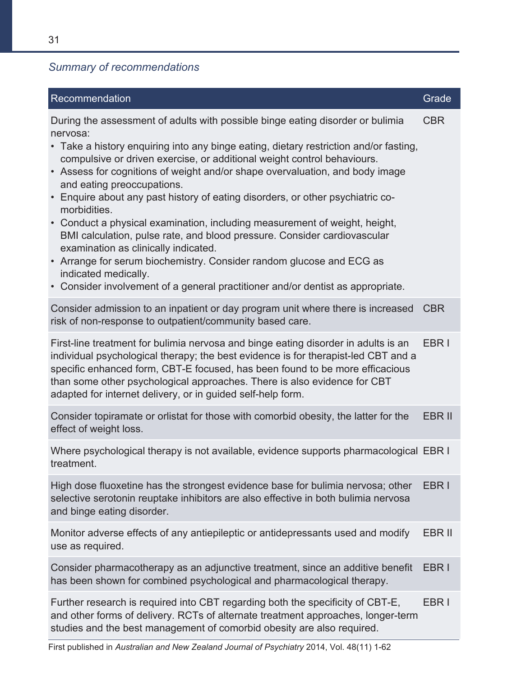#### *Summary of recommendations*

#### Recommendation **Grade** Grade Control of Control of Creating Control of Creating Control of Creating Control of Creating Control of Creating Control of Creating Control of Creating Control of Creating Control of Creating Co During the assessment of adults with possible binge eating disorder or bulimia nervosa: • Take a history enquiring into any binge eating, dietary restriction and/or fasting, compulsive or driven exercise, or additional weight control behaviours. • Assess for cognitions of weight and/or shape overvaluation, and body image and eating preoccupations. • Enquire about any past history of eating disorders, or other psychiatric comorbidities. • Conduct a physical examination, including measurement of weight, height, BMI calculation, pulse rate, and blood pressure. Consider cardiovascular examination as clinically indicated. • Arrange for serum biochemistry. Consider random glucose and ECG as indicated medically. • Consider involvement of a general practitioner and/or dentist as appropriate. CBR Consider admission to an inpatient or day program unit where there is increased risk of non-response to outpatient/community based care. CBR First-line treatment for bulimia nervosa and binge eating disorder in adults is an individual psychological therapy; the best evidence is for therapist-led CBT and a specific enhanced form, CBT-E focused, has been found to be more efficacious than some other psychological approaches. There is also evidence for CBT adapted for internet delivery, or in guided self-help form. EBR I Consider topiramate or orlistat for those with comorbid obesity, the latter for the effect of weight loss. EBR II Where psychological therapy is not available, evidence supports pharmacological EBR I treatment. High dose fluoxetine has the strongest evidence base for bulimia nervosa; other selective serotonin reuptake inhibitors are also effective in both bulimia nervosa and binge eating disorder. EBR I Monitor adverse effects of any antiepileptic or antidepressants used and modify use as required. EBR II Consider pharmacotherapy as an adjunctive treatment, since an additive benefit has been shown for combined psychological and pharmacological therapy. EBR I Further research is required into CBT regarding both the specificity of CBT-E, and other forms of delivery. RCTs of alternate treatment approaches, longer-term EBR I

studies and the best management of comorbid obesity are also required.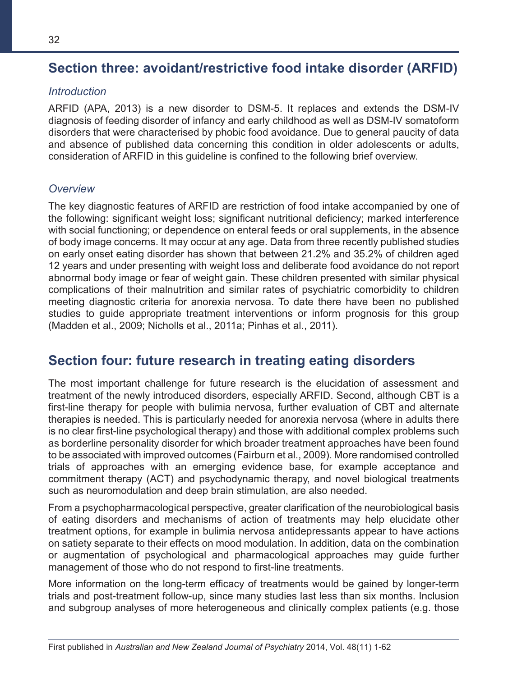# **Section three: avoidant/restrictive food intake disorder (ARFID)**

#### *Introduction*

ARFID (APA, 2013) is a new disorder to DSM-5. It replaces and extends the DSM-IV diagnosis of feeding disorder of infancy and early childhood as well as DSM-IV somatoform disorders that were characterised by phobic food avoidance. Due to general paucity of data and absence of published data concerning this condition in older adolescents or adults, consideration of ARFID in this guideline is confined to the following brief overview.

### *Overview*

The key diagnostic features of ARFID are restriction of food intake accompanied by one of the following: significant weight loss; significant nutritional deficiency; marked interference with social functioning; or dependence on enteral feeds or oral supplements, in the absence of body image concerns. It may occur at any age. Data from three recently published studies on early onset eating disorder has shown that between 21.2% and 35.2% of children aged 12 years and under presenting with weight loss and deliberate food avoidance do not report abnormal body image or fear of weight gain. These children presented with similar physical complications of their malnutrition and similar rates of psychiatric comorbidity to children meeting diagnostic criteria for anorexia nervosa. To date there have been no published studies to guide appropriate treatment interventions or inform prognosis for this group (Madden et al., 2009; Nicholls et al., 2011a; Pinhas et al., 2011).

# **Section four: future research in treating eating disorders**

The most important challenge for future research is the elucidation of assessment and treatment of the newly introduced disorders, especially ARFID. Second, although CBT is a first-line therapy for people with bulimia nervosa, further evaluation of CBT and alternate therapies is needed. This is particularly needed for anorexia nervosa (where in adults there is no clear first-line psychological therapy) and those with additional complex problems such as borderline personality disorder for which broader treatment approaches have been found to be associated with improved outcomes (Fairburn et al., 2009). More randomised controlled trials of approaches with an emerging evidence base, for example acceptance and commitment therapy (ACT) and psychodynamic therapy, and novel biological treatments such as neuromodulation and deep brain stimulation, are also needed.

From a psychopharmacological perspective, greater clarification of the neurobiological basis of eating disorders and mechanisms of action of treatments may help elucidate other treatment options, for example in bulimia nervosa antidepressants appear to have actions on satiety separate to their effects on mood modulation. In addition, data on the combination or augmentation of psychological and pharmacological approaches may guide further management of those who do not respond to first-line treatments.

More information on the long-term efficacy of treatments would be gained by longer-term trials and post-treatment follow-up, since many studies last less than six months. Inclusion and subgroup analyses of more heterogeneous and clinically complex patients (e.g. those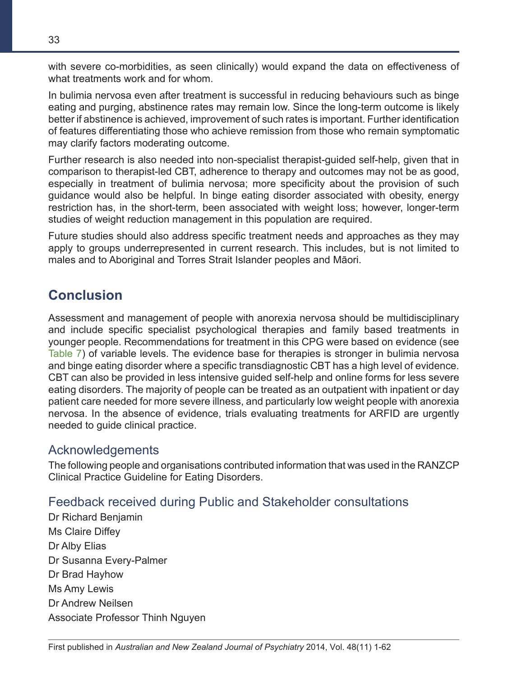with severe co-morbidities, as seen clinically) would expand the data on effectiveness of what treatments work and for whom.

In bulimia nervosa even after treatment is successful in reducing behaviours such as binge eating and purging, abstinence rates may remain low. Since the long-term outcome is likely better if abstinence is achieved, improvement of such rates is important. Further identification of features differentiating those who achieve remission from those who remain symptomatic may clarify factors moderating outcome.

Further research is also needed into non-specialist therapist-guided self-help, given that in comparison to therapist-led CBT, adherence to therapy and outcomes may not be as good, especially in treatment of bulimia nervosa; more specificity about the provision of such guidance would also be helpful. In binge eating disorder associated with obesity, energy restriction has, in the short-term, been associated with weight loss; however, longer-term studies of weight reduction management in this population are required.

Future studies should also address specific treatment needs and approaches as they may apply to groups underrepresented in current research. This includes, but is not limited to males and to Aboriginal and Torres Strait Islander peoples and Māori.

# **Conclusion**

Assessment and management of people with anorexia nervosa should be multidisciplinary and include specific specialist psychological therapies and family based treatments in younger people. Recommendations for treatment in this CPG were based on evidence (see [Table 7](#page-60-0)) of variable levels. The evidence base for therapies is stronger in bulimia nervosa and binge eating disorder where a specific transdiagnostic CBT has a high level of evidence. CBT can also be provided in less intensive guided self-help and online forms for less severe eating disorders. The majority of people can be treated as an outpatient with inpatient or day patient care needed for more severe illness, and particularly low weight people with anorexia nervosa. In the absence of evidence, trials evaluating treatments for ARFID are urgently needed to guide clinical practice.

## Acknowledgements

The following people and organisations contributed information that was used in the RANZCP Clinical Practice Guideline for Eating Disorders.

## Feedback received during Public and Stakeholder consultations

Dr Richard Benjamin Ms Claire Diffey Dr Alby Elias Dr Susanna Every-Palmer Dr Brad Hayhow Ms Amy Lewis Dr Andrew Neilsen Associate Professor Thinh Nguyen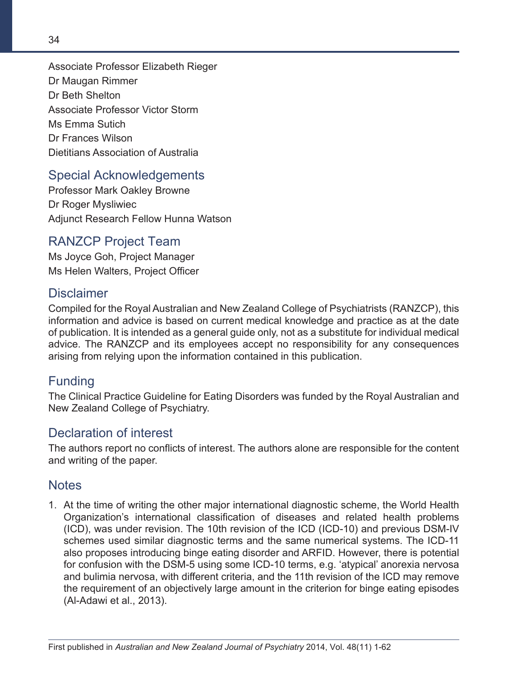Associate Professor Elizabeth Rieger Dr Maugan Rimmer Dr Beth Shelton Associate Professor Victor Storm Ms Emma Sutich Dr Frances Wilson Dietitians Association of Australia

# Special Acknowledgements

Professor Mark Oakley Browne Dr Roger Mysliwiec Adjunct Research Fellow Hunna Watson

# RANZCP Project Team

Ms Joyce Goh, Project Manager Ms Helen Walters, Project Officer

## **Disclaimer**

Compiled for the Royal Australian and New Zealand College of Psychiatrists (RANZCP), this information and advice is based on current medical knowledge and practice as at the date of publication. It is intended as a general guide only, not as a substitute for individual medical advice. The RANZCP and its employees accept no responsibility for any consequences arising from relying upon the information contained in this publication.

# Funding

The Clinical Practice Guideline for Eating Disorders was funded by the Royal Australian and New Zealand College of Psychiatry.

## Declaration of interest

The authors report no conflicts of interest. The authors alone are responsible for the content and writing of the paper.

## **Notes**

<span id="page-33-0"></span>1. At the time of writing the other major international diagnostic scheme, the World Health Organization's international classification of diseases and related health problems (ICD), was under revision. The 10th revision of the ICD (ICD-10) and previous DSM-IV schemes used similar diagnostic terms and the same numerical systems. The ICD-11 also proposes introducing binge eating disorder and ARFID. However, there is potential for confusion with the DSM-5 using some ICD-10 terms, e.g. 'atypical' anorexia nervosa and bulimia nervosa, with different criteria, and the 11th revision of the ICD may remove the requirement of an objectively large amount in the criterion for binge eating episodes (Al-Adawi et al., 2013).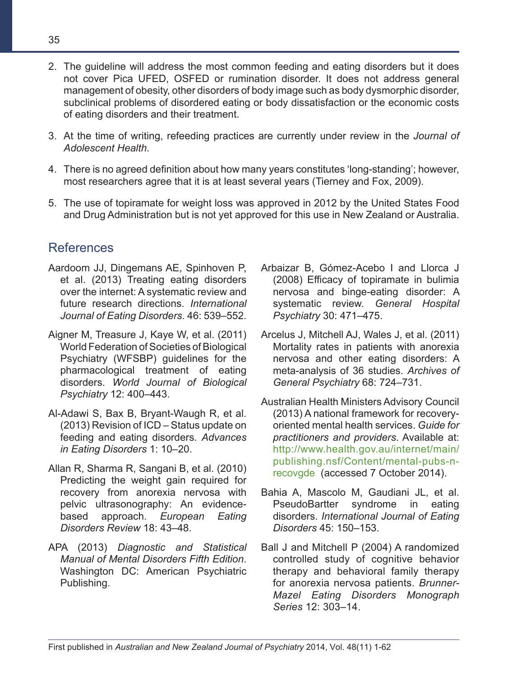- <span id="page-34-0"></span>2. The guideline will address the most common feeding and eating disorders but it does not cover Pica UFED, OSFED or rumination disorder. It does not address general management of obesity, other disorders of body image such as body dysmorphic disorder, subclinical problems of disordered eating or body dissatisfaction or the economic costs of eating disorders and their treatment.
- <span id="page-34-1"></span>3. At the time of writing, refeeding practices are currently under review in the *Journal of Adolescent Health*.
- <span id="page-34-2"></span>4. There is no agreed definition about how many years constitutes 'long-standing'; however, most researchers agree that it is at least several years (Tierney and Fox, 2009).
- <span id="page-34-3"></span>5. The use of topiramate for weight loss was approved in 2012 by the United States Food and Drug Administration but is not yet approved for this use in New Zealand or Australia.

# References

- Aardoom JJ, Dingemans AE, Spinhoven P, et al. (2013) Treating eating disorders over the internet: A systematic review and future research directions. *International Journal of Eating Disorders*. 46: 539–552.
- Aigner M, Treasure J, Kaye W, et al. (2011) World Federation of Societies of Biological Psychiatry (WFSBP) guidelines for the pharmacological treatment of eating disorders. *World Journal of Biological Psychiatry* 12: 400–443.
- Al-Adawi S, Bax B, Bryant-Waugh R, et al. (2013) Revision of ICD – Status update on feeding and eating disorders. *Advances in Eating Disorders* 1: 10–20.
- Allan R, Sharma R, Sangani B, et al. (2010) Predicting the weight gain required for recovery from anorexia nervosa with pelvic ultrasonography: An evidencebased approach. *European Eating Disorders Review* 18: 43–48.
- APA (2013) *Diagnostic and Statistical Manual of Mental Disorders Fifth Edition*. Washington DC: American Psychiatric Publishing.
- Arbaizar B, Gómez-Acebo I and Llorca J (2008) Efficacy of topiramate in bulimia nervosa and binge-eating disorder: A systematic review. *General Hospital Psychiatry* 30: 471–475.
- Arcelus J, Mitchell AJ, Wales J, et al. (2011) Mortality rates in patients with anorexia nervosa and other eating disorders: A meta-analysis of 36 studies. *Archives of General Psychiatry* 68: 724–731.
- Australian Health Ministers Advisory Council (2013) A national framework for recoveryoriented mental health services. *Guide for practitioners and providers*. Available at: [http://www.health.gov.au/internet/main/](http://www.health.gov.au/internet/main/publishing.nsf/Content/mental-pubs-n-recovgde) [publishing.nsf/Content/mental-pubs-n](http://www.health.gov.au/internet/main/publishing.nsf/Content/mental-pubs-n-recovgde)[recovgde](http://www.health.gov.au/internet/main/publishing.nsf/Content/mental-pubs-n-recovgde) (accessed 7 October 2014).
- Bahia A, Mascolo M, Gaudiani JL, et al. PseudoBartter syndrome in eating disorders. *International Journal of Eating Disorders* 45: 150–153.
- Ball J and Mitchell P (2004) A randomized controlled study of cognitive behavior therapy and behavioral family therapy for anorexia nervosa patients. *Brunner-Mazel Eating Disorders Monograph Series* 12: 303–14.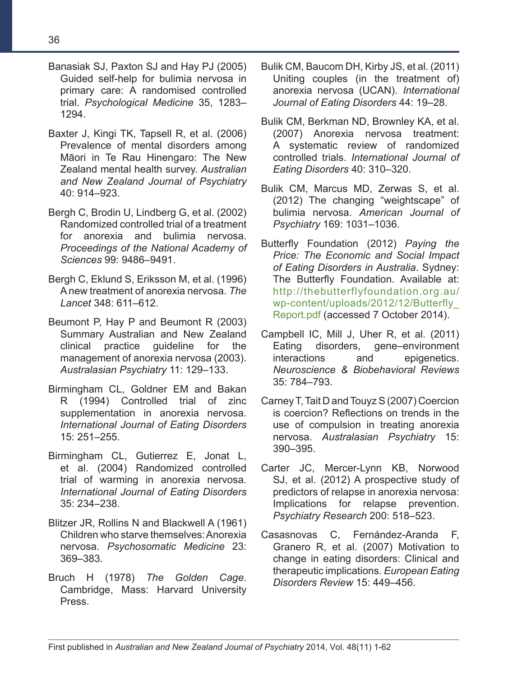- Banasiak SJ, Paxton SJ and Hay PJ (2005) Guided self-help for bulimia nervosa in primary care: A randomised controlled trial. *Psychological Medicine* 35, 1283– 1294.
- Baxter J, Kingi TK, Tapsell R, et al. (2006) Prevalence of mental disorders among Māori in Te Rau Hinengaro: The New Zealand mental health survey. *Australian and New Zealand Journal of Psychiatry* 40: 914–923.
- Bergh C, Brodin U, Lindberg G, et al. (2002) Randomized controlled trial of a treatment for anorexia and bulimia nervosa. *Proceedings of the National Academy of Sciences* 99: 9486–9491.
- Bergh C, Eklund S, Eriksson M, et al. (1996) A new treatment of anorexia nervosa. *The Lancet* 348: 611–612.
- Beumont P, Hay P and Beumont R (2003) Summary Australian and New Zealand clinical practice guideline for the management of anorexia nervosa (2003). *Australasian Psychiatry* 11: 129–133.
- Birmingham CL, Goldner EM and Bakan R (1994) Controlled trial of zinc supplementation in anorexia nervosa. *International Journal of Eating Disorders* 15: 251–255.
- Birmingham CL, Gutierrez E, Jonat L, et al. (2004) Randomized controlled trial of warming in anorexia nervosa. *International Journal of Eating Disorders* 35: 234–238.
- Blitzer JR, Rollins N and Blackwell A (1961) Children who starve themselves: Anorexia nervosa. *Psychosomatic Medicine* 23: 369–383.
- Bruch H (1978) *The Golden Cage*. Cambridge, Mass: Harvard University Press.
- Bulik CM, Baucom DH, Kirby JS, et al. (2011) Uniting couples (in the treatment of) anorexia nervosa (UCAN). *International Journal of Eating Disorders* 44: 19–28.
- Bulik CM, Berkman ND, Brownley KA, et al. (2007) Anorexia nervosa treatment: A systematic review of randomized controlled trials. *International Journal of Eating Disorders* 40: 310–320.
- Bulik CM, Marcus MD, Zerwas S, et al. (2012) The changing "weightscape" of bulimia nervosa. *American Journal of Psychiatry* 169: 1031–1036.
- Butterfly Foundation (2012) *Paying the Price: The Economic and Social Impact of Eating Disorders in Australia*. Sydney: The Butterfly Foundation. Available at: [http://thebutterflyfoundation.org.au/](http://thebutterflyfoundation.org.au/wp-content/uploads/2012/12/Butterfly_Report.pdf) [wp-content/uploads/2012/12/Butterfly\\_](http://thebutterflyfoundation.org.au/wp-content/uploads/2012/12/Butterfly_Report.pdf) [Report.pdf \(](http://thebutterflyfoundation.org.au/wp-content/uploads/2012/12/Butterfly_Report.pdf)accessed 7 October 2014).
- Campbell IC, Mill J, Uher R, et al. (2011) Eating disorders, gene–environment interactions and epigenetics. *Neuroscience & Biobehavioral Reviews* 35: 784–793.
- Carney T, Tait D and Touyz S (2007) Coercion is coercion? Reflections on trends in the use of compulsion in treating anorexia nervosa. *Australasian Psychiatry* 15: 390–395.
- Carter JC, Mercer-Lynn KB, Norwood SJ, et al. (2012) A prospective study of predictors of relapse in anorexia nervosa: Implications for relapse prevention. *Psychiatry Research* 200: 518–523.
- Casasnovas C, Fernández-Aranda F, Granero R, et al. (2007) Motivation to change in eating disorders: Clinical and therapeutic implications. *European Eating Disorders Review* 15: 449–456.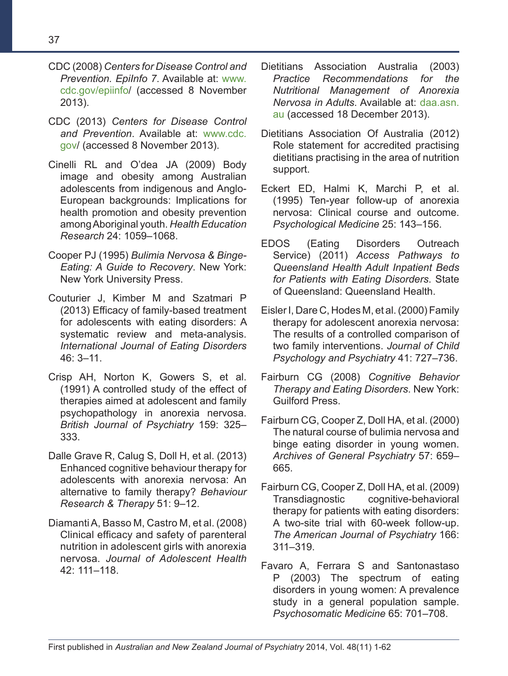- CDC (2008) *Centers for Disease Control and Prevention. EpiInfo 7*. Available at: [www.](www.cdc.gov/epiinfo) [cdc.gov/epiinfo/](www.cdc.gov/epiinfo) (accessed 8 November 2013).
- CDC (2013) *Centers for Disease Control and Prevention*. Available at: [www.cdc.](www.cdc.gov) [gov](www.cdc.gov)/ (accessed 8 November 2013).
- Cinelli RL and O'dea JA (2009) Body image and obesity among Australian adolescents from indigenous and Anglo-European backgrounds: Implications for health promotion and obesity prevention among Aboriginal youth. *Health Education Research* 24: 1059–1068.
- Cooper PJ (1995) *Bulimia Nervosa & Binge-Eating: A Guide to Recovery*. New York: New York University Press.
- Couturier J, Kimber M and Szatmari P (2013) Efficacy of family-based treatment for adolescents with eating disorders: A systematic review and meta-analysis. *International Journal of Eating Disorders* 46: 3–11.
- Crisp AH, Norton K, Gowers S, et al. (1991) A controlled study of the effect of therapies aimed at adolescent and family psychopathology in anorexia nervosa. *British Journal of Psychiatry* 159: 325– 333.
- Dalle Grave R, Calug S, Doll H, et al. (2013) Enhanced cognitive behaviour therapy for adolescents with anorexia nervosa: An alternative to family therapy? *Behaviour Research & Therapy* 51: 9–12.
- Diamanti A, Basso M, Castro M, et al. (2008) Clinical efficacy and safety of parenteral nutrition in adolescent girls with anorexia nervosa. *Journal of Adolescent Health* 42: 111–118.
- Dietitians Association Australia (2003) *Practice Recommendations for the Nutritional Management of Anorexia Nervosa in Adults*. Available at: [daa.asn.](daa.asn.au) [au](daa.asn.au) (accessed 18 December 2013).
- Dietitians Association Of Australia (2012) Role statement for accredited practising dietitians practising in the area of nutrition support.
- Eckert ED, Halmi K, Marchi P, et al. (1995) Ten-year follow-up of anorexia nervosa: Clinical course and outcome. *Psychological Medicine* 25: 143–156.
- EDOS (Eating Disorders Outreach Service) (2011) *Access Pathways to Queensland Health Adult Inpatient Beds for Patients with Eating Disorders*. State of Queensland: Queensland Health.
- Eisler I, Dare C, Hodes M, et al. (2000) Family therapy for adolescent anorexia nervosa: The results of a controlled comparison of two family interventions. *Journal of Child Psychology and Psychiatry* 41: 727–736.
- Fairburn CG (2008) *Cognitive Behavior Therapy and Eating Disorders*. New York: Guilford Press.
- Fairburn CG, Cooper Z, Doll HA, et al. (2000) The natural course of bulimia nervosa and binge eating disorder in young women. *Archives of General Psychiatry* 57: 659– 665.
- Fairburn CG, Cooper Z, Doll HA, et al. (2009) Transdiagnostic cognitive-behavioral therapy for patients with eating disorders: A two-site trial with 60-week follow-up. *The American Journal of Psychiatry* 166: 311–319.
- Favaro A, Ferrara S and Santonastaso P (2003) The spectrum of eating disorders in young women: A prevalence study in a general population sample. *Psychosomatic Medicine* 65: 701–708.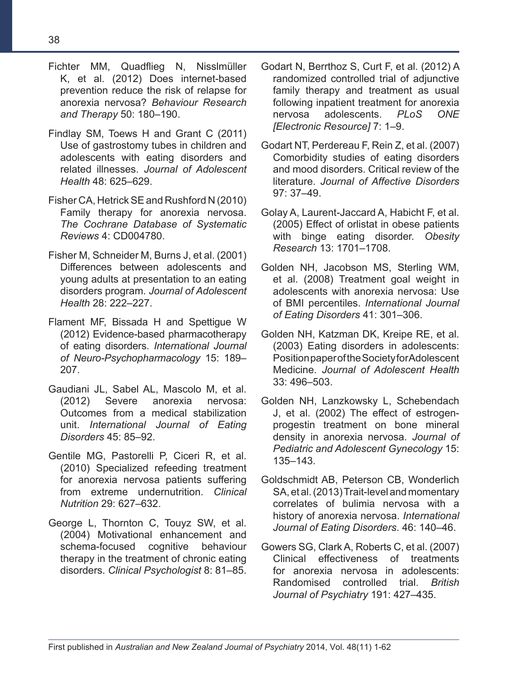- Fichter MM, Quadflieg N, Nisslmüller K, et al. (2012) Does internet-based prevention reduce the risk of relapse for anorexia nervosa? *Behaviour Research and Therapy* 50: 180–190.
- Findlay SM, Toews H and Grant C (2011) Use of gastrostomy tubes in children and adolescents with eating disorders and related illnesses. *Journal of Adolescent Health* 48: 625–629.
- Fisher CA, Hetrick SE and Rushford N (2010) Family therapy for anorexia nervosa. *The Cochrane Database of Systematic Reviews* 4: CD004780.
- Fisher M, Schneider M, Burns J, et al. (2001) Differences between adolescents and young adults at presentation to an eating disorders program. *Journal of Adolescent Health* 28: 222–227.
- Flament MF, Bissada H and Spettigue W (2012) Evidence-based pharmacotherapy of eating disorders. *International Journal of Neuro-Psychopharmacology* 15: 189– 207.
- Gaudiani JL, Sabel AL, Mascolo M, et al. (2012) Severe anorexia nervosa: Outcomes from a medical stabilization unit. *International Journal of Eating Disorders* 45: 85–92.
- Gentile MG, Pastorelli P, Ciceri R, et al. (2010) Specialized refeeding treatment for anorexia nervosa patients suffering from extreme undernutrition. *Clinical Nutrition* 29: 627–632.
- George L, Thornton C, Touyz SW, et al. (2004) Motivational enhancement and schema-focused cognitive behaviour therapy in the treatment of chronic eating disorders. *Clinical Psychologist* 8: 81–85.
- Godart N, Berrthoz S, Curt F, et al. (2012) A randomized controlled trial of adjunctive family therapy and treatment as usual following inpatient treatment for anorexia nervosa adolescents. *PLoS ONE [Electronic Resource]* 7: 1–9.
- Godart NT, Perdereau F, Rein Z, et al. (2007) Comorbidity studies of eating disorders and mood disorders. Critical review of the literature. *Journal of Affective Disorders* 97: 37–49.
- Golay A, Laurent-Jaccard A, Habicht F, et al. (2005) Effect of orlistat in obese patients with binge eating disorder. *Obesity Research* 13: 1701–1708.
- Golden NH, Jacobson MS, Sterling WM, et al. (2008) Treatment goal weight in adolescents with anorexia nervosa: Use of BMI percentiles. *International Journal of Eating Disorders* 41: 301–306.
- Golden NH, Katzman DK, Kreipe RE, et al. (2003) Eating disorders in adolescents: Position paper of the Society for Adolescent Medicine. *Journal of Adolescent Health* 33: 496–503.
- Golden NH, Lanzkowsky L, Schebendach J, et al. (2002) The effect of estrogenprogestin treatment on bone mineral density in anorexia nervosa. *Journal of Pediatric and Adolescent Gynecology* 15: 135–143.
- Goldschmidt AB, Peterson CB, Wonderlich SA, etal. (2013) Trait-level and momentary correlates of bulimia nervosa with a history of anorexia nervosa. *International Journal of Eating Disorders*. 46: 140–46.
- Gowers SG, Clark A, Roberts C, et al. (2007) Clinical effectiveness of treatments for anorexia nervosa in adolescents: Randomised controlled trial. *British Journal of Psychiatry* 191: 427–435.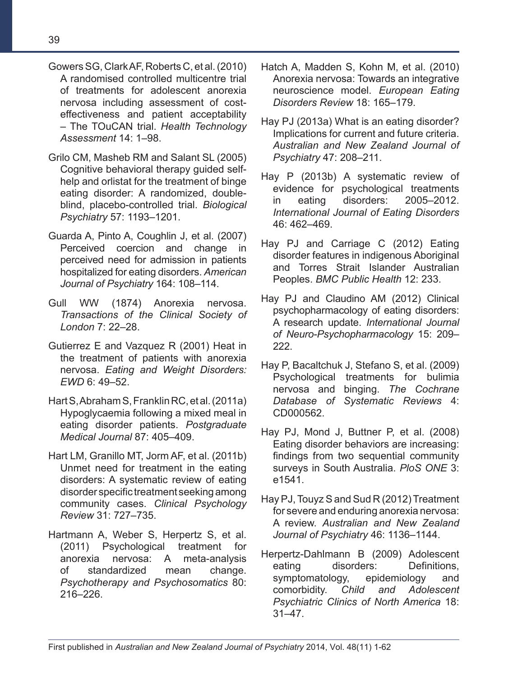- Gowers SG, Clark AF, Roberts C, et al. (2010) A randomised controlled multicentre trial of treatments for adolescent anorexia nervosa including assessment of costeffectiveness and patient acceptability – The TOuCAN trial. *Health Technology Assessment* 14: 1–98.
- Grilo CM, Masheb RM and Salant SL (2005) Cognitive behavioral therapy guided selfhelp and orlistat for the treatment of binge eating disorder: A randomized, doubleblind, placebo-controlled trial. *Biological Psychiatry* 57: 1193–1201.
- Guarda A, Pinto A, Coughlin J, et al. (2007) Perceived coercion and change in perceived need for admission in patients hospitalized for eating disorders. *American Journal of Psychiatry* 164: 108–114.
- Gull WW (1874) Anorexia nervosa. *Transactions of the Clinical Society of London* 7: 22–28.
- Gutierrez E and Vazquez R (2001) Heat in the treatment of patients with anorexia nervosa. *Eating and Weight Disorders: EWD* 6: 49–52.
- Hart S, Abraham S, Franklin RC, etal. (2011a) Hypoglycaemia following a mixed meal in eating disorder patients. *Postgraduate Medical Journal* 87: 405–409.
- Hart LM, Granillo MT, Jorm AF, et al. (2011b) Unmet need for treatment in the eating disorders: A systematic review of eating disorder specific treatment seeking among community cases. *Clinical Psychology Review* 31: 727–735.
- Hartmann A, Weber S, Herpertz S, et al. (2011) Psychological treatment for anorexia nervosa: A meta-analysis of standardized mean change. *Psychotherapy and Psychosomatics* 80: 216–226.
- Hatch A, Madden S, Kohn M, et al. (2010) Anorexia nervosa: Towards an integrative neuroscience model. *European Eating Disorders Review* 18: 165–179.
- Hay PJ (2013a) What is an eating disorder? Implications for current and future criteria. *Australian and New Zealand Journal of Psychiatry* 47: 208–211.
- Hay P (2013b) A systematic review of evidence for psychological treatments in eating disorders: 2005–2012. *International Journal of Eating Disorders* 46: 462–469.
- Hay PJ and Carriage C (2012) Eating disorder features in indigenous Aboriginal and Torres Strait Islander Australian Peoples. *BMC Public Health* 12: 233.
- Hay PJ and Claudino AM (2012) Clinical psychopharmacology of eating disorders: A research update. *International Journal of Neuro-Psychopharmacology* 15: 209– 222.
- Hay P, Bacaltchuk J, Stefano S, et al. (2009) Psychological treatments for bulimia nervosa and binging. *The Cochrane Database of Systematic Reviews* 4: CD000562.
- Hay PJ, Mond J, Buttner P, et al. (2008) Eating disorder behaviors are increasing: findings from two sequential community surveys in South Australia. *PloS ONE* 3: e1541.
- Hay PJ, Touyz S and Sud R (2012) Treatment for severe and enduring anorexia nervosa: A review. *Australian and New Zealand Journal of Psychiatry* 46: 1136–1144.
- Herpertz-Dahlmann B (2009) Adolescent eating disorders: Definitions, symptomatology, epidemiology and comorbidity. *Child and Adolescent Psychiatric Clinics of North America* 18: 31–47.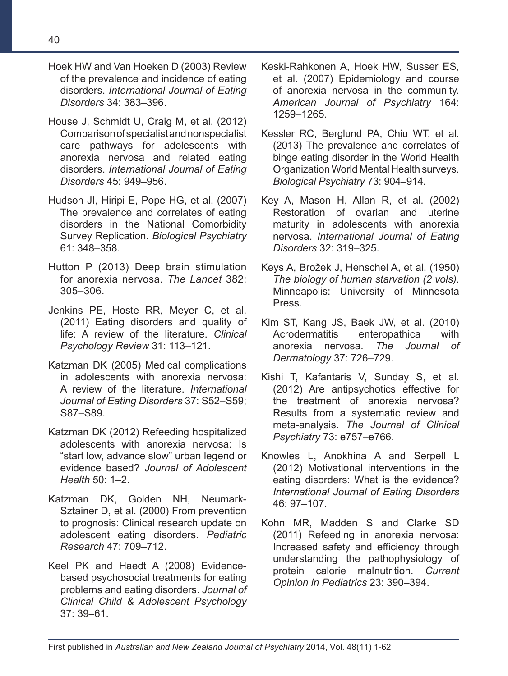- Hoek HW and Van Hoeken D (2003) Review of the prevalence and incidence of eating disorders. *International Journal of Eating Disorders* 34: 383–396.
- House J, Schmidt U, Craig M, et al. (2012) Comparison of specialist and nonspecialist care pathways for adolescents with anorexia nervosa and related eating disorders. *International Journal of Eating Disorders* 45: 949–956.
- Hudson JI, Hiripi E, Pope HG, et al. (2007) The prevalence and correlates of eating disorders in the National Comorbidity Survey Replication. *Biological Psychiatry* 61: 348–358.
- Hutton P (2013) Deep brain stimulation for anorexia nervosa. *The Lancet* 382: 305–306.
- Jenkins PE, Hoste RR, Meyer C, et al. (2011) Eating disorders and quality of life: A review of the literature. *Clinical Psychology Review* 31: 113–121.
- Katzman DK (2005) Medical complications in adolescents with anorexia nervosa: A review of the literature. *International Journal of Eating Disorders* 37: S52–S59; S87–S89.
- Katzman DK (2012) Refeeding hospitalized adolescents with anorexia nervosa: Is "start low, advance slow" urban legend or evidence based? *Journal of Adolescent Health* 50: 1–2.
- Katzman DK, Golden NH, Neumark-Sztainer D, et al. (2000) From prevention to prognosis: Clinical research update on adolescent eating disorders. *Pediatric Research* 47: 709–712.
- Keel PK and Haedt A (2008) Evidencebased psychosocial treatments for eating problems and eating disorders. *Journal of Clinical Child & Adolescent Psychology* 37: 39–61.
- Keski-Rahkonen A, Hoek HW, Susser ES, et al. (2007) Epidemiology and course of anorexia nervosa in the community. *American Journal of Psychiatry* 164: 1259–1265.
- Kessler RC, Berglund PA, Chiu WT, et al. (2013) The prevalence and correlates of binge eating disorder in the World Health Organization World Mental Health surveys. *Biological Psychiatry* 73: 904–914.
- Key A, Mason H, Allan R, et al. (2002) Restoration of ovarian and uterine maturity in adolescents with anorexia nervosa. *International Journal of Eating Disorders* 32: 319–325.
- Keys A, Brožek J, Henschel A, et al. (1950) *The biology of human starvation (2 vols)*. Minneapolis: University of Minnesota Press.
- Kim ST, Kang JS, Baek JW, et al. (2010) Acrodermatitis enteropathica with anorexia nervosa. *The Journal of Dermatology* 37: 726–729.
- Kishi T, Kafantaris V, Sunday S, et al. (2012) Are antipsychotics effective for the treatment of anorexia nervosa? Results from a systematic review and meta-analysis. *The Journal of Clinical Psychiatry* 73: e757–e766.
- Knowles L, Anokhina A and Serpell L (2012) Motivational interventions in the eating disorders: What is the evidence? *International Journal of Eating Disorders* 46: 97–107.
- Kohn MR, Madden S and Clarke SD (2011) Refeeding in anorexia nervosa: Increased safety and efficiency through understanding the pathophysiology of protein calorie malnutrition. *Current Opinion in Pediatrics* 23: 390–394.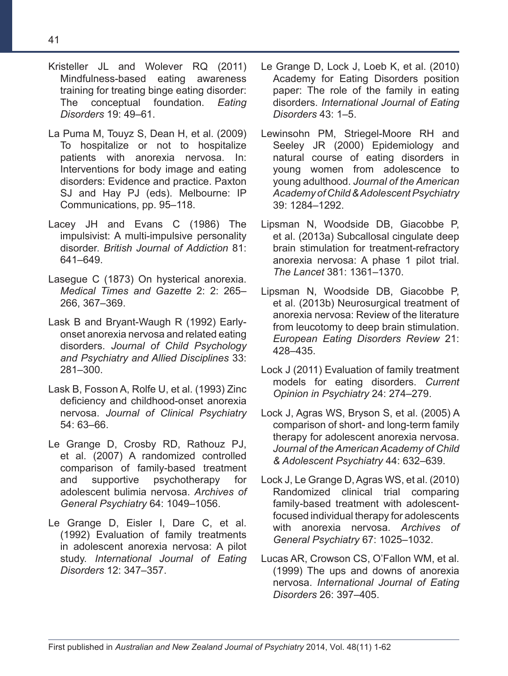- Kristeller JL and Wolever RQ (2011) Mindfulness-based eating awareness training for treating binge eating disorder: The conceptual foundation. *Eating Disorders* 19: 49–61.
- La Puma M, Touyz S, Dean H, et al. (2009) To hospitalize or not to hospitalize patients with anorexia nervosa. In: Interventions for body image and eating disorders: Evidence and practice. Paxton SJ and Hay PJ (eds). Melbourne: IP Communications, pp. 95–118.
- Lacey JH and Evans C (1986) The impulsivist: A multi-impulsive personality disorder. *British Journal of Addiction* 81: 641–649.
- Lasegue C (1873) On hysterical anorexia. *Medical Times and Gazette* 2: 2: 265– 266, 367–369.
- Lask B and Bryant-Waugh R (1992) Earlyonset anorexia nervosa and related eating disorders. *Journal of Child Psychology and Psychiatry and Allied Disciplines* 33: 281–300.
- Lask B, Fosson A, Rolfe U, et al. (1993) Zinc deficiency and childhood-onset anorexia nervosa. *Journal of Clinical Psychiatry* 54: 63–66.
- Le Grange D, Crosby RD, Rathouz PJ, et al. (2007) A randomized controlled comparison of family-based treatment and supportive psychotherapy for adolescent bulimia nervosa. *Archives of General Psychiatry* 64: 1049–1056.
- Le Grange D, Eisler I, Dare C, et al. (1992) Evaluation of family treatments in adolescent anorexia nervosa: A pilot study. *International Journal of Eating Disorders* 12: 347–357.
- Le Grange D, Lock J, Loeb K, et al. (2010) Academy for Eating Disorders position paper: The role of the family in eating disorders. *International Journal of Eating Disorders* 43: 1–5.
- Lewinsohn PM, Striegel-Moore RH and Seeley JR (2000) Epidemiology and natural course of eating disorders in young women from adolescence to young adulthood. *Journal of the American Academy of Child & Adolescent Psychiatry* 39: 1284–1292.
- Lipsman N, Woodside DB, Giacobbe P, et al. (2013a) Subcallosal cingulate deep brain stimulation for treatment-refractory anorexia nervosa: A phase 1 pilot trial. *The Lancet* 381: 1361–1370.
- Lipsman N, Woodside DB, Giacobbe P, et al. (2013b) Neurosurgical treatment of anorexia nervosa: Review of the literature from leucotomy to deep brain stimulation. *European Eating Disorders Review* 21: 428–435.
- Lock J (2011) Evaluation of family treatment models for eating disorders. *Current Opinion in Psychiatry* 24: 274–279.
- Lock J, Agras WS, Bryson S, et al. (2005) A comparison of short- and long-term family therapy for adolescent anorexia nervosa. *Journal of the American Academy of Child & Adolescent Psychiatry* 44: 632–639.
- Lock J, Le Grange D, Agras WS, et al. (2010) Randomized clinical trial comparing family-based treatment with adolescentfocused individual therapy for adolescents with anorexia nervosa. *Archives of General Psychiatry* 67: 1025–1032.
- Lucas AR, Crowson CS, O'Fallon WM, et al. (1999) The ups and downs of anorexia nervosa. *International Journal of Eating Disorders* 26: 397–405.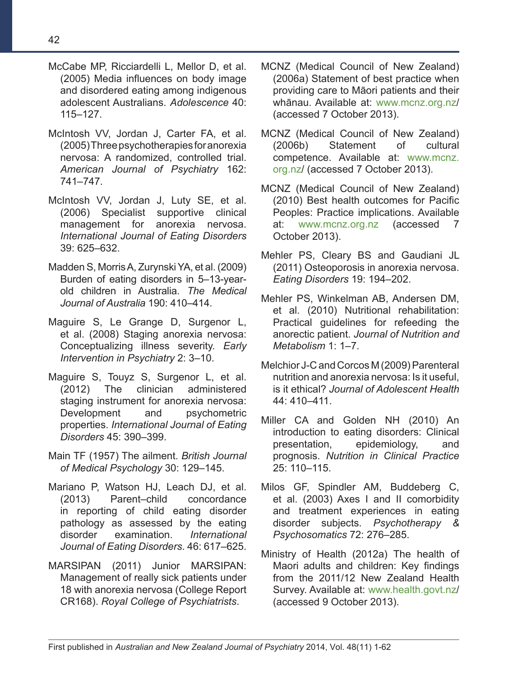- McCabe MP, Ricciardelli L, Mellor D, et al. (2005) Media influences on body image and disordered eating among indigenous adolescent Australians. *Adolescence* 40: 115–127.
- McIntosh VV, Jordan J, Carter FA, et al. (2005) Three psychotherapies for anorexia nervosa: A randomized, controlled trial. *American Journal of Psychiatry* 162: 741–747.
- McIntosh VV, Jordan J, Luty SE, et al. (2006) Specialist supportive clinical management for anorexia nervosa. *International Journal of Eating Disorders* 39: 625–632.
- Madden S, Morris A, Zurynski YA, et al. (2009) Burden of eating disorders in 5–13-yearold children in Australia. *The Medical Journal of Australia* 190: 410–414.
- Maguire S, Le Grange D, Surgenor L, et al. (2008) Staging anorexia nervosa: Conceptualizing illness severity. *Early Intervention in Psychiatry* 2: 3–10.
- Maguire S, Touyz S, Surgenor L, et al. (2012) The clinician administered staging instrument for anorexia nervosa: Development and psychometric properties. *International Journal of Eating Disorders* 45: 390–399.
- Main TF (1957) The ailment. *British Journal of Medical Psychology* 30: 129–145.
- Mariano P, Watson HJ, Leach DJ, et al. (2013) Parent–child concordance in reporting of child eating disorder pathology as assessed by the eating disorder examination. *International Journal of Eating Disorders*. 46: 617–625.
- MARSIPAN (2011) Junior MARSIPAN: Management of really sick patients under 18 with anorexia nervosa (College Report CR168). *Royal College of Psychiatrists*.
- MCNZ (Medical Council of New Zealand) (2006a) Statement of best practice when providing care to Māori patients and their whānau. Available at: <www.mcnz.org.nz>/ (accessed 7 October 2013).
- MCNZ (Medical Council of New Zealand) (2006b) Statement of cultural competence. Available at: [www.mcnz.](www.mcnz.org.nz) [org.nz](www.mcnz.org.nz)/ (accessed 7 October 2013).
- MCNZ (Medical Council of New Zealand) (2010) Best health outcomes for Pacific Peoples: Practice implications. Available at: <www.mcnz.org.nz> (accessed 7 October 2013).
- Mehler PS, Cleary BS and Gaudiani JL (2011) Osteoporosis in anorexia nervosa. *Eating Disorders* 19: 194–202.
- Mehler PS, Winkelman AB, Andersen DM, et al. (2010) Nutritional rehabilitation: Practical guidelines for refeeding the anorectic patient. *Journal of Nutrition and Metabolism* 1: 1–7.
- Melchior J-C and Corcos M (2009) Parenteral nutrition and anorexia nervosa: Is it useful, is it ethical? *Journal of Adolescent Health* 44: 410–411.
- Miller CA and Golden NH (2010) An introduction to eating disorders: Clinical presentation, epidemiology, and prognosis. *Nutrition in Clinical Practice* 25: 110–115.
- Milos GF, Spindler AM, Buddeberg C, et al. (2003) Axes I and II comorbidity and treatment experiences in eating disorder subjects. *Psychotherapy & Psychosomatics* 72: 276–285.
- Ministry of Health (2012a) The health of Maori adults and children: Key findings from the 2011/12 New Zealand Health Survey. Available at: <www.health.govt.nz>/ (accessed 9 October 2013).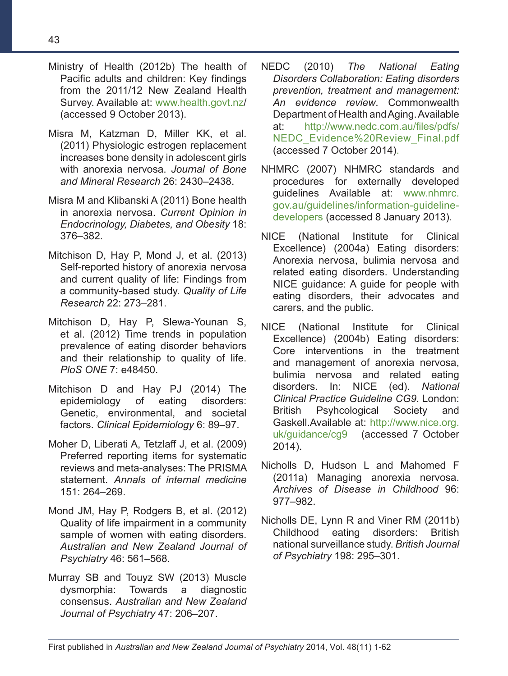- Ministry of Health (2012b) The health of Pacific adults and children: Key findings from the 2011/12 New Zealand Health Survey. Available at: [www.health.govt.nz/](www.health.govt.nz) (accessed 9 October 2013).
- Misra M, Katzman D, Miller KK, et al. (2011) Physiologic estrogen replacement increases bone density in adolescent girls with anorexia nervosa. *Journal of Bone and Mineral Research* 26: 2430–2438.
- Misra M and Klibanski A (2011) Bone health in anorexia nervosa. *Current Opinion in Endocrinology, Diabetes, and Obesity* 18: 376–382.
- Mitchison D, Hay P, Mond J, et al. (2013) Self-reported history of anorexia nervosa and current quality of life: Findings from a community-based study. *Quality of Life Research* 22: 273–281.
- Mitchison D, Hay P, Slewa-Younan S, et al. (2012) Time trends in population prevalence of eating disorder behaviors and their relationship to quality of life. *PloS ONE* 7: e48450.
- Mitchison D and Hay PJ (2014) The epidemiology of eating disorders: Genetic, environmental, and societal factors. *Clinical Epidemiology* 6: 89–97.
- Moher D, Liberati A, Tetzlaff J, et al. (2009) Preferred reporting items for systematic reviews and meta-analyses: The PRISMA statement. *Annals of internal medicine* 151: 264–269.
- Mond JM, Hay P, Rodgers B, et al. (2012) Quality of life impairment in a community sample of women with eating disorders. *Australian and New Zealand Journal of Psychiatry* 46: 561–568.
- Murray SB and Touyz SW (2013) Muscle dysmorphia: Towards a diagnostic consensus. *Australian and New Zealand Journal of Psychiatry* 47: 206–207.
- NEDC (2010) *The National Eating Disorders Collaboration: Eating disorders prevention, treatment and management: An evidence review*. Commonwealth Department of Health and Aging. Available at: [http://www.nedc.com.au/files/pdfs/](http://www.nedc.com.au/files/pdfs/NEDC_Evidence%20Review_Final.pdf) [NEDC\\_Evidence%20Review\\_Final.pdf](http://www.nedc.com.au/files/pdfs/NEDC_Evidence%20Review_Final.pdf)  (accessed 7 October 2014).
- NHMRC (2007) NHMRC standards and procedures for externally developed guidelines Available at: [www.nhmrc.](http://www.nhmrc.gov.au/guidelines/information-guideline-developers) [gov.au/guidelines/information-guideline](http://www.nhmrc.gov.au/guidelines/information-guideline-developers)[developers](http://www.nhmrc.gov.au/guidelines/information-guideline-developers) (accessed 8 January 2013).
- NICE (National Institute for Clinical Excellence) (2004a) Eating disorders: Anorexia nervosa, bulimia nervosa and related eating disorders. Understanding NICE guidance: A guide for people with eating disorders, their advocates and carers, and the public.
- NICE (National Institute for Clinical Excellence) (2004b) Eating disorders: Core interventions in the treatment and management of anorexia nervosa, bulimia nervosa and related eating disorders. In: NICE (ed). *National Clinical Practice Guideline CG9*. London: British Psyhcological Society and Gaskell.Available at: [http://www.nice.org.](http://www.nice.org.uk/guidance/cg9) [uk/guidance/cg9](http://www.nice.org.uk/guidance/cg9) (accessed 7 October 2014).
- Nicholls D, Hudson L and Mahomed F (2011a) Managing anorexia nervosa. *Archives of Disease in Childhood* 96: 977–982.
- Nicholls DE, Lynn R and Viner RM (2011b) Childhood eating disorders: British national surveillance study. *British Journal of Psychiatry* 198: 295–301.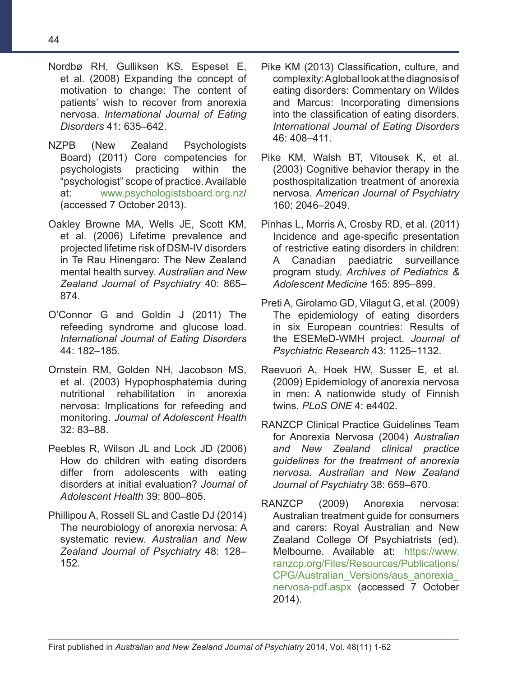- Nordbø RH, Gulliksen KS, Espeset E, et al. (2008) Expanding the concept of motivation to change: The content of patients' wish to recover from anorexia nervosa. *International Journal of Eating Disorders* 41: 635–642.
- NZPB (New Zealand Psychologists Board) (2011) Core competencies for psychologists practicing within the "psychologist" scope of practice. Available at: [www.psychologistsboard.org.nz/](www.psychologistsboard.org.nz) (accessed 7 October 2013).
- Oakley Browne MA, Wells JE, Scott KM, et al. (2006) Lifetime prevalence and projected lifetime risk of DSM-IV disorders in Te Rau Hinengaro: The New Zealand mental health survey. *Australian and New Zealand Journal of Psychiatry* 40: 865– 874.
- O'Connor G and Goldin J (2011) The refeeding syndrome and glucose load. *International Journal of Eating Disorders* 44: 182–185.
- Ornstein RM, Golden NH, Jacobson MS, et al. (2003) Hypophosphatemia during nutritional rehabilitation in anorexia nervosa: Implications for refeeding and monitoring. *Journal of Adolescent Health* 32: 83–88.
- Peebles R, Wilson JL and Lock JD (2006) How do children with eating disorders differ from adolescents with eating disorders at initial evaluation? *Journal of Adolescent Health* 39: 800–805.
- Phillipou A, Rossell SL and Castle DJ (2014) The neurobiology of anorexia nervosa: A systematic review. *Australian and New Zealand Journal of Psychiatry* 48: 128– 152.
- Pike KM (2013) Classification, culture, and complexity: A global look at the diagnosis of eating disorders: Commentary on Wildes and Marcus: Incorporating dimensions into the classification of eating disorders. *International Journal of Eating Disorders* 46: 408–411.
- Pike KM, Walsh BT, Vitousek K, et al. (2003) Cognitive behavior therapy in the posthospitalization treatment of anorexia nervosa. *American Journal of Psychiatry* 160: 2046–2049.
- Pinhas L, Morris A, Crosby RD, et al. (2011) Incidence and age-specific presentation of restrictive eating disorders in children: A Canadian paediatric surveillance program study. *Archives of Pediatrics & Adolescent Medicine* 165: 895–899.
- Preti A, Girolamo GD, Vilagut G, et al. (2009) The epidemiology of eating disorders in six European countries: Results of the ESEMeD-WMH project. *Journal of Psychiatric Research* 43: 1125–1132.
- Raevuori A, Hoek HW, Susser E, et al. (2009) Epidemiology of anorexia nervosa in men: A nationwide study of Finnish twins. *PLoS ONE* 4: e4402.
- RANZCP Clinical Practice Guidelines Team for Anorexia Nervosa (2004) *Australian and New Zealand clinical practice guidelines for the treatment of anorexia nervosa. Australian and New Zealand Journal of Psychiatry* 38: 659–670.
- RANZCP (2009) Anorexia nervosa: Australian treatment guide for consumers and carers: Royal Australian and New Zealand College Of Psychiatrists (ed). Melbourne. Available at: [https://www.](https://www.ranzcp.org/Files/Resources/Publications/CPG/Australian_Versions/aus_anorexia_nervosa-pdf.aspx) [ranzcp.org/Files/Resources/Publications/](https://www.ranzcp.org/Files/Resources/Publications/CPG/Australian_Versions/aus_anorexia_nervosa-pdf.aspx) [CPG/Australian\\_Versions/aus\\_anorexia\\_](https://www.ranzcp.org/Files/Resources/Publications/CPG/Australian_Versions/aus_anorexia_nervosa-pdf.aspx) [nervosa-pdf.aspx](https://www.ranzcp.org/Files/Resources/Publications/CPG/Australian_Versions/aus_anorexia_nervosa-pdf.aspx) (accessed 7 October 2014).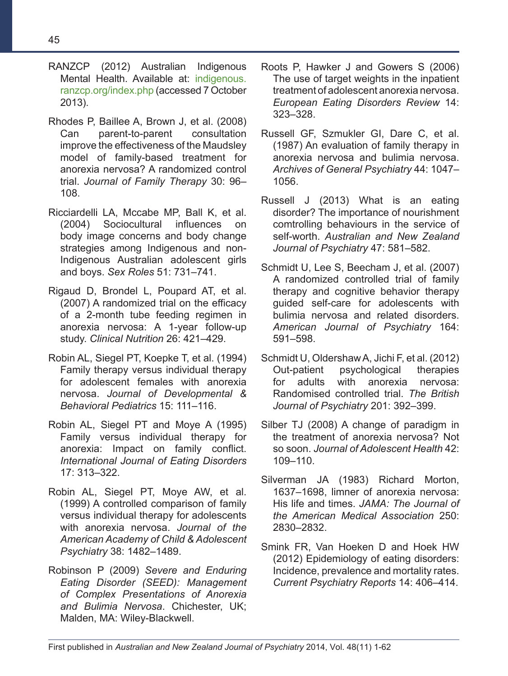- RANZCP (2012) Australian Indigenous Mental Health. Available at: [indigenous.](indigenous.ranzcp.org/index.php) [ranzcp.org/index.php](indigenous.ranzcp.org/index.php) (accessed 7 October 2013).
- Rhodes P, Baillee A, Brown J, et al. (2008) Can parent-to-parent consultation improve the effectiveness of the Maudsley model of family-based treatment for anorexia nervosa? A randomized control trial. *Journal of Family Therapy* 30: 96– 108.
- Ricciardelli LA, Mccabe MP, Ball K, et al. (2004) Sociocultural influences on body image concerns and body change strategies among Indigenous and non-Indigenous Australian adolescent girls and boys. *Sex Roles* 51: 731–741.
- Rigaud D, Brondel L, Poupard AT, et al. (2007) A randomized trial on the efficacy of a 2-month tube feeding regimen in anorexia nervosa: A 1-year follow-up study. *Clinical Nutrition* 26: 421–429.
- Robin AL, Siegel PT, Koepke T, et al. (1994) Family therapy versus individual therapy for adolescent females with anorexia nervosa. *Journal of Developmental & Behavioral Pediatrics* 15: 111–116.
- Robin AL, Siegel PT and Moye A (1995) Family versus individual therapy for anorexia: Impact on family conflict. *International Journal of Eating Disorders* 17: 313–322.
- Robin AL, Siegel PT, Moye AW, et al. (1999) A controlled comparison of family versus individual therapy for adolescents with anorexia nervosa. *Journal of the American Academy of Child & Adolescent Psychiatry* 38: 1482–1489.
- Robinson P (2009) *Severe and Enduring Eating Disorder (SEED): Management of Complex Presentations of Anorexia and Bulimia Nervosa*. Chichester, UK; Malden, MA: Wiley-Blackwell.
- Roots P, Hawker J and Gowers S (2006) The use of target weights in the inpatient treatment of adolescent anorexia nervosa. *European Eating Disorders Review* 14: 323–328.
- Russell GF, Szmukler GI, Dare C, et al. (1987) An evaluation of family therapy in anorexia nervosa and bulimia nervosa. *Archives of General Psychiatry* 44: 1047– 1056.
- Russell J (2013) What is an eating disorder? The importance of nourishment comtrolling behaviours in the service of self-worth. *Australian and New Zealand Journal of Psychiatry* 47: 581–582.
- Schmidt U, Lee S, Beecham J, et al. (2007) A randomized controlled trial of family therapy and cognitive behavior therapy guided self-care for adolescents with bulimia nervosa and related disorders. *American Journal of Psychiatry* 164: 591–598.
- Schmidt U, Oldershaw A, Jichi F, et al. (2012) Out-patient psychological therapies for adults with anorexia nervosa: Randomised controlled trial. *The British Journal of Psychiatry* 201: 392–399.
- Silber TJ (2008) A change of paradigm in the treatment of anorexia nervosa? Not so soon. *Journal of Adolescent Health* 42: 109–110.
- Silverman JA (1983) Richard Morton, 1637–1698, limner of anorexia nervosa: His life and times. *JAMA: The Journal of the American Medical Association* 250: 2830–2832.
- Smink FR, Van Hoeken D and Hoek HW (2012) Epidemiology of eating disorders: Incidence, prevalence and mortality rates. *Current Psychiatry Reports* 14: 406–414.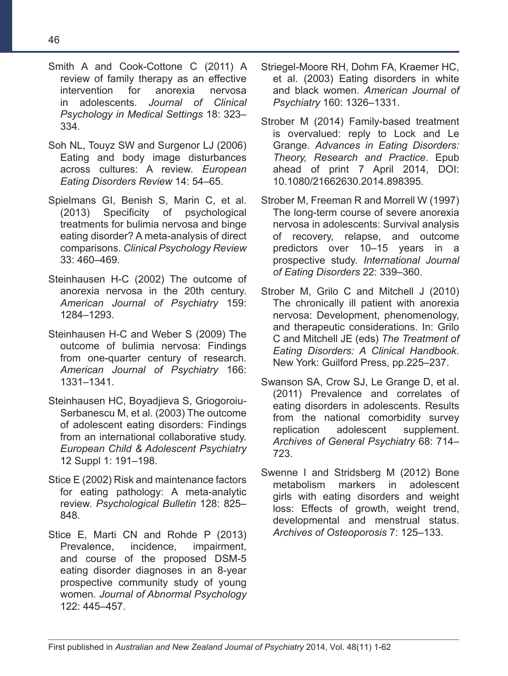- Smith A and Cook-Cottone C (2011) A review of family therapy as an effective intervention for anorexia nervosa in adolescents. *Journal of Clinical Psychology in Medical Settings* 18: 323– 334.
- Soh NL, Touyz SW and Surgenor LJ (2006) Eating and body image disturbances across cultures: A review. *European Eating Disorders Review* 14: 54–65.
- Spielmans GI, Benish S, Marin C, et al. (2013) Specificity of psychological treatments for bulimia nervosa and binge eating disorder? A meta-analysis of direct comparisons. *Clinical Psychology Review* 33: 460–469.
- Steinhausen H-C (2002) The outcome of anorexia nervosa in the 20th century. *American Journal of Psychiatry* 159: 1284–1293.
- Steinhausen H-C and Weber S (2009) The outcome of bulimia nervosa: Findings from one-quarter century of research. *American Journal of Psychiatry* 166: 1331–1341.
- Steinhausen HC, Boyadjieva S, Griogoroiu-Serbanescu M, et al. (2003) The outcome of adolescent eating disorders: Findings from an international collaborative study. *European Child & Adolescent Psychiatry* 12 Suppl 1: 191–198.
- Stice E (2002) Risk and maintenance factors for eating pathology: A meta-analytic review. *Psychological Bulletin* 128: 825– 848.
- Stice E, Marti CN and Rohde P (2013) Prevalence, incidence, impairment, and course of the proposed DSM-5 eating disorder diagnoses in an 8-year prospective community study of young women. *Journal of Abnormal Psychology* 122: 445–457.
- Striegel-Moore RH, Dohm FA, Kraemer HC, et al. (2003) Eating disorders in white and black women. *American Journal of Psychiatry* 160: 1326–1331.
- Strober M (2014) Family-based treatment is overvalued: reply to Lock and Le Grange. *Advances in Eating Disorders: Theory, Research and Practice*. Epub ahead of print 7 April 2014, DOI: 10.1080/21662630.2014.898395.
- Strober M, Freeman R and Morrell W (1997) The long-term course of severe anorexia nervosa in adolescents: Survival analysis of recovery, relapse, and outcome predictors over 10–15 years in a prospective study. *International Journal of Eating Disorders* 22: 339–360.
- Strober M, Grilo C and Mitchell J (2010) The chronically ill patient with anorexia nervosa: Development, phenomenology, and therapeutic considerations. In: Grilo C and Mitchell JE (eds) *The Treatment of Eating Disorders: A Clinical Handbook*. New York: Guilford Press, pp.225–237.
- Swanson SA, Crow SJ, Le Grange D, et al. (2011) Prevalence and correlates of eating disorders in adolescents. Results from the national comorbidity survey replication adolescent supplement. *Archives of General Psychiatry* 68: 714– 723.
- Swenne I and Stridsberg M (2012) Bone metabolism markers in adolescent girls with eating disorders and weight loss: Effects of growth, weight trend, developmental and menstrual status. *Archives of Osteoporosis* 7: 125–133.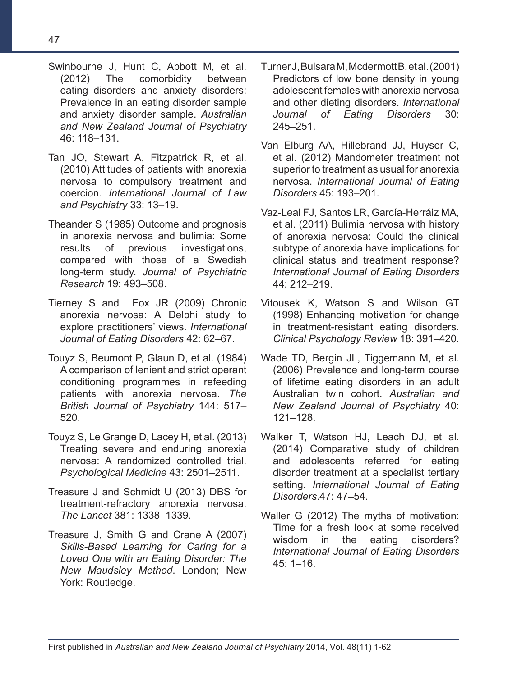- Swinbourne J, Hunt C, Abbott M, et al. (2012) The comorbidity between eating disorders and anxiety disorders: Prevalence in an eating disorder sample and anxiety disorder sample. *Australian and New Zealand Journal of Psychiatry* 46: 118–131.
- Tan JO, Stewart A, Fitzpatrick R, et al. (2010) Attitudes of patients with anorexia nervosa to compulsory treatment and coercion. *International Journal of Law and Psychiatry* 33: 13–19.
- Theander S (1985) Outcome and prognosis in anorexia nervosa and bulimia: Some results of previous investigations, compared with those of a Swedish long-term study. *Journal of Psychiatric Research* 19: 493–508.
- Tierney S and Fox JR (2009) Chronic anorexia nervosa: A Delphi study to explore practitioners' views. *International Journal of Eating Disorders* 42: 62–67.
- Touyz S, Beumont P, Glaun D, et al. (1984) A comparison of lenient and strict operant conditioning programmes in refeeding patients with anorexia nervosa. *The British Journal of Psychiatry* 144: 517– 520.
- Touyz S, Le Grange D, Lacey H, et al. (2013) Treating severe and enduring anorexia nervosa: A randomized controlled trial. *Psychological Medicine* 43: 2501–2511.
- Treasure J and Schmidt U (2013) DBS for treatment-refractory anorexia nervosa. *The Lancet* 381: 1338–1339.
- Treasure J, Smith G and Crane A (2007) *Skills-Based Learning for Caring for a Loved One with an Eating Disorder: The New Maudsley Method*. London; New York: Routledge.
- Turner J, Bulsara M, Mcdermott B, etal. (2001) Predictors of low bone density in young adolescent females with anorexia nervosa and other dieting disorders. *International Journal of Eating Disorders* 30: 245–251.
- Van Elburg AA, Hillebrand JJ, Huyser C, et al. (2012) Mandometer treatment not superior to treatment as usual for anorexia nervosa. *International Journal of Eating Disorders* 45: 193–201.
- Vaz-Leal FJ, Santos LR, García-Herráiz MA, et al. (2011) Bulimia nervosa with history of anorexia nervosa: Could the clinical subtype of anorexia have implications for clinical status and treatment response? *International Journal of Eating Disorders* 44: 212–219.
- Vitousek K, Watson S and Wilson GT (1998) Enhancing motivation for change in treatment-resistant eating disorders. *Clinical Psychology Review* 18: 391–420.
- Wade TD, Bergin JL, Tiggemann M, et al. (2006) Prevalence and long-term course of lifetime eating disorders in an adult Australian twin cohort. *Australian and New Zealand Journal of Psychiatry* 40: 121–128.
- Walker T, Watson HJ, Leach DJ, et al. (2014) Comparative study of children and adolescents referred for eating disorder treatment at a specialist tertiary setting. *International Journal of Eating Disorders*.47: 47–54.
- Waller G (2012) The myths of motivation: Time for a fresh look at some received wisdom in the eating disorders? *International Journal of Eating Disorders* 45: 1–16.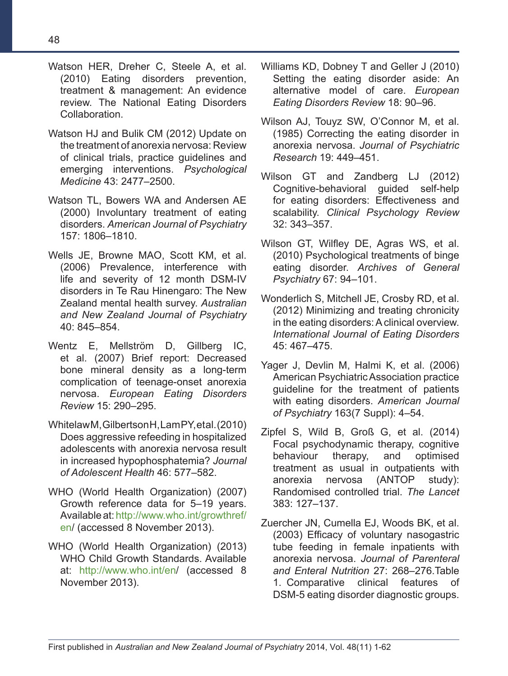- Watson HER, Dreher C, Steele A, et al. (2010) Eating disorders prevention, treatment & management: An evidence review. The National Eating Disorders Collaboration.
- Watson HJ and Bulik CM (2012) Update on the treatment of anorexia nervosa: Review of clinical trials, practice guidelines and emerging interventions. *Psychological Medicine* 43: 2477–2500.
- Watson TL, Bowers WA and Andersen AE (2000) Involuntary treatment of eating disorders. *American Journal of Psychiatry* 157: 1806–1810.
- Wells JE, Browne MAO, Scott KM, et al. (2006) Prevalence, interference with life and severity of 12 month DSM-IV disorders in Te Rau Hinengaro: The New Zealand mental health survey. *Australian and New Zealand Journal of Psychiatry* 40: 845–854.
- Wentz E, Mellström D, Gillberg IC, et al. (2007) Brief report: Decreased bone mineral density as a long-term complication of teenage-onset anorexia nervosa. *European Eating Disorders Review* 15: 290–295.
- Whitelaw M, Gilbertson H, Lam PY, etal. (2010) Does aggressive refeeding in hospitalized adolescents with anorexia nervosa result in increased hypophosphatemia? *Journal of Adolescent Health* 46: 577–582.
- WHO (World Health Organization) (2007) Growth reference data for 5–19 years. Available at: [http://www.who.int/growthref/](http://www.who.int/growthref/en) [en](http://www.who.int/growthref/en)/ (accessed 8 November 2013).
- WHO (World Health Organization) (2013) WHO Child Growth Standards. Available at: <http://www.who.int/en>/ (accessed 8 November 2013).
- Williams KD, Dobney T and Geller J (2010) Setting the eating disorder aside: An alternative model of care. *European Eating Disorders Review* 18: 90–96.
- Wilson AJ, Touyz SW, O'Connor M, et al. (1985) Correcting the eating disorder in anorexia nervosa. *Journal of Psychiatric Research* 19: 449–451.
- Wilson GT and Zandberg LJ (2012) Cognitive-behavioral guided self-help for eating disorders: Effectiveness and scalability. *Clinical Psychology Review* 32: 343–357.
- Wilson GT, Wilfley DE, Agras WS, et al. (2010) Psychological treatments of binge eating disorder. *Archives of General Psychiatry* 67: 94–101.
- Wonderlich S, Mitchell JE, Crosby RD, et al. (2012) Minimizing and treating chronicity in the eating disorders: A clinical overview. *International Journal of Eating Disorders* 45: 467–475.
- Yager J, Devlin M, Halmi K, et al. (2006) American Psychiatric Association practice guideline for the treatment of patients with eating disorders. *American Journal of Psychiatry* 163(7 Suppl): 4–54.
- Zipfel S, Wild B, Groß G, et al. (2014) Focal psychodynamic therapy, cognitive behaviour therapy, and optimised treatment as usual in outpatients with anorexia nervosa (ANTOP study): Randomised controlled trial. *The Lancet* 383: 127–137.
- Zuercher JN, Cumella EJ, Woods BK, et al. (2003) Efficacy of voluntary nasogastric tube feeding in female inpatients with anorexia nervosa. *Journal of Parenteral and Enteral Nutrition* 27: 268–276.Table 1. Comparative clinical features of DSM-5 eating disorder diagnostic groups.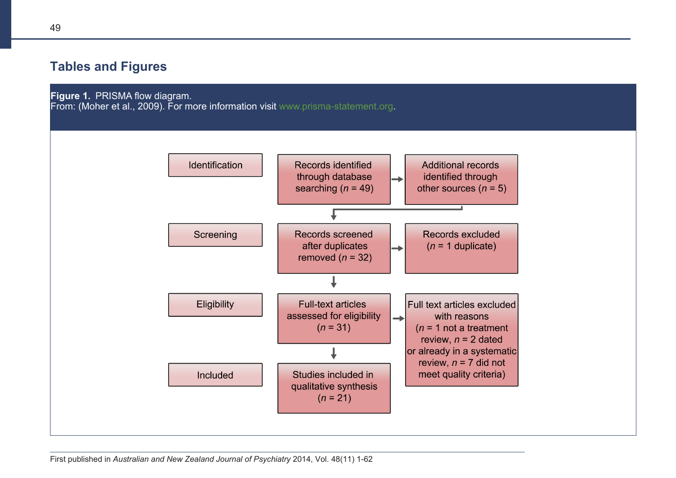# **Tables and Figures**

**Figure 1.** PRISMA flow diagram.

From: (Moher et al., 2009). For more information visit www.prisma-statement.org.



First published in *Australian and New Zealand Journal of Psychiatry* 2014, Vol. 48(11) 1-62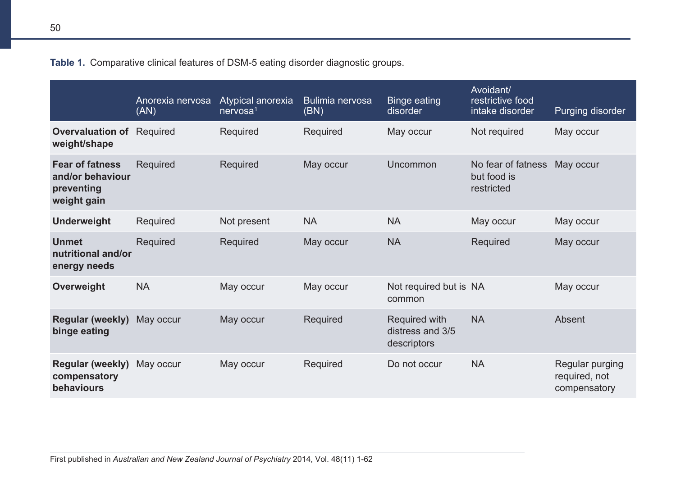<span id="page-49-0"></span>

|                                                                         | Anorexia nervosa<br>(AN) | Atypical anorexia<br>$n$ ervosa <sup>1</sup> | <b>Bulimia nervosa</b><br>(BN) | <b>Binge eating</b><br>disorder                  | Avoidant/<br>restrictive food<br>intake disorder | Purging disorder                                 |
|-------------------------------------------------------------------------|--------------------------|----------------------------------------------|--------------------------------|--------------------------------------------------|--------------------------------------------------|--------------------------------------------------|
| <b>Overvaluation of</b><br>weight/shape                                 | Required                 | Required                                     | Required                       | May occur                                        | Not required                                     | May occur                                        |
| <b>Fear of fatness</b><br>and/or behaviour<br>preventing<br>weight gain | Required                 | Required                                     | May occur                      | Uncommon                                         | No fear of fatness<br>but food is<br>restricted  | May occur                                        |
| <b>Underweight</b>                                                      | Required                 | Not present                                  | <b>NA</b>                      | <b>NA</b>                                        | May occur                                        | May occur                                        |
| <b>Unmet</b><br>nutritional and/or<br>energy needs                      | Required                 | Required                                     | May occur                      | <b>NA</b>                                        | Required                                         | May occur                                        |
| Overweight                                                              | <b>NA</b>                | May occur                                    | May occur                      | Not required but is NA<br>common                 |                                                  | May occur                                        |
| <b>Regular (weekly)</b><br>binge eating                                 | May occur                | May occur                                    | Required                       | Required with<br>distress and 3/5<br>descriptors | <b>NA</b>                                        | Absent                                           |
| <b>Regular (weekly)</b><br>compensatory<br>behaviours                   | May occur                | May occur                                    | Required                       | Do not occur                                     | <b>NA</b>                                        | Regular purging<br>required, not<br>compensatory |

**Table 1.** Comparative clinical features of DSM-5 eating disorder diagnostic groups.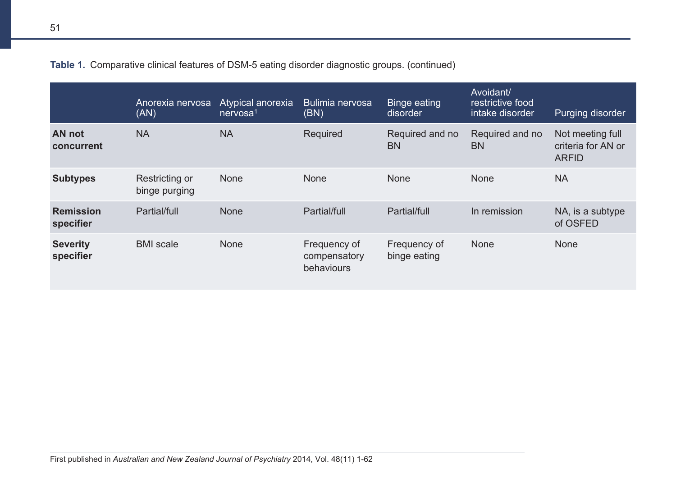|                               | Anorexia nervosa<br>(AN)        | Atypical anorexia<br>$\overline{\mathsf{Inervosa}}^1$ | Bulimia nervosa<br>(BN)                    | <b>Binge eating</b><br>disorder | Avoidant/<br>restrictive food<br>intake disorder | Purging disorder                                       |
|-------------------------------|---------------------------------|-------------------------------------------------------|--------------------------------------------|---------------------------------|--------------------------------------------------|--------------------------------------------------------|
| <b>AN not</b><br>concurrent   | <b>NA</b>                       | <b>NA</b>                                             | Required                                   | Required and no<br><b>BN</b>    | Required and no<br><b>BN</b>                     | Not meeting full<br>criteria for AN or<br><b>ARFID</b> |
| <b>Subtypes</b>               | Restricting or<br>binge purging | <b>None</b>                                           | <b>None</b>                                | <b>None</b>                     | <b>None</b>                                      | <b>NA</b>                                              |
| <b>Remission</b><br>specifier | Partial/full                    | <b>None</b>                                           | Partial/full                               | Partial/full                    | In remission                                     | NA, is a subtype<br>of OSFED                           |
| <b>Severity</b><br>specifier  | <b>BMI</b> scale                | <b>None</b>                                           | Frequency of<br>compensatory<br>behaviours | Frequency of<br>binge eating    | None                                             | <b>None</b>                                            |

# **Table 1.** Comparative clinical features of DSM-5 eating disorder diagnostic groups. (continued)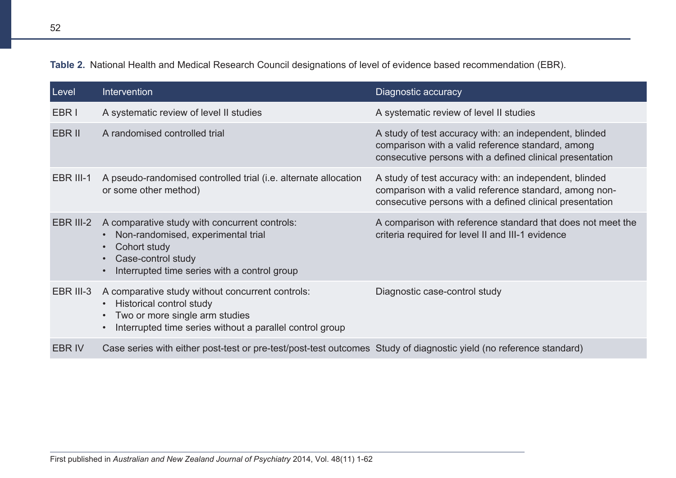<span id="page-51-0"></span>

| Level         | Intervention                                                                                                                                                                    | Diagnostic accuracy                                                                                                                                                          |
|---------------|---------------------------------------------------------------------------------------------------------------------------------------------------------------------------------|------------------------------------------------------------------------------------------------------------------------------------------------------------------------------|
| EBR I         | A systematic review of level II studies                                                                                                                                         | A systematic review of level II studies                                                                                                                                      |
| EBR II        | A randomised controlled trial                                                                                                                                                   | A study of test accuracy with: an independent, blinded<br>comparison with a valid reference standard, among<br>consecutive persons with a defined clinical presentation      |
| EBR III-1     | A pseudo-randomised controlled trial (i.e. alternate allocation<br>or some other method)                                                                                        | A study of test accuracy with: an independent, blinded<br>comparison with a valid reference standard, among non-<br>consecutive persons with a defined clinical presentation |
| EBR III-2     | A comparative study with concurrent controls:<br>• Non-randomised, experimental trial<br>• Cohort study<br>• Case-control study<br>Interrupted time series with a control group | A comparison with reference standard that does not meet the<br>criteria required for level II and III-1 evidence                                                             |
| EBR III-3     | A comparative study without concurrent controls:<br>• Historical control study<br>• Two or more single arm studies<br>Interrupted time series without a parallel control group  | Diagnostic case-control study                                                                                                                                                |
| <b>EBR IV</b> | Case series with either post-test or pre-test/post-test outcomes Study of diagnostic yield (no reference standard)                                                              |                                                                                                                                                                              |

**Table 2.** National Health and Medical Research Council designations of level of evidence based recommendation (EBR).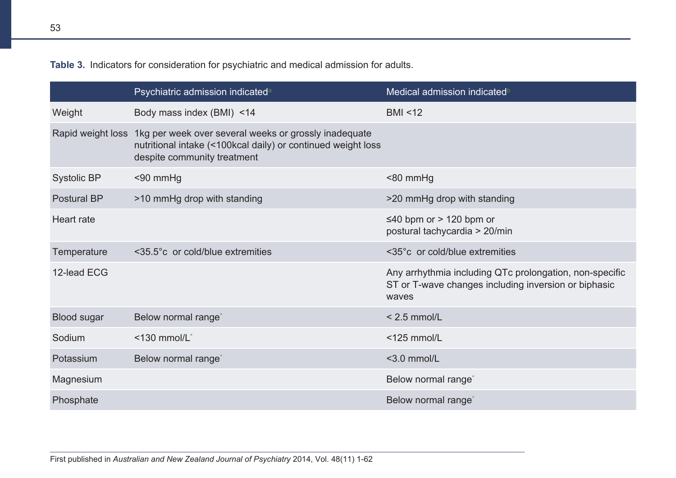**Table 3.** Indicators for consideration for psychiatric and medical admission for adults.

<span id="page-52-0"></span>

|                    | Psychiatric admission indicated <sup>a</sup>                                                                                                         | Medical admission indicated                                                                                              |
|--------------------|------------------------------------------------------------------------------------------------------------------------------------------------------|--------------------------------------------------------------------------------------------------------------------------|
| Weight             | Body mass index (BMI) <14                                                                                                                            | <b>BMI &lt;12</b>                                                                                                        |
| Rapid weight loss  | 1kg per week over several weeks or grossly inadequate<br>nutritional intake (<100kcal daily) or continued weight loss<br>despite community treatment |                                                                                                                          |
| <b>Systolic BP</b> | $90$ mmHg                                                                                                                                            | $< 80$ mmHg                                                                                                              |
| <b>Postural BP</b> | >10 mmHg drop with standing                                                                                                                          | >20 mmHg drop with standing                                                                                              |
| Heart rate         |                                                                                                                                                      | ≤40 bpm or > 120 bpm or<br>postural tachycardia > 20/min                                                                 |
| Temperature        | <35.5° c or cold/blue extremities                                                                                                                    | <35°c or cold/blue extremities                                                                                           |
| 12-lead ECG        |                                                                                                                                                      | Any arrhythmia including QTc prolongation, non-specific<br>ST or T-wave changes including inversion or biphasic<br>waves |
| <b>Blood sugar</b> | Below normal range*                                                                                                                                  | $< 2.5$ mmol/L                                                                                                           |
| Sodium             | $<$ 130 mmol/L $*$                                                                                                                                   | $<$ 125 mmol/L                                                                                                           |
| Potassium          | Below normal range <sup>*</sup>                                                                                                                      | <3.0 mmol/L                                                                                                              |
| Magnesium          |                                                                                                                                                      | Below normal range*                                                                                                      |
| Phosphate          |                                                                                                                                                      | Below normal range*                                                                                                      |

First published in *Australian and New Zealand Journal of Psychiatry* 2014, Vol. 48(11) 1-62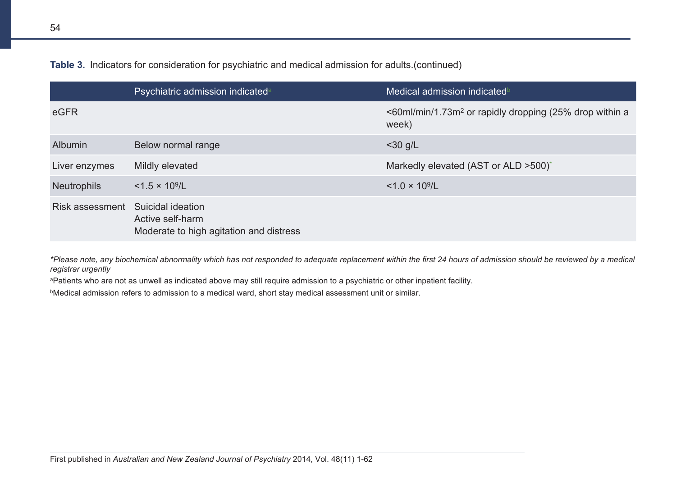|                    | Psychiatric admission indicated <sup>a</sup>                                     | Medical admission indicated <sup>b</sup>                                     |
|--------------------|----------------------------------------------------------------------------------|------------------------------------------------------------------------------|
| eGFR               |                                                                                  | <60ml/min/1.73m <sup>2</sup> or rapidly dropping (25% drop within a<br>week) |
| Albumin            | Below normal range                                                               | $<$ 30 g/L                                                                   |
| Liver enzymes      | Mildly elevated                                                                  | Markedly elevated (AST or ALD > 500)*                                        |
| <b>Neutrophils</b> | $< 1.5 \times 10^{9}/L$                                                          | $< 1.0 \times 10^9$ /L                                                       |
| Risk assessment    | Suicidal ideation<br>Active self-harm<br>Moderate to high agitation and distress |                                                                              |

**Table 3.** Indicators for consideration for psychiatric and medical admission for adults.(continued)

*\*Please note, any biochemical abnormality which has not responded to adequate replacement within the first 24 hours of admission should be reviewed by a medical registrar urgently*

<span id="page-53-0"></span>aPatients who are not as unwell as indicated above may still require admission to a psychiatric or other inpatient facility.

<span id="page-53-1"></span>**bMedical admission refers to admission to a medical ward, short stay medical assessment unit or similar.**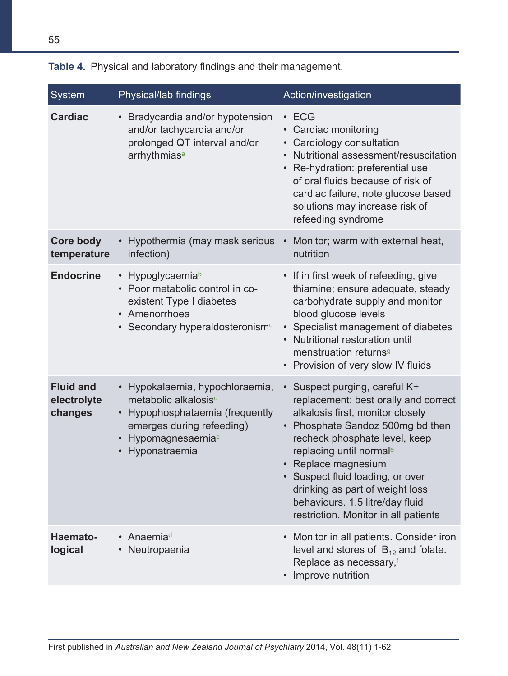| <b>System</b>                              | Physical/lab findings                                                                                                                                                                  | Action/investigation                                                                                                                                                                                                                                                                                                                                                                                    |
|--------------------------------------------|----------------------------------------------------------------------------------------------------------------------------------------------------------------------------------------|---------------------------------------------------------------------------------------------------------------------------------------------------------------------------------------------------------------------------------------------------------------------------------------------------------------------------------------------------------------------------------------------------------|
| <b>Cardiac</b>                             | • Bradycardia and/or hypotension<br>and/or tachycardia and/or<br>prolonged QT interval and/or<br>arrhythmias <sup>a</sup>                                                              | $\cdot$ ECG<br>• Cardiac monitoring<br>• Cardiology consultation<br>Nutritional assessment/resuscitation<br>• Re-hydration: preferential use<br>of oral fluids because of risk of<br>cardiac failure, note glucose based<br>solutions may increase risk of<br>refeeding syndrome                                                                                                                        |
| <b>Core body</b><br>temperature            | • Hypothermia (may mask serious<br>infection)                                                                                                                                          | Monitor; warm with external heat,<br>nutrition                                                                                                                                                                                                                                                                                                                                                          |
| <b>Endocrine</b>                           | • Hypoglycaemiab<br>Poor metabolic control in co-<br>$\bullet$<br>existent Type I diabetes<br>• Amenorrhoea<br>• Secondary hyperaldosteronism <sup>c</sup>                             | • If in first week of refeeding, give<br>thiamine; ensure adequate, steady<br>carbohydrate supply and monitor<br>blood glucose levels<br>Specialist management of diabetes<br>$\bullet$<br>Nutritional restoration until<br>$\bullet$<br>menstruation returns <sup>g</sup><br>• Provision of very slow IV fluids                                                                                        |
| <b>Fluid and</b><br>electrolyte<br>changes | • Hypokalaemia, hypochloraemia,<br>metabolic alkalosis <sup>c</sup><br>• Hypophosphataemia (frequently<br>emerges during refeeding)<br>• Hypomagnesaemia <sup>c</sup><br>Hyponatraemia | Suspect purging, careful K+<br>$\bullet$<br>replacement: best orally and correct<br>alkalosis first, monitor closely<br>Phosphate Sandoz 500mg bd then<br>recheck phosphate level, keep<br>replacing until normal <sup>e</sup><br>• Replace magnesium<br>• Suspect fluid loading, or over<br>drinking as part of weight loss<br>behaviours. 1.5 litre/day fluid<br>restriction. Monitor in all patients |
| Haemato-<br>logical                        | • Anaemia <sup>d</sup><br>• Neutropaenia                                                                                                                                               | • Monitor in all patients. Consider iron<br>level and stores of $B_{12}$ and folate.<br>Replace as necessary, <sup>f</sup><br>Improve nutrition                                                                                                                                                                                                                                                         |

### <span id="page-54-0"></span>**Table 4.** Physical and laboratory findings and their management.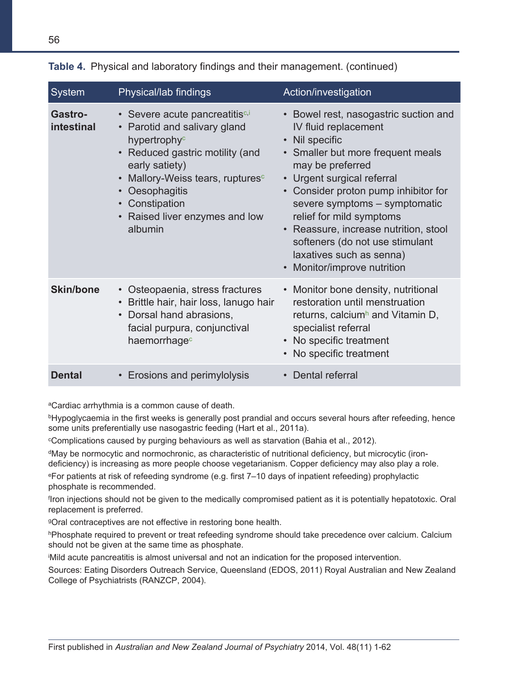| <b>System</b>         | Physical/lab findings                                                                                                                                                                                                                                                            | Action/investigation                                                                                                                                                                                                                                                                                                                                                                                                        |
|-----------------------|----------------------------------------------------------------------------------------------------------------------------------------------------------------------------------------------------------------------------------------------------------------------------------|-----------------------------------------------------------------------------------------------------------------------------------------------------------------------------------------------------------------------------------------------------------------------------------------------------------------------------------------------------------------------------------------------------------------------------|
| Gastro-<br>intestinal | • Severe acute pancreatitis <sup>c,i</sup><br>• Parotid and salivary gland<br>hypertrophyc<br>• Reduced gastric motility (and<br>early satiety)<br>• Mallory-Weiss tears, ruptures <sup>c</sup><br>• Oesophagitis<br>• Constipation<br>• Raised liver enzymes and low<br>albumin | • Bowel rest, nasogastric suction and<br>IV fluid replacement<br>• Nil specific<br>• Smaller but more frequent meals<br>may be preferred<br>• Urgent surgical referral<br>Consider proton pump inhibitor for<br>severe symptoms - symptomatic<br>relief for mild symptoms<br>Reassure, increase nutrition, stool<br>$\bullet$<br>softeners (do not use stimulant<br>laxatives such as senna)<br>• Monitor/improve nutrition |
| <b>Skin/bone</b>      | • Osteopaenia, stress fractures<br>• Brittle hair, hair loss, lanugo hair<br>• Dorsal hand abrasions,<br>facial purpura, conjunctival<br>haemorrhage <sup>c</sup>                                                                                                                | • Monitor bone density, nutritional<br>restoration until menstruation<br>returns, calcium <sup>h</sup> and Vitamin D,<br>specialist referral<br>• No specific treatment<br>No specific treatment                                                                                                                                                                                                                            |
| <b>Dental</b>         | • Erosions and perimylolysis                                                                                                                                                                                                                                                     | Dental referral                                                                                                                                                                                                                                                                                                                                                                                                             |

**Table 4.** Physical and laboratory findings and their management. (continued)

<span id="page-55-0"></span>aCardiac arrhythmia is a common cause of death.

<span id="page-55-1"></span>bHypoglycaemia in the first weeks is generally post prandial and occurs several hours after refeeding, hence some units preferentially use nasogastric feeding (Hart et al., 2011a).

<span id="page-55-3"></span>cComplications caused by purging behaviours as well as starvation (Bahia et al., 2012).

<span id="page-55-5"></span>dMay be normocytic and normochronic, as characteristic of nutritional deficiency, but microcytic (iron-

deficiency) is increasing as more people choose vegetarianism. Copper deficiency may also play a role.

<span id="page-55-4"></span>eFor patients at risk of refeeding syndrome (e.g. first 7–10 days of inpatient refeeding) prophylactic phosphate is recommended.

<span id="page-55-6"></span>f Iron injections should not be given to the medically compromised patient as it is potentially hepatotoxic. Oral replacement is preferred.

<span id="page-55-2"></span>gOral contraceptives are not effective in restoring bone health.

<span id="page-55-7"></span>hPhosphate required to prevent or treat refeeding syndrome should take precedence over calcium. Calcium should not be given at the same time as phosphate.

i Mild acute pancreatitis is almost universal and not an indication for the proposed intervention.

Sources: Eating Disorders Outreach Service, Queensland (EDOS, 2011) Royal Australian and New Zealand College of Psychiatrists (RANZCP, 2004).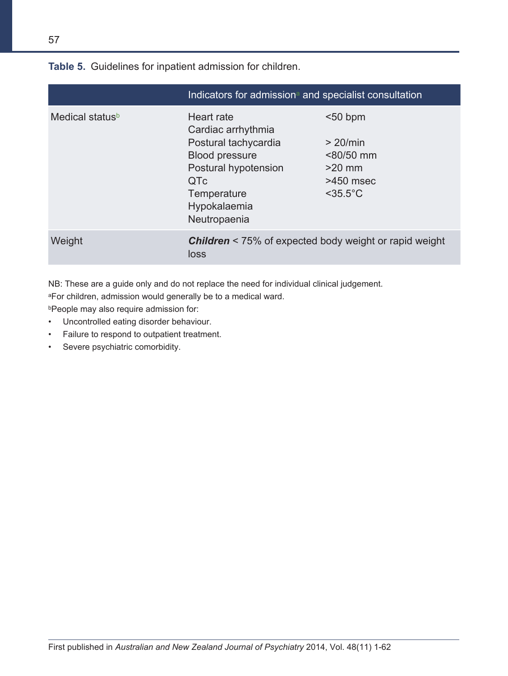<span id="page-56-0"></span>

|  |  |  |  | Table 5. Guidelines for inpatient admission for children. |
|--|--|--|--|-----------------------------------------------------------|
|--|--|--|--|-----------------------------------------------------------|

|                             | Indicators for admission <sup>a</sup> and specialist consultation                                                                                               |                                                                                          |  |
|-----------------------------|-----------------------------------------------------------------------------------------------------------------------------------------------------------------|------------------------------------------------------------------------------------------|--|
| Medical status <sup>b</sup> | Heart rate<br>Cardiac arrhythmia<br>Postural tachycardia<br><b>Blood pressure</b><br>Postural hypotension<br>QTc<br>Temperature<br>Hypokalaemia<br>Neutropaenia | $50$ bpm<br>$> 20$ /min<br><80/50 mm<br>$>20$ mm<br>$>450$ msec<br>$<$ 35.5 $^{\circ}$ C |  |
| Weight                      | <b>Children</b> < 75% of expected body weight or rapid weight<br>loss                                                                                           |                                                                                          |  |

NB: These are a guide only and do not replace the need for individual clinical judgement.

<span id="page-56-1"></span>aFor children, admission would generally be to a medical ward.

<span id="page-56-2"></span>**bPeople may also require admission for:** 

- Uncontrolled eating disorder behaviour.
- Failure to respond to outpatient treatment.
- Severe psychiatric comorbidity.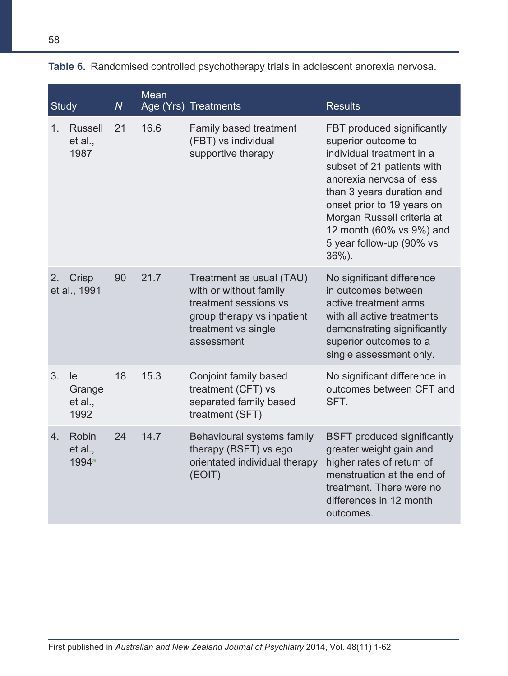| <b>Study</b>   |                                              | $\overline{N}$ | Mean | Age (Yrs) Treatments                                                                                                                           | <b>Results</b>                                                                                                                                                                                                                                                                                         |
|----------------|----------------------------------------------|----------------|------|------------------------------------------------------------------------------------------------------------------------------------------------|--------------------------------------------------------------------------------------------------------------------------------------------------------------------------------------------------------------------------------------------------------------------------------------------------------|
| 1.             | <b>Russell</b><br>et al.,<br>1987            | 21             | 16.6 | <b>Family based treatment</b><br>(FBT) vs individual<br>supportive therapy                                                                     | FBT produced significantly<br>superior outcome to<br>individual treatment in a<br>subset of 21 patients with<br>anorexia nervosa of less<br>than 3 years duration and<br>onset prior to 19 years on<br>Morgan Russell criteria at<br>12 month (60% vs 9%) and<br>5 year follow-up (90% vs<br>$36\%$ ). |
| 2.             | Crisp<br>et al., 1991                        | 90             | 21.7 | Treatment as usual (TAU)<br>with or without family<br>treatment sessions vs<br>group therapy vs inpatient<br>treatment vs single<br>assessment | No significant difference<br>in outcomes between<br>active treatment arms<br>with all active treatments<br>demonstrating significantly<br>superior outcomes to a<br>single assessment only.                                                                                                            |
| 3 <sub>1</sub> | le<br>Grange<br>et al.,<br>1992              | 18             | 15.3 | Conjoint family based<br>treatment (CFT) vs<br>separated family based<br>treatment (SFT)                                                       | No significant difference in<br>outcomes between CFT and<br>SFT.                                                                                                                                                                                                                                       |
| 4.             | <b>Robin</b><br>et al.,<br>1994 <sup>a</sup> | 24             | 14.7 | Behavioural systems family<br>therapy (BSFT) vs ego<br>orientated individual therapy<br>(EOIT)                                                 | <b>BSFT produced significantly</b><br>greater weight gain and<br>higher rates of return of<br>menstruation at the end of<br>treatment. There were no<br>differences in 12 month<br>outcomes.                                                                                                           |

<span id="page-57-0"></span>**Table 6.** Randomised controlled psychotherapy trials in adolescent anorexia nervosa.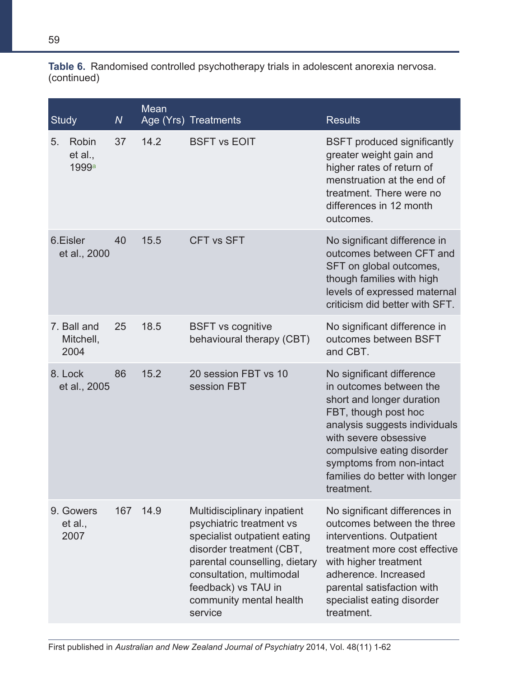| <b>Study</b> |                                       | N   | Mean | Age (Yrs) Treatments                                                                                                                                                                                                                          | <b>Results</b>                                                                                                                                                                                                                                                                |
|--------------|---------------------------------------|-----|------|-----------------------------------------------------------------------------------------------------------------------------------------------------------------------------------------------------------------------------------------------|-------------------------------------------------------------------------------------------------------------------------------------------------------------------------------------------------------------------------------------------------------------------------------|
| 5.           | Robin<br>et al.,<br>1999 <sup>a</sup> | 37  | 14.2 | <b>BSFT vs EOIT</b>                                                                                                                                                                                                                           | <b>BSFT</b> produced significantly<br>greater weight gain and<br>higher rates of return of<br>menstruation at the end of<br>treatment. There were no<br>differences in 12 month<br>outcomes.                                                                                  |
|              | 6.Eisler<br>et al., 2000              | 40  | 15.5 | <b>CFT vs SFT</b>                                                                                                                                                                                                                             | No significant difference in<br>outcomes between CFT and<br>SFT on global outcomes,<br>though families with high<br>levels of expressed maternal<br>criticism did better with SFT.                                                                                            |
|              | 7. Ball and<br>Mitchell,<br>2004      | 25  | 18.5 | <b>BSFT</b> vs cognitive<br>behavioural therapy (CBT)                                                                                                                                                                                         | No significant difference in<br>outcomes between BSFT<br>and CBT.                                                                                                                                                                                                             |
|              | 8. Lock<br>et al., 2005               | 86  | 15.2 | 20 session FBT vs 10<br>session FBT                                                                                                                                                                                                           | No significant difference<br>in outcomes between the<br>short and longer duration<br>FBT, though post hoc<br>analysis suggests individuals<br>with severe obsessive<br>compulsive eating disorder<br>symptoms from non-intact<br>families do better with longer<br>treatment. |
|              | 9. Gowers<br>et al.,<br>2007          | 167 | 14.9 | Multidisciplinary inpatient<br>psychiatric treatment vs<br>specialist outpatient eating<br>disorder treatment (CBT,<br>parental counselling, dietary<br>consultation, multimodal<br>feedback) vs TAU in<br>community mental health<br>service | No significant differences in<br>outcomes between the three<br>interventions. Outpatient<br>treatment more cost effective<br>with higher treatment<br>adherence. Increased<br>parental satisfaction with<br>specialist eating disorder<br>treatment.                          |

**Table 6.** Randomised controlled psychotherapy trials in adolescent anorexia nervosa. (continued)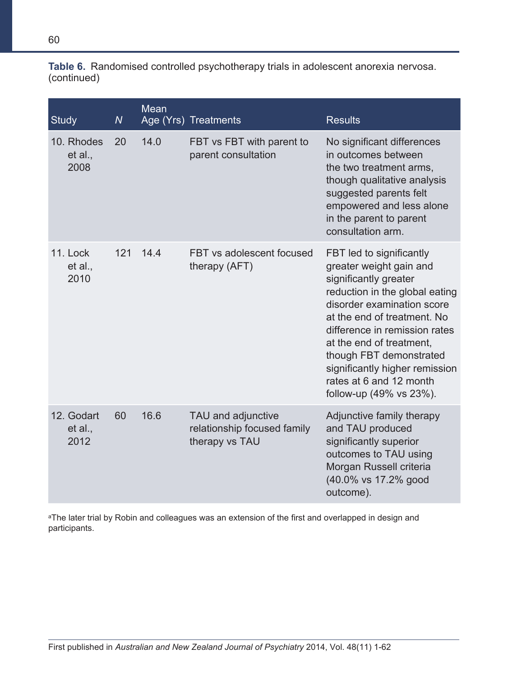|             | Table 6. Randomised controlled psychotherapy trials in adolescent anorexia nervosa. |  |
|-------------|-------------------------------------------------------------------------------------|--|
| (continued) |                                                                                     |  |

| <b>Study</b>                  | $\overline{N}$ | Mean | Age (Yrs) Treatments                                                | <b>Results</b>                                                                                                                                                                                                                                                                                                                                              |
|-------------------------------|----------------|------|---------------------------------------------------------------------|-------------------------------------------------------------------------------------------------------------------------------------------------------------------------------------------------------------------------------------------------------------------------------------------------------------------------------------------------------------|
| 10. Rhodes<br>et al.,<br>2008 | 20             | 14.0 | FBT vs FBT with parent to<br>parent consultation                    | No significant differences<br>in outcomes between<br>the two treatment arms,<br>though qualitative analysis<br>suggested parents felt<br>empowered and less alone<br>in the parent to parent<br>consultation arm.                                                                                                                                           |
| 11. Lock<br>et al.,<br>2010   | 121            | 14.4 | FBT vs adolescent focused<br>therapy (AFT)                          | FBT led to significantly<br>greater weight gain and<br>significantly greater<br>reduction in the global eating<br>disorder examination score<br>at the end of treatment. No<br>difference in remission rates<br>at the end of treatment,<br>though FBT demonstrated<br>significantly higher remission<br>rates at 6 and 12 month<br>follow-up (49% vs 23%). |
| 12. Godart<br>et al.,<br>2012 | 60             | 16.6 | TAU and adjunctive<br>relationship focused family<br>therapy vs TAU | Adjunctive family therapy<br>and TAU produced<br>significantly superior<br>outcomes to TAU using<br>Morgan Russell criteria<br>(40.0% vs 17.2% good<br>outcome).                                                                                                                                                                                            |

<span id="page-59-0"></span>aThe later trial by Robin and colleagues was an extension of the first and overlapped in design and participants.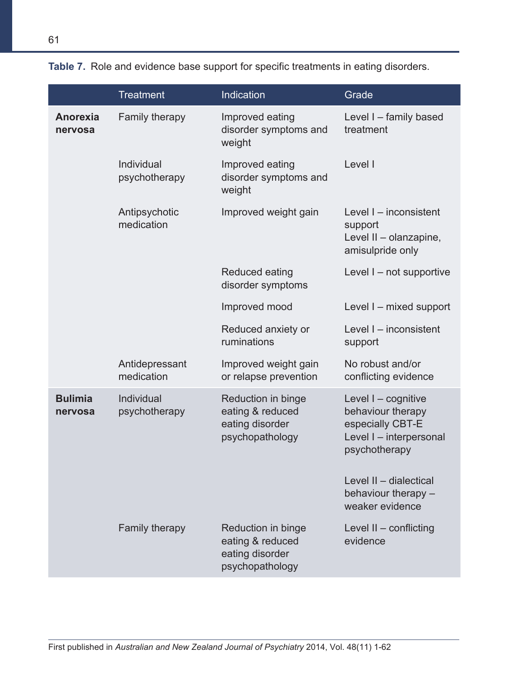|                            | <b>Treatment</b>             | Indication                                                                   | Grade                                                                                                                                                                        |
|----------------------------|------------------------------|------------------------------------------------------------------------------|------------------------------------------------------------------------------------------------------------------------------------------------------------------------------|
| <b>Anorexia</b><br>nervosa | Family therapy               | Improved eating<br>disorder symptoms and<br>weight                           | Level I - family based<br>treatment                                                                                                                                          |
|                            | Individual<br>psychotherapy  | Improved eating<br>disorder symptoms and<br>weight                           | Level I                                                                                                                                                                      |
|                            | Antipsychotic<br>medication  | Improved weight gain                                                         | Level I - inconsistent<br>support<br>Level II - olanzapine,<br>amisulpride only                                                                                              |
|                            |                              | Reduced eating<br>disorder symptoms                                          | Level I – not supportive                                                                                                                                                     |
|                            |                              | Improved mood                                                                | Level I - mixed support                                                                                                                                                      |
|                            |                              | Reduced anxiety or<br>ruminations                                            | Level I - inconsistent<br>support                                                                                                                                            |
|                            | Antidepressant<br>medication | Improved weight gain<br>or relapse prevention                                | No robust and/or<br>conflicting evidence                                                                                                                                     |
| <b>Bulimia</b><br>nervosa  | Individual<br>psychotherapy  | Reduction in binge<br>eating & reduced<br>eating disorder<br>psychopathology | Level I - cognitive<br>behaviour therapy<br>especially CBT-E<br>Level I - interpersonal<br>psychotherapy<br>Level II - dialectical<br>behaviour therapy -<br>weaker evidence |
|                            | Family therapy               | Reduction in binge<br>eating & reduced<br>eating disorder<br>psychopathology | Level II - conflicting<br>evidence                                                                                                                                           |

<span id="page-60-0"></span>**Table 7.** Role and evidence base support for specific treatments in eating disorders.